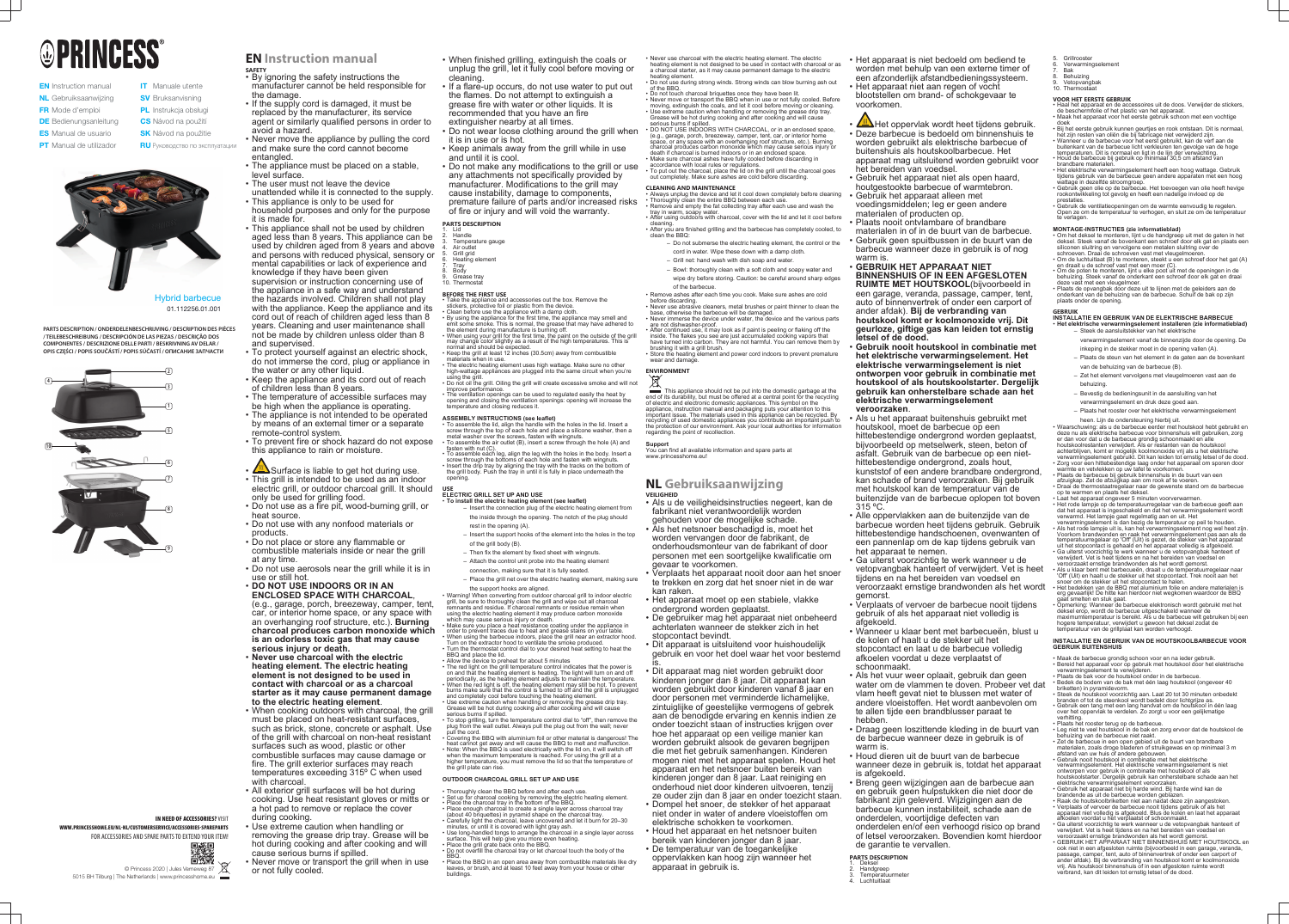# **OPRINCESS**

- **EN** Instruction manual NL Gebruiksaanwijzing FR Mode d'emploi **DE** Bedienungsanleitung **ES** Manual de usuario
- **SV** Bruksanvisning PL Instrukcja obsługi

**IT** Manuale utente

- **CS** Návod na použití
- **SK** Návod na použitie
- **PT** Manual de utilizador **RU** Руководство по эксплуатации



Hybrid barbecue 01.112256.01.001



## **IN NEED OF ACCESSORIES? VISIT**

**PARTS DESCRIPTION / ONDERDELENBESCHRIJVING / DESCRIPTION DES PIÈCES / TEILEBESCHREIBUNG / DESCRIPCIÓN DE LAS PIEZAS / DESCRIÇÃO DOS COMPONENTES / DESCRIZIONE DELLE PARTI / BESKRIVNING AV DELAR / OPIS CZĘŚCI / POPIS SOUČÁSTÍ / POPIS SÚČASTÍ / ОПИСАНИЕ ЗАПЧАСТИ**

> © Princess 2020 | Jules Verneweg 87 5015 BH Tilburg | The Netherlands | www.princesshome.eu

WWW.PRINCESSHOME.EU/NL-NL/CUSTOMERSERVICE/ACCESSORIES-SPAREPARTS FOR ACCESSORIES AND SPARE PARTS TO EXTEND YOUR ITEM!



## **EN Instruction manual**

- 2. Handle
- 3. Temperature gauge Air outlet
- Grill grid
- Heating element 7. Tray
- 8. Body Grease tray

## 10. Thermosta

- **SAFETY** By ignoring the safety instructions the manufacturer cannot be held responsible for the damage.
- If the supply cord is damaged, it must be replaced by the manufacturer, its service agent or similarly qualified persons in order to avoid a hazard.
- Never move the appliance by pulling the cord and make sure the cord cannot become entangled.
- The appliance must be placed on a stable, level surface.
- The user must not leave the device
- unattended while it is connected to the supply. • This appliance is only to be used for
- household purposes and only for the purpose it is made for.
- This appliance shall not be used by children aged less than 8 years. This appliance can be used by children aged from 8 years and above and persons with reduced physical, sensory or mental capabilities or lack of experience and knowledge if they have been given supervision or instruction concerning use of the appliance in a safe way and understand the hazards involved. Children shall not play with the appliance. Keep the appliance and its cord out of reach of children aged less than 8 years. Cleaning and user maintenance shall not be made by children unless older than 8 and supervised.
- To protect yourself against an electric shock, do not immerse the cord, plug or appliance in the water or any other liquid.
- Keep the appliance and its cord out of reach of children less than 8 years.
- The temperature of accessible surfaces may be high when the appliance is operating.
- The appliance is not intended to be operated by means of an external timer or a separate remote-control system.
- To prevent fire or shock hazard do not expose this appliance to rain or moisture.
- $\sqrt{m}$  Surface is liable to get hot during use.
- This grill is intended to be used as an indoor electric grill, or outdoor charcoal grill. It should only be used for grilling food.
- Do not use as a fire pit, wood-burning grill, or heat source.
- Do not use with any nonfood materials or products.
- Do not place or store any flammable or combustible materials inside or near the grill at any time.
- Do not use aerosols near the grill while it is in use or still hot.
- **DO NOT USE INDOORS OR IN AN ENCLOSED SPACE WITH CHARCOAL**, (e.g., garage, porch, breezeway, camper, tent, car, or interior home space, or any space with an overhanging roof structure, etc.). **Burning charcoal produces carbon monoxide which is an odorless toxic gas that may cause serious injury or death.**
- **Never use charcoal with the electric heating element. The electric heating element is not designed to be used in contact with charcoal or as a charcoal starter as it may cause permanent damage to the electric heating element**.
- When cooking outdoors with charcoal, the grill must be placed on heat-resistant surfaces, such as brick, stone, concrete or asphalt. Use of the grill with charcoal on non-heat resistant surfaces such as wood, plastic or other combustible surfaces may cause damage or fire. The grill exterior surfaces may reach temperatures exceeding 315º C when used with charcoal.
- All exterior grill surfaces will be hot during cooking. Use heat resistant gloves or mitts or a hot pad to remove or replace the cover during cooking.
- Use extreme caution when handling or removing the grease drip tray. Grease will be hot during cooking and after cooking and will cause serious burns if spilled.
- Never move or transport the grill when in use or not fully cooled.
- Take the appliance and accessories out the box. Remove the stickers, protective foil or plastic from the device. • Clean before use the appliance with a damp cloth.
- By using the appliance for the first time, the appliance may smell and emit some smoke. This is normal, the grease that may have adhered to
- the element during manufacture is burning off. • When using your grill for the first time, the paint on the outside of the grill
- may change color slightly as a result of the high temperatures. This is normal and should be expected. • Keep the grill at least 12 inches (30.5cm) away from combustible
- materials when in use. • The electric heating element uses high wattage. Make sure no other
- high-wattage appliances are plugged into the same circuit when you're using the grill. • Do not oil the grill. Oiling the grill will create excessive smoke and will not
- improve performance. • The ventilation openings can be used to regulated easily the heat by opening and closing the ventilation openings: opening will increase the temperature and closing reduces it.

- To assemble the lid, align the handle with the holes in the lid. Insert a screw through the top of each hole and place a silicone washer, then a metal washer over the screws, fasten with wingnuts. • To assemble the air outlet (B), insert a screw through the hole (A) and
- fasten with nut (C). • To assemble each leg, align the leg with the holes in the body. Insert a screw through the bottoms of each hole and fasten with wingnuts.
- Insert the drip tray by aligning the tray with the tracks on the bottom of the grill body. Push the tray in until it is fully in place underneath the opening.
- When finished grilling, extinguish the coals or unplug the grill, let it fully cool before moving or cleaning.
- If a flare-up occurs, do not use water to put out the flames. Do not attempt to extinguish a grease fire with water or other liquids. It is recommended that you have an fire extinguisher nearby at all times.
- Do not wear loose clothing around the grill when it is in use or is hot.
- Keep animals away from the grill while in use
- and until it is cool. • Do not make any modifications to the grill or use any attachments not specifically provided by manufacturer. Modifications to the grill may
- cause instability, damage to components, premature failure of parts and/or increased risks of fire or injury and will void the warranty.

#### **PARTS DESCRIPTION** 1. Lid

• Never use charcoal with the electric heating element. The electric heating element is not designed to be used in contact with charcoal or as a charcoal starter, as it may cause permanent damage to the electric heating element

## **BEFORE THE FIRST USE**

• Always unplug the device and let it cool down completely before cleaning • Thoroughly clean the entire BBQ between each use. Remove and empty the fat collecting tray after each use and wash the

- tray in warm, soapy water • After using outdoors with charcoal, cover with the lid and let it cool before
- cleaning. After you are finished grilling and the barbecue has completely cooled, to clean the BBQ:
	- Do not submerse the electric heating element, the control or the cord in water. Wipe these down with a damp cloth.
	- Grill net: hand wash with dish soap and water. – Bowl: thoroughly clean with a soft cloth and soapy water and
	- wipe dry before storing. Caution: be careful around sharp edges of the barbecue.
- Remove ashes after each time you cook. Make sure ashes are cold before discarding.
- Never use abrasive cleaners, metal brushes or paint thinner to clean the base, otherwise the barbecue will be damaged. • Never immerse the device under water, the device and the various parts are not dishwasher-proof.

## **ASSEMBLY INSTRUCTIONS (see leaflet)**

This appliance should not be put into the domestic garbage at the end of its durability, but must be offered at a central point for the recycling of electric and electronic domestic appliances. This symbol on the appliance, instruction manual and packaging puts your attention to this important issue. The materials used in this appliance can be recycled. By recycling of used domestic appliances you contribute an important push to the protection of our environment. Ask your local authorities for information regarding the point of recollection.

## **USE ELECTRIC GRILL SET UP AND USE**

• **To install the electric heating element (see leaflet)**

- Insert the connection plug of the electric heating element from the inside through the opening. The notch of the plug should rest in the opening (A).
- Insert the support hooks of the element into the holes in the top
- of the grill body (B).
- Then fix the element by fixed sheet with wingnuts.
- Attach the control unit probe into the heating element connection, making sure that it is fully seated.
- Place the grill net over the electric heating element, making sure
- the support hooks are aligned.

• Warning! When converting from outdoor charcoal grill to indoor electric grill, be sure to thoroughly clean the grill and wipe out all charcoal remnants and residue. If charcoal remnants or residue remain when using the electric heating element it may produce carbon monoxide which may cause serious injury or death.

## **AND** Het oppervlak wordt heet tijdens gebruik. • Deze barbecue is bedoeld om binnenshuis te worden gebruikt als elektrische barbecue of buitenshuis als houtskoolbarbecue. Het apparaat mag uitsluitend worden gebruikt voor het bereiden van voedsel.

- Make sure you place a heat resistance coating under the appliance in order to prevent traces due to heat and grease stains on your table. When using the barbecue indoors, place the grill near an extractor hood. Turn on the extractor hood to ventilate the smoke produced. • Turn the thermostat control dial to your desired heat setting to heat the BBQ and place the lid.
- Allow the device to preheat for about 5 minutes • The red light on the grill temperature control indicates that the power is
- on and that the heating element is heating. The light will turn on and off periodically, as the heating element adjusts to maintain the temperature. • When the red light is off, the heating element may still be hot. To prevent burns make sure that the control is turned to off and the grill is unplugged and completely cool before touching the heating element. • Use extreme caution when handling or removing the grease drip tray. Grease will be hot during cooking and after cooking and will cause serious burns if spilled.
- To stop grilling, turn the temperature control dial to "off", then remove the plug from the wall outlet. Always pull the plug out from the wall; never pull the cord.
- Covering the BBQ with aluminium foil or other material is dangerous! The heat cannot get away and will cause the BBQ to melt and malfunction. • Note: When the BBQ is used electrically with the lid on, it will switch off when the maximum temperature is reached. For using the grill at a higher temperature, you must remove the lid so that the temperature of the grill plate can rise.

**Temperatuurmeter** 4. Luchtuitlaat

## **OUTDOOR CHARCOAL GRILL SET UP AND USE**

- Thoroughly clean the BBQ before and after each use.
- Set up for charcoal cooking by removing the electric heating element. • Place the charcoal tray in the bottom of the BBQ. • Place enough charcoal to create a single layer across charcoal tray
- (about 40 briquettes) in pyramid shape on the charcoal tray. • Carefully light the charcoal, leave uncovered and let it burn for 20–30
- minutes, or until it is covered with light gray ash. • Use long-handled tongs to arrange the charcoal in a single layer across
- surface. This will help give you more even heating. Place the grill grate back onto the BBQ. • Do not overfill the charcoal tray or let charcoal touch the body of the
- BBQ. Place the BBQ in an open area away from combustible materials like dry leaves, or brush, and at least 10 feet away from your house or other buildings.

- 
- 
- 
- Om het deksel te monteren, lijnt u de handgreep uit met de gaten in het deksel. Steek vanaf de bovenkant een schroef door elk gat en plaats een siliconen sluitring en vervolgens een metalen sluitring over de schroeven. Draai de schroeven vast met vleugelmoeren.
- Om de luchtuitlaat (B) te monteren, steekt u een schroef door het gat (A) en draait u de schroef vast met een moer (C). • Om de poten te monteren, lijnt u elke poot uit met de openingen in de
- behuizing. Steek vanaf de onderkant een schroef door elk gat en draai deze vast met een vleugelmoer. • Plaats de opvangbak door deze uit te lijnen met de geleiders aan de
- onderkant van de behuizing van de barbecue. Schuif de bak op zijn plaats onder de opening.

• Do not use during strong winds. Strong winds can blow burning ash out of the BBQ.

• Do not touch charcoal briquettes once they have been lit. • Never move or transport the BBQ when in use or not fully cooled. Before moving, extinguish the coals, and let it cool before moving or cleaning. • Use extreme caution when handling or removing the grease drip tray. Grease will be hot during cooking and after cooking and will cause serious burns if spilled.

• DO NOT USE INDOORS WITH CHARCOAL, or in an enclosed space, (e.g., garage, porch, breezeway, camper, tent, car, or interior home space, or any space with an overhanging roof structure, etc.). Burning charcoal produces carbon monoxide which may cause serious injury or death if charcoal is burned indoors or in an enclosed space. • Make sure charcoal ashes have fully cooled before discarding in

accordance with local rules or regulations. • To put out the charcoal, place the lid on the grill until the charcoal goes out completely. Make sure ashes are cold before discarding.

## **CLEANING AND MAINTENANCE**

• After continued use, it may look as if paint is peeling or flaking off the inside. The flakes you see are just accumulated cooking vapors that

have turned into carbon. They are not harmful. You can remove them by brushing it with a grill brush. • Store the heating element and power cord indoors to prevent premature wear and damage.

## **ENVIRONMENT**

**Support** You can find all available information and spare parts at www.princesshome.eu!

## **NL Gebruiksaanwijzing VEILIGHEID**

• Als u de veiligheidsinstructies negeert, kan de fabrikant niet verantwoordelijk worden

- gehouden voor de mogelijke schade. • Als het netsnoer beschadigd is, moet het worden vervangen door de fabrikant, de onderhoudsmonteur van de fabrikant of door
- personen met een soortgelijke kwalificatie om gevaar te voorkomen. • Verplaats het apparaat nooit door aan het snoer
- te trekken en zorg dat het snoer niet in de war kan raken.
- Het apparaat moet op een stabiele, vlakke ondergrond worden geplaatst.
- De gebruiker mag het apparaat niet onbeheerd achterlaten wanneer de stekker zich in het stopcontact bevindt.

• Dit apparaat is uitsluitend voor huishoudelijk gebruik en voor het doel waar het voor bestemd

is. kinderen jonger dan 8 jaar. Dit apparaat kan worden gebruikt door kinderen vanaf 8 jaar en door personen met verminderde lichamelijke, zintuiglijke of geestelijke vermogens of gebrek aan de benodigde ervaring en kennis indien ze onder toezicht staan of instructies krijgen over hoe het apparaat op een veilige manier kan worden gebruikt alsook de gevaren begrijpen die met het gebruik samenhangen. Kinderen mogen niet met het apparaat spelen. Houd het apparaat en het netsnoer buiten bereik van kinderen jonger dan 8 jaar. Laat reiniging en onderhoud niet door kinderen uitvoeren, tenzij ze ouder zijn dan 8 jaar en onder toezicht staan. niet onder in water of andere vloeistoffen om elektrische schokken te voorkomen. bereik van kinderen jonger dan 8 jaar.

• Dit apparaat mag niet worden gebruikt door • Dompel het snoer, de stekker of het apparaat • Houd het apparaat en het netsnoer buiten • De temperatuur van de toegankelijke

- 
- 
- 
- 

oppervlakken kan hoog zijn wanneer het apparaat in gebruik is.

- Het apparaat is niet bedoeld om bediend te worden met behulp van een externe timer of een afzonderlijk afstandbedieningssysteem.
- Het apparaat niet aan regen of vocht blootstellen om brand- of schokgevaar te voorkomen.

- Gebruik het apparaat niet als open haard, houtgestookte barbecue of warmtebron.
- Gebruik het apparaat alleen met voedingsmiddelen; leg er geen andere
- materialen of producten op. • Plaats nooit ontvlambare of brandbare
- materialen in of in de buurt van de barbecue. • Gebruik geen spuitbussen in de buurt van de barbecue wanneer deze in gebruik is of nog warm is.

## • **GEBRUIK HET APPARAAT NIET BINNENSHUIS OF IN EEN AFGESLOTEN RUIMTE MET HOUTSKOOL**(bijvoorbeeld in

een garage, veranda, passage, camper, tent, auto of binnenvertrek of onder een carport of ander afdak). **Bij de verbranding van houtskool komt er koolmonoxide vrij. Dit geurloze, giftige gas kan leiden tot ernstig letsel of de dood.**

- **Gebruik nooit houtskool in combinatie met het elektrische verwarmingselement. Het elektrische verwarmingselement is niet ontworpen voor gebruik in combinatie met houtskool of als houtskoolstarter. Dergelijk gebruik kan onherstelbare schade aan het elektrische verwarmingselement veroorzaken**.
- Als u het apparaat buitenshuis gebruikt met houtskool, moet de barbecue op een hittebestendige ondergrond worden geplaatst, bijvoorbeeld op metselwerk, steen, beton of asfalt. Gebruik van de barbecue op een niethittebestendige ondergrond, zoals hout, kunststof of een andere brandbare ondergrond, kan schade of brand veroorzaken. Bij gebruik met houtskool kan de temperatuur van de buitenzijde van de barbecue oplopen tot boven 315 ºC.
- Alle oppervlakken aan de buitenzijde van de barbecue worden heet tijdens gebruik. Gebruik hittebestendige handschoenen, ovenwanten of een pannenlap om de kap tijdens gebruik van het apparaat te nemen.
- Ga uiterst voorzichtig te werk wanneer u de vetopvangbak hanteert of verwijdert. Vet is heet tijdens en na het bereiden van voedsel en veroorzaakt ernstige brandwonden als het wordt gemorst.
- Verplaats of vervoer de barbecue nooit tijdens gebruik of als het apparaat niet volledig is afgekoeld.
- Wanneer u klaar bent met barbecueën, blust u de kolen of haalt u de stekker uit het stopcontact en laat u de barbecue volledig afkoelen voordat u deze verplaatst of schoonmaakt.
- Als het vuur weer oplaait, gebruik dan geen water om de vlammen te doven. Probeer vet dat vlam heeft gevat niet te blussen met water of andere vloeistoffen. Het wordt aanbevolen om te allen tijde een brandblusser paraat te hebben.
- Draag geen loszittende kleding in de buurt van de barbecue wanneer deze in gebruik is of warm is.
- Houd dieren uit de buurt van de barbecue wanneer deze in gebruik is, totdat het apparaat is afgekoeld.
- Breng geen wijzigingen aan de barbecue aan en gebruik geen hulpstukken die niet door de fabrikant zijn geleverd. Wijzigingen aan de barbecue kunnen instabiliteit, schade aan de onderdelen, voortijdige defecten van onderdelen en/of een verhoogd risico op brand of letsel veroorzaken. Bovendien komt hierdoor de garantie te vervallen.

## **PARTS DESCRIPTION**

- 1. Deksel 2. Handgreep
- 
- **Grillrooster**
- Verwarmingselement 7. Bak
- 8. Behuizing Vetopvangbak
- Thermostaa

## **VOOR HET EERSTE GEBRUIK**

- Haal het apparaat en de accessoires uit de doos. Verwijder de stickers, de beschermfolie of het plastic van het apparaat. • Maak het apparaat voor het eerste gebruik schoon met een vochtige
- doek • Bij het eerste gebruik kunnen geurtjes en rook ontstaan. Dit is normaal, het zijn resten van oliën die bij fabricage niet verwijderd zijn. • Wanneer u de barbecue voor het eerst gebruikt, kan de verf aan de
- buitenkant van de barbecue licht verkleuren ten gevolge van de hoge temperaturen. Dit is normaal en ligt in de lijn der verwachting. • Houd de barbecue bij gebruik op minimaal 30,5 cm afstand van brandbare materialen.
- Het elektrische verwarmingselement heeft een hoog wattage. Gebruik tijdens gebruik van de barbecue geen andere apparaten met een hoog
- wattage in dezelfde stroomgroep. • Gebruik geen olie op de barbecue. Het toevoegen van olie heeft hevige
- rookontwikkeling tot gevolg en heeft een nadelige invloed op de prestaties. • Gebruik de ventilatieopeningen om de warmte eenvoudig te regelen.
- Open ze om de temperatuur te verhogen, en sluit ze om de temperatuur te verlagen.

## **MONTAGE-INSTRUCTIES (zie informatieblad)**

#### **GEBRUIK INSTALLATIE EN GEBRUIK VAN DE ELEKTRISCHE BARBECUE** • **Het elektrische verwarmingselement installeren (zie informatieblad)**

- Steek de aansluitstekker van het elektrische verwarmingselement vanaf de binnenzijde door de opening. De
- inkeping in de stekker moet in de opening vallen (A). – Plaats de steun van het element in de gaten aan de bovenkant
- van de behuizing van de barbecue (B).
- Zet het element vervolgens met vleugelmoeren vast aan de
- behuizing.
- Bevestig de bedieningsunit in de aansluiting van het
- verwarmingselement en druk deze goed aan. – Plaats het rooster over het elektrische verwarmingselement
- heen. Lijn de ondersteuning hierbij uit.

• Waarschuwing: als u de barbecue eerder met houtskool hebt gebruikt en deze nu als elektrische barbecue voor binnenshuis wilt gebruiken, zorg er dan voor dat u de barbecue grondig schoonmaakt en alle houtskoolrestanten verwijdert. Als er restanten van de houtskool achterblijven, komt er mogelijk koolmonoxide vrij als u het elektrische verwarmingselement gebruikt. Dit kan leiden tot ernstig letsel of de dood.

- Zorg voor een hittebestendige laag onder het apparaat om sporen door warmte en vetvlekken op uw tafel te voorkomen. • Plaats de barbecue bij gebruik binnenshuis in de buurt van een
- afzuigkap. Zet de afzuigkap aan om rook af te voeren. • Draai de thermostaatregelaar naar de gewenste stand om de barbecue
- op te warmen en plaats het deksel. • Laat het apparaat ongeveer 5 minuten voorverwarmen. Het rode lampje op de temperatuurregelaar van de barbecue geeft aan
- dat het apparaat is ingeschakeld en dat het verwarmingselement wordt verwarmd. Het lampje gaat regelmatig aan en uit. Het verwarmingselement is dan bezig de temperatuur op peil te houden.
- Als het rode lampje uit is, kan het verwarmingselement nog wel heet zijn. Voorkom brandwonden en raak het verwarmingselement pas aan als de temperatuurregelaar op 'Off' (Uit) is gezet, de stekker van het apparaat
- uit het stopcontact is gehaald en het apparaat volledig is afgekoeld. • Ga uiterst voorzichtig te werk wanneer u de vetopvangbak hanteert of verwijdert. Vet is heet tijdens en na het bereiden van voedsel en
- veroorzaakt ernstige brandwonden als het wordt gemorst. • Als u klaar bent met barbecueën, draait u de temperatuurregelaar naar 'Off' (Uit) en haalt u de stekker uit het stopcontact. Trek nooit aan het
- snoer om de stekker uit het stopcontact te halen • Het bedekken van de BBQ met aluminium folie en andere materialen is erg gevaarlijk! De hitte kan hierdoor niet wegkomen waardoor de BBQ gaat smelten en stuk gaat.
- Opmerking: Wanneer de barbecue elektronisch wordt gebruikt met het deksel erop, wordt de barbecue uitgeschakeld wanneer de maximumtemperatuur is bereikt. Als u de barbecue wilt gebruiken bij een hogere temperatuur, verwijdert u gewoon het deksel zodat de

#### temperatuur van de grillplaat kan worden verhoogd. **INSTALLATIE EN GEBRUIK VAN DE HOUTSKOOLBARBECUE VOOR GEBRUIK BUITENSHUIS**

- Maak de barbecue grondig schoon voor en na ieder gebruik. • Bereid het apparaat voor op gebruik met houtskool door het elektrische
- verwarmingselement te verwijderen. • Plaats de bak voor de houtskool onder in de barbecue.
- Bedek de bodem van de bak met één laag houtskool (ongeveer 40 briketten) in pyramidevorm. • Steek de houtskool voorzichtig aan. Laat 20 tot 30 minuten onbedekt
- branden of tot de steenkool wordt bedekt door lichtgrijze as. • Gebruik een tang met een lang handvat om de houtskool in één laag over het oppervlak te verdelen. Zo zorgt u voor een gelijkmatige verhitting.
- Plaats het rooster terug op de barbecue. • Leg niet te veel houtskool in de bak en zorg ervoor dat de houtskool de behuizing van de barbecue niet raakt.
- Zet de barbecue in een open gebied uit de buurt van brandbare materialen, zoals droge bladeren of struikgewas en op minimaal 3 m afstand van uw huis of andere gebouwen.
- Gebruik nooit houtskool in combinatie met het elektrische verwarmingselement. Het elektrische verwarmingselement is niet ontworpen voor gebruik in combinatie met houtskool of als houtskoolstarter. Dergelijk gebruik kan onherstelbare schade aan het elektrische verwarmingselement veroorzaken.
- Gebruik het apparaat niet bij harde wind. Bij harde wind kan de brandende as uit de barbecue worden geblazer • Raak de houtskoolbriketten niet aan nadat deze zijn aangestoken.
- Verplaats of vervoer de barbecue nooit tijdens gebruik of als het apparaat niet volledig is afgekoeld. Blus de kolen en laat het apparaat afkoelen voordat u het verplaatst of schoonmaakt. • Ga uiterst voorzichtig te werk wanneer u de vetopvangbak hanteert of
- verwijdert. Vet is heet tijdens en na het bereiden van voedsel en veroorzaakt ernstige brandwonden als het wordt gemorst.
- GEBRUIK HET APPARAAT NIET BINNENSHUIS MET HOUTSKOOL en ook niet in een afgesloten ruimte (bijvoorbeeld in een garage, veranda, passage, camper, tent, auto of binnenvertrek of onder een carport of ander afdak). Bij de verbranding van houtskool komt er koolmonoxide vrij. Als houtskool binnenshuis of in een afgesloten ruimte wordt verbrand, kan dit leiden tot ernstig letsel of de dood.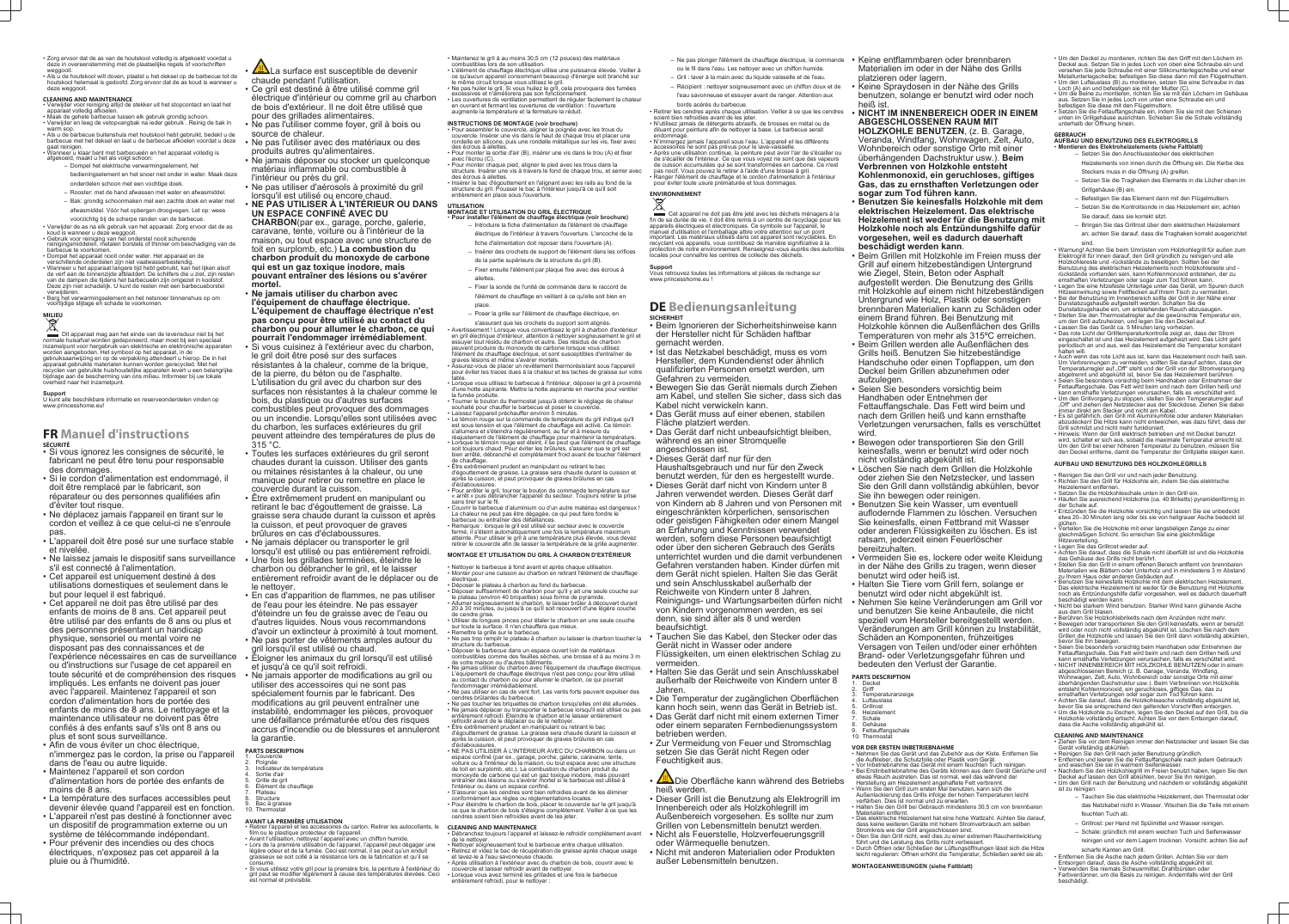- Zorg ervoor dat de as van de houtskool volledig is afgekoeld voordat u deze in overeenstemming met de plaatselijke regels of voorschriften weggooit.
- Als u de houtskool wilt doven, plaatst u het deksel op de barbecue tot de houtskool helemaal is gedoofd. Zorg ervoor dat de as koud is wanneer u deze weggooit.

## **CLEANING AND MAINTENANCE**

- Verwijder voor reiniging altijd de stekker uit het stopcontact en laat het apparaat volledig afkoelen.
- Maak de gehele barbecue tussen elk gebruik grondig schoon. • Verwijder en leeg de vetopvangbak na ieder gebruik . Reinig de bak in warm sop.
- Als u de barbecue buitenshuis met houtskool hebt gebruikt, bedekt u de barbecue met het deksel en laat u de barbecue afkoelen voordat u deze gaat reinigen • Wanneer u klaar bent met barbecueën en het apparaat volledig is
- afgekoeld, maakt u het als volgt schoon:
	- Dompel het elektrische verwarmingselement, het bedieningselement en het snoer niet onder in water. Maak deze
	- onderdelen schoon met een vochtige doek.
	- Rooster: met de hand afwassen met water en afwasmiddel. – Bak: grondig schoonmaken met een zachte doek en water met afwasmiddel. Vóór het opbergen droogvegen. Let op: wees
- voorzichtig bij de scherpe randen van de barbecue. • Verwijder de as na elk gebruik van het apparaat. Zorg ervoor dat de as
- koud is wanneer u deze weggooit.
- Gebruik voor reiniging van het onderstel nooit schurende reinigingsmiddelen, metalen borstels of thinner om beschadiging van de barbecue te voorkomen.
- Dompel het apparaat nooit onder water. Het apparaat en de verschillende onderdelen zijn niet vaatwasserbestendig. • Wanneer u het apparaat langere tijd hebt gebruikt, kan het lijken alsof de verf aan de binnenzijde afbladdert. De schilfers die u ziet, zijn resten van de dampen die tijdens het barbecueën zijn omgezet in koolstof. Deze zijn niet schadelijk. U kunt de resten met een barbecueborstel verwijderen.
- Berg het verwarmingselement en het netsnoer binnenshuis op om voortijdige slijtage en schade te voorkomen.

## **MILIEU**

Dit apparaat mag aan het einde van de levensduur niet bij het normale huisafval worden gedeponeerd, maar moet bij een speciaal inzamelpunt voor hergebruik van elektrische en elektronische apparaten worden aangeboden. Het symbool op het apparaat, in de gebruiksaanwijzing en op de verpakking attendeert u hierop. De in het apparaat gebruikte materialen kunnen worden gerecycled. Met het recyclen van gebruikte huishoudelijke apparaten levert u een belangrijke bijdrage aan de bescherming van ons milieu. Informeer bij uw lokale overheid naar het inzamelpunt.

**ELA** La surface est susceptible de devenir chaude pendant l'utilisation.

## **Support**

U kunt alle beschikbare informatie en reserveonderdelen vinden op www.princesshome.eu!

## **FR Manuel d'instructions SÉCURITÉ**

- **Ne jamais utiliser du charbon avec l'équipement de chauffage électrique. L'équipement de chauffage électrique n'est pas conçu pour être utilisé au contact du charbon ou pour allumer le charbon, ce qui pourrait l'endommager irrémédiablement**.
- Si vous cuisinez à l'extérieur avec du charbon, le gril doit être posé sur des surfaces résistantes à la chaleur, comme de la brique, de la pierre, du béton ou de l'asphalte. L'utilisation du gril avec du charbon sur des surfaces non résistantes à la chaleur comme le bois, du plastique ou d'autres surfaces combustibles peut provoquer des dommages ou un incendie. Lorsqu'elles sont utilisées avec du charbon, les surfaces extérieures du gril peuvent atteindre des températures de plus de 315 °C.
- Toutes les surfaces extérieures du gril seront chaudes durant la cuisson. Utiliser des gants ou mitaines résistantes à la chaleur, ou une manique pour retirer ou remettre en place le couvercle durant la cuisson.
- Être extrêmement prudent en manipulant ou retirant le bac d'égouttement de graisse. La graisse sera chaude durant la cuisson et après la cuisson, et peut provoquer de graves brûlures en cas d'éclaboussures.
- Ne jamais déplacer ou transporter le gril lorsqu'il est utilisé ou pas entièrement refroidi.
- Une fois les grillades terminées, éteindre le charbon ou débrancher le gril, et le laisser entièrement refroidir avant de le déplacer ou de le nettoyer.
- En cas d'apparition de flammes, ne pas utiliser de l'eau pour les éteindre. Ne pas essayer d'éteindre un feu de graisse avec de l'eau ou d'autres liquides. Nous vous recommandons d'avoir un extincteur à proximité à tout moment.
- Ne pas porter de vêtements amples autour du gril lorsqu'il est utilisé ou chaud.
- Éloigner les animaux du gril lorsqu'il est utilisé et jusqu'à ce qu'il soit refroidi.
- toute sécurité et de compréhension des risques Ne jamais apporter de modifications au gril ou utiliser des accessoires qui ne sont pas spécialement fournis par le fabricant. Des modifications au gril peuvent entraîner une instabilité, endommager les pièces, provoquer une défaillance prématurée et/ou des risques accrus d'incendie ou de blessures et annuleront la garantie.
	- **PARTS DESCRIPTION**
	- 1. Couvercle 2. Poignée
	- Indicateur de température Sortie d'air
	- 5. Grille de gril
	- 6. Élément de chauffage
	- Plateau **Structure**
	- Bac à graisse **Thermostat**
- Si vous ignorez les consignes de sécurité, le fabricant ne peut être tenu pour responsable des dommages.
- Si le cordon d'alimentation est endommagé, il doit être remplacé par le fabricant, son réparateur ou des personnes qualifiées afin d'éviter tout risque.
- Ne déplacez jamais l'appareil en tirant sur le cordon et veillez à ce que celui-ci ne s'enroule pas.
- L'appareil doit être posé sur une surface stable et nivelée.
- Ne laissez jamais le dispositif sans surveillance s'il est connecté à l'alimentation.
- Cet appareil est uniquement destiné à des utilisations domestiques et seulement dans le but pour lequel il est fabriqué.
- Cet appareil ne doit pas être utilisé par des enfants de moins de 8 ans. Cet appareil peut être utilisé par des enfants de 8 ans ou plus et des personnes présentant un handicap physique, sensoriel ou mental voire ne disposant pas des connaissances et de l'expérience nécessaires en cas de surveillance ou d'instructions sur l'usage de cet appareil en impliqués. Les enfants ne doivent pas jouer avec l'appareil. Maintenez l'appareil et son cordon d'alimentation hors de portée des enfants de moins de 8 ans. Le nettoyage et la maintenance utilisateur ne doivent pas être confiés à des enfants sauf s'ils ont 8 ans ou plus et sont sous surveillance.
- Afin de vous éviter un choc électrique, n'immergez pas le cordon, la prise ou l'appareil dans de l'eau ou autre liquide.
- Maintenez l'appareil et son cordon d'alimentation hors de portée des enfants de moins de 8 ans.
- La température des surfaces accessibles peut devenir élevée quand l'appareil est en fonction.
- L'appareil n'est pas destiné à fonctionner avec un dispositif de programmation externe ou un système de télécommande indépendant.
- Pour prévenir des incendies ou des chocs électriques, n'exposez pas cet appareil à la pluie ou à l'humidité.

- Pour assembler le couvercle, aligner la poignée avec les trous du couvercle. Insérer une vis dans le haut de chaque trou et placer une rondelle en silicone, puis une rondelle métallique sur les vis, fixer avec des écrous à ailettes. • Pour monter la sortie d'air (B), insérer une vis dans le trou (A) et fixer
- avec l'écrou (C). • Pour monter chaque pied, aligner le pied avec les trous dans la
- structure. Insérer une vis à travers le fond de chaque trou, et serrer avec des écrous à ailettes
- Insérer le bac d'égouttement en l'alignant avec les rails au fond de la structure du gril. Pousser le bac à l'intérieur jusqu'à ce qu'il soit entièrement en place sous l'ouverture

- Ce gril est destiné à être utilisé comme gril électrique d'intérieur ou comme gril au charbon de bois d'extérieur. Il ne doit être utilisé que pour des grillades alimentaires.
- Ne pas l'utiliser comme foyer, gril à bois ou source de chaleur.
- Ne pas l'utiliser avec des matériaux ou des produits autres qu'alimentaires.
- Ne jamais déposer ou stocker un quelconque matériau inflammable ou combustible à l'intérieur ou près du gril.
- Ne pas utiliser d'aérosols à proximité du gril lorsqu'il est utilisé ou encore chaud.
- **NE PAS UTILISER À L'INTÉRIEUR OU DANS UN ESPACE CONFINÉ AVEC DU**

**CHARBON**(par ex., garage, porche, galerie, caravane, tente, voiture ou à l'intérieur de la maison, ou tout espace avec une structure de toit en surplomb, etc.) **La combustion du charbon produit du monoxyde de carbone qui est un gaz toxique inodore, mais pouvant entraîner des lésions ou s'avérer mortel.**

> de votre maison ou d'autres bâtiments. • Ne jamais utiliser du charbon avec l'équipement de chauffage électrique.

d'égouttement de graisse. La graisse sera chaude durant la cuisson et après la cuisson, et peut provoquer de graves brûlures en cas

• Nettoyer soigneusement tout le barbecue entre chaque utilisation. • Retirez et videz le bac de récupération de graisse après chaque usage

## **AVANT LA PREMIÈRE UTILISATION**

- Retirer l'appareil et les accessoires du carton. Retirer les autocollants, le film ou le plastique protecteur de l'appareil.
- Avant l'utilisation, nettoyez l'appareil avec un chiffon humide. • Lors de la première utilisation de l'appareil, l'appareil peut dégager une légère odeur et de la fumée. Ceci est normal, il se peut qu'un enduit graisseux se soit collé à la résistance lors de la fabrication et qu'il se consume.
- Si vous utilisez votre gril pour la première fois, la peinture à l'extérieur du gril peut se modifier légèrement à cause des températures élevées. Ceci est normal et prévisible.

Cet appareil ne doit pas être jeté avec les déchets ménagers à la fin de sa durée de vie, il doit être remis à un centre de recyclage pour les appareils électriques et électroniques. Ce symbole sur l'appareil, le manuel d'utilisation et l'emballage attire votre attention sur un point important. Les matériaux utilisés dans cet appareil sont recyclables. En recyclant vos appareils, vous contribuez de manière significative à la protection de notre environnement. Renseignez-vous auprès des autorités locales pour connaître les centres de collecte des déchets

- Maintenez le gril à au moins 30,5 cm (12 pouces) des matériaux combustibles lors de son utilisation.
- L'élément de chauffage électrique utilise une puissance élevée. Veiller à ce qu'aucun appareil consommant beaucoup d'énergie soit branché sur
- le même circuit lorsque vous utilisez le gril. • Ne pas huiler le gril. Si vous huilez le gril, cela provoquera des fumées
- excessives et n'améliorera pas son fonctionnement. • Les ouvertures de ventilation permettent de réguler facilement la chaleur
- en ouvrant et fermant les ouvertures de ventilation : l'ouverture augmente la température et la fermeture la réduit.

## **INSTRUCTIONS DE MONTAGE (voir brochure)**

Die Oberfläche kann während des Betriebs heiß werden.

## **UTILISATION MONTAGE ET UTILISATION DU GRIL ÉLECTRIQUE**

- **Pour installer l'élément de chauffage électrique (voir brochure)** – Introduire la fiche d'alimentation de l'élément de chauffage électrique de l'intérieur à travers l'ouverture. L'encoche de la fiche d'alimentation doit reposer dans l'ouverture (A).
	- Insérer des crochets de support de l'élément dans les orifices de la partie supérieure de la structure du gril (B).
	- Fixer ensuite l'élément par plaque fixe avec des écrous à ailettes.
	- Fixer la sonde de l'unité de commande dans le raccord de l'élément de chauffage en veillant à ce qu'elle soit bien en
	- place. – Poser la grille sur l'élément de chauffage électrique, en

s'assurant que les crochets du support sont alignés. • Avertissement ! Lorsque vous convertissez le gril à charbon d'extérieur en gril électrique d'intérieur, attention à nettoyer soigneusement le gril et essuyer tout résidu de charbon et autre. Des résidus de charbon peuvent produire du monoxyde de carbone lorsque vous utilisez

> **PARTS DESCRIPTION** Deckel

- l'élément de chauffage électrique, et sont susceptibles d'entraîner de graves lésions et même s'avérer mortels. • Assurez-vous de placer un revêtement thermorésistant sous l'appareil pour éviter les traces dues à la chaleur et les taches de graisse sur votre table. • Lorsque vous utilisez le barbecue à l'intérieur, déposer le gril à proximité
- d'une hotte aspirante. Mettre la hotte aspirante en marche pour ventiler la fumée produite
- Tourner le bouton du thermostat jusqu'à obtenir le réglage de chaleur souhaité pour chauffer le barbecue et poser le couver
- $\cdot$  Laissez l'appareil préchauffer environ 5 minutes. • Le témoin rouge sur la commande de température du gril indique qu'il est sous tension et que l'élément de chauffage est activé. Ce témoin s'allumera et s'éteindra régulièrement, au fur et à mesure du
- réajustement de l'élément de chauffage pour maintenir la température. • Lorsque le témoin rouge est éteint, il se peut que l'élément de chauffage soit toujours chaud. Pour éviter les brûlures, s'assurer que le gril est bien arrêté, débranché et complètement froid avant de toucher l'élément
- de chauffage. • Être extrêmement prudent en manipulant ou retirant le bac d'égouttement de graisse. La graisse sera chaude durant la cuisson et
- après la cuisson, et peut provoquer de graves brûlures en cas d'éclaboussures. • Pour arrêter le gril, tourner le bouton de commande température sur
- « arrêt » puis débrancher l'appareil du secteur. Toujours retirer la prise sans tirer sur le fil.
- Couvrir le barbecue d'aluminium ou d'un autre matériau est dangereux ! La chaleur ne peut pas être dégagée, ce qui peut faire fondre le barbecue ou entraîner des défaillances.
- Remarque : lorsque le gril est utilisé sur secteur avec le couvercle fermé, il s'éteint automatiquement une fois la température maximum
- atteinte. Pour utiliser le gril à une température plus élevée, vous devez retirer le couvercle afin de laisser la température de la grille augmenter.

- **Griff**
- 3. Temperaturanzeige 4. Luftauslass
- **Grillrost**
- **Heizelement Schale**
- **Gehäuse**
- Fettauffangschale **Thermostat**
- **VOR DER ERSTEN INBETRIEBNAHME**
- Nehmen Sie das Gerät und das Zubehör aus der Kiste. Entfernen Sie die Aufkleber, die Schutzfolie oder Plastik vom Gerät. • Vor Inbetriebnahme das Gerät mit einem feuchten Tuch reinigen. • Bei Erstinbetriebnahme des Geräts können aus dem Gerät Gerüche und
- etwas Rauch austreten. Das ist normal, weil das während der Herstellung am Heizelement angehaftete Fett verbrennt. • Wenn Sie den Grill zum ersten Mal benutzen, kann sich die
- Außenlackierung des Grills infolge der hohen Temperaturen leicht verfärben. Dies ist normal und zu erwarten. • Halten Sie den Grill bei Gebrauch mindestens 30,5 cm von brennbaren
- Materialien entfernt. • Das elektrische Heizelement hat eine hohe Wattzahl. Achten Sie darauf, dass keine weiteren Geräte mit hohem Stromverbrauch am selben
- Stromkreis wie der Grill angeschlossen sind. • Ölen Sie den Grill nicht, weil dies zu einer extremen Rauchentwicklung
- führt und die Leistung des Grills nicht verbessert. • Durch Öffnen oder Schließen der Lüftungsöffnungen lässt sich die Hitze leicht regulieren: Öffnen erhöht die Temperatur, Schließen senkt sie ab.

## **MONTAGE ET UTILISATION DU GRIL À CHARBON D'EXTÉRIEUR**

- Nettoyer le barbecue à fond avant et après chaque utilisation. • Monter pour une cuisson au charbon en retirant l'élément de chauffage
- électrique.
- Déposer le plateau à charbon au fond du barbecue. • Déposer suffisamment de charbon pour qu'il y ait une seule couche sur
- le plateau (environ 40 briquettes) sous forme de pyramide. • Allumer soigneusement le charbon, le laisser brûler à découvert durant 20 à 30 minutes, ou jusqu'à ce qu'il soit recouvert d'une légère couche de cendre grise.
- Utiliser de longues pinces pour étaler le charbon en une seule couche sur toute la surface. Il n'en chauffera que mieux.
- Remettre la grille sur le barbecue. • Ne pas trop remplir le plateau à charbon ou laisser le charbon toucher la
- structure du barbecue. • Déposer le barbecue dans un espace ouvert loin de matériaux combustibles comme des feuilles sèches, une brosse et à au moins 3 m

L'équipement de chauffage électrique n'est pas conçu pour être utilisé au contact du charbon ou pour allumer le charbon, ce qui pourrait

l'endommager irrémédiablement.

• Ne pas utiliser en cas de vent fort. Les vents forts peuvent expulser des

cendres brûlantes du barbecue.

• Ne pas toucher les briquettes de charbon lorsqu'elles ont été allumées. • Ne jamais déplacer ou transporter le barbecue lorsqu'il est utilisé ou pas entièrement refroidi. Éteindre le charbon et le laisser entièrement

refroidir avant de le déplacer ou de le nettoyer. • Être extrêmement prudent en manipulant ou retirant le bac

d'éclaboussures.

• NE PAS UTILISER À L'INTÉRIEUR AVEC DU CHARBON ou dans un espace confiné (par ex., garage, porche, galerie, caravane, tente, voiture ou à l'intérieur de la maison, ou tout espace avec une structure de toit en surplomb, etc.). La combustion du charbon produit du monoxyde de carbone qui est un gaz toxique inodore, mais pouvant entraîner des lésions ou s'avérer mortel si le barbecue est utilisé à

l'intérieur ou dans un espace confiné.

• S'assurer que les cendres sont bien refroidies avant de les éliminer

conformément aux règles ou réglementations locales.

• Pour éteindre le charbon de bois, placer le couvercle sur le gril jusqu'à ce que le charbon de bois s'éteigne complètement. Veiller à ce que les

cendres soient bien refroidies avant de les jeter.

**CLEANING AND MAINTENANCE**

• Débranchez toujours l'appareil et laissez-le refroidir complètement avant

de le nettoyer.

et lavez-le à l'eau savonneuse chaude.

• Après utilisation à l'extérieur avec du charbon de bois, couvrir avec le

• Lorsque vous avez terminé les grillades et une fois le barbecue

entièrement refroidi, pour le nettoyer :

couvercle et laisser refroidir avant de nettoyer

- Ne pas plonger l'élément de chauffage électrique, la commande ou le fil dans l'eau. Les nettoyer avec un chiffon humide.
- Gril : laver à la main avec du liquide vaisselle et de l'eau.
- Récipient : nettoyer soigneusement avec un chiffon doux et de
- l'eau savonneuse et essuyer avant de ranger. Attention aux bords acérés du barbecue. • Retirer les cendres après chaque utilisation. Veiller à ce que les cendres

soient bien refroidies avant de les jeter. • N'utilisez jamais de détergents abrasifs, de brosses en métal ou de diluant pour peinture afin de nettoyer la base. Le barbecue serait endommagé.

• N'immergez jamais l'appareil sous l'eau. L'appareil et les différents accessoires ne sont pas prévus pour le lave-vaisselle. • Après une utilisation continue, la peinture peut avoir l'air de s'écailler ou de s'écailler de l'intérieur. Ce que vous voyez ne sont que des vapeurs de cuisson accumulées qui se sont transformées en carbone. Ce n'est pas nocif. Vous pouvez le retirer à l'aide d'une brosse à gril. • Ranger l'élément de chauffage et le cordon d'alimentation à l'intérieur pour éviter toute usure prématurée et tous dommages.

## **ENVIRONNEMENT**

## **Support**

Vous retrouvez toutes les informations et pièces de rechange sur www.princesshome.eu !

## **DE Bedienungsanleitung SICHERHEIT**

• Beim Ignorieren der Sicherheitshinweise kann der Hersteller nicht für Schäden haftbar gemacht werden.

- Ist das Netzkabel beschädigt, muss es vom Hersteller, dem Kundendienst oder ähnlich qualifizierten Personen ersetzt werden, um Gefahren zu vermeiden.
- Bewegen Sie das Gerät niemals durch Ziehen am Kabel, und stellen Sie sicher, dass sich das Kabel nicht verwickeln kann.
- Das Gerät muss auf einer ebenen, stabilen Fläche platziert werden.
- Das Gerät darf nicht unbeaufsichtigt bleiben, während es an einer Stromquelle
- angeschlossen ist.
- Dieses Gerät darf nur für den

Haushaltsgebrauch und nur für den Zweck benutzt werden, für den es hergestellt wurde. • Dieses Gerät darf nicht von Kindern unter 8 Jahren verwendet werden. Dieses Gerät darf von Kindern ab 8 Jahren und von Personen mit eingeschränkten körperlichen, sensorischen

oder geistigen Fähigkeiten oder einem Mangel an Erfahrung und Kenntnissen verwendet werden, sofern diese Personen beaufsichtigt oder über den sicheren Gebrauch des Geräts unterrichtet wurden und die damit verbundenen Gefahren verstanden haben. Kinder dürfen mit dem Gerät nicht spielen. Halten Sie das Gerät und sein Anschlusskabel außerhalb der

Reichweite von Kindern unter 8 Jahren. Reinigungs- und Wartungsarbeiten dürfen nicht von Kindern vorgenommen werden, es sei denn, sie sind älter als 8 und werden

beaufsichtigt.

• Tauchen Sie das Kabel, den Stecker oder das Gerät nicht in Wasser oder andere

Flüssigkeiten, um einen elektrischen Schlag zu vermeiden.

• Halten Sie das Gerät und sein Anschlusskabel außerhalb der Reichweite von Kindern unter 8 Jahren.

• Die Temperatur der zugänglichen Oberflächen kann hoch sein, wenn das Gerät in Betrieb ist. • Das Gerät darf nicht mit einem externen Timer oder einem separaten Fernbedienungssystem betrieben werden.

• Zur Vermeidung von Feuer und Stromschlag setzen Sie das Gerät nicht Regen oder Feuchtigkeit aus.

• Dieser Grill ist die Benutzung als Elektrogrill im Innenbereich oder als Holzkohlegrill im

Außenbereich vorgesehen. Es sollte nur zum Grillen von Lebensmitteln benutzt werden. • Nicht als Feuerstelle, Holzverfeuerungsgrill

oder Wärmequelle benutzen. • Nicht mit anderen Materialien oder Produkten

außer Lebensmitteln benutzen.

- Keine entflammbaren oder brennbaren Materialien im oder in der Nähe des Grills
- platzieren oder lagern. • Keine Spraydosen in der Nähe des Grills benutzen, solange er benutzt wird oder noch

## heiß ist. • **NICHT IM INNENBEREICH ODER IN EINEM ABGESCHLOSSENEN RAUM MIT**

**HOLZKOHLE BENUTZEN**, (z. B. Garage, Veranda, Windfang, Wohnwagen, Zelt, Auto, Wohnbereich oder sonstige Orte mit einer überhängenden Dachstruktur usw.). **Beim Verbrennen von Holzkohle entsteht Kohlenmonoxid, ein geruchloses, giftiges Gas, das zu ernsthaften Verletzungen oder sogar zum Tod führen kann.**

- **Benutzen Sie keinesfalls Holzkohle mit dem elektrischen Heizelement. Das elektrische Heizelement ist weder für die Benutzung mit Holzkohle noch als Entzündungshilfe dafür vorgesehen, weil es dadurch dauerhaft beschädigt werden kann**.
- Beim Grillen mit Holzkohle im Freien muss der Grill auf einem hitzebeständigen Untergrund wie Ziegel, Stein, Beton oder Asphalt aufgestellt werden. Die Benutzung des Grills mit Holzkohle auf einem nicht hitzebeständigen Untergrund wie Holz, Plastik oder sonstigen brennbaren Materialien kann zu Schäden oder einem Brand führen. Bei Benutzung mit Holzkohle können die Außenflächen des Grills Temperaturen von mehr als 315ºC erreichen.
- Beim Grillen werden alle Außenflächen des Grills heiß. Benutzen Sie hitzebeständige Handschuhe oder einen Topflappen, um den Deckel beim Grillen abzunehmen oder aufzulegen.
- Seien Sie besonders vorsichtig beim Handhaben oder Entnehmen der Fettauffangschale. Das Fett wird beim und nach dem Grillen heiß und kann ernsthafte Verletzungen verursachen, falls es verschüttet wird.
- Bewegen oder transportieren Sie den Grill keinesfalls, wenn er benutzt wird oder noch nicht vollständig abgekühlt ist.
- Löschen Sie nach dem Grillen die Holzkohle oder ziehen Sie den Netzstecker, und lassen Sie den Grill dann vollständig abkühlen, bevor Sie ihn bewegen oder reinigen.
- Benutzen Sie kein Wasser, um eventuell auflodernde Flammen zu löschen. Versuchen Sie keinesfalls, einen Fettbrand mit Wasser oder anderen Flüssigkeiten zu löschen. Es ist ratsam, jederzeit einen Feuerlöscher bereitzuhalten.
- Vermeiden Sie es, lockere oder weite Kleidung in der Nähe des Grills zu tragen, wenn dieser benutzt wird oder heiß ist.
- Halten Sie Tiere vom Grill fern, solange er benutzt wird oder nicht abgekühlt ist.
- Nehmen Sie keine Veränderungen am Grill vor und benutzen Sie keine Anbauteile, die nicht speziell vom Hersteller bereitgestellt werden. Veränderungen am Grill können zu Instabilität, Schäden an Komponenten, frühzeitiges Versagen von Teilen und/oder einer erhöhten Brand- oder Verletzungsgefahr führen und bedeuten den Verlust der Garantie.

## **MONTAGEANWEISUNGEN (siehe Faltblatt)**

- Um den Deckel zu montieren, richten Sie den Griff mit den Löchern im Deckel aus. Setzen Sie in jedes Loch von oben eine Schraube ein und versehen Sie jede Schraube mit einer Silikonunterlegscheibe und einer
- Metallunterlegscheibe; befestigen Sie diese dann mit den Flügelmuttern. • Um den Luftauslass (B) zu montieren, setzen Sie eine Schraube in das
- Loch (A) ein und befestigen sie mit der Mutter (C). • Um die Beine zu montieren, richten Sie sie mit den Löchern im Gehäuse aus. Setzen Sie in jedes Loch von unten eine Schraube ein und befestigen Sie diese mit den Flügelmuttern.
- Setzen Sie die Fettauffangschale ein, indem Sie sie mit den Schienen unten im Grillgehäuse ausrichten. Schieben Sie die Schale vollständig unterhalb der Öffnung hinein.

## **GEBRAUCH**

## **AUFBAU UND BENUTZUNG DES ELEKTROGRILLS** • **Montieren des Elektroheizelements (siehe Faltblatt)**

- Setzen Sie den Anschlussstecker des elektrischen Heizelements von innen durch die Öffnung ein. Die Kerbe des
- Steckers muss in die Öffnung (A) greifen. – Setzen Sie die Traghaken des Elements in die Löcher oben im
- Grillgehäuse (B) ein.
- Befestigen Sie das Element dann mit den Flügelmuttern. – Setzen Sie die Kontrollsonde in das Heizelement ein; achten
- Sie darauf, dass sie korrekt sitzt.
- Bringen Sie das Grillrost über dem elektrischen Heizelement an; achten Sie darauf, dass die Traghaken korrekt ausgerichtet

sind. • Warnung! Achten Sie beim Umrüsten vom Holzkohlegrill für außen zum Elektrogrill für innen darauf, den Grill gründlich zu reinigen und alle Holzkohlereste und -rückstände zu beseitigen. Sollten bei der Benutzung des elektrischen Heizelements noch Holzkohlereste und rückstände vorhanden sein, kann Kohlenmonoxid entstehen, der zu ernsthaften Verletzungen oder sogar zum Tod führen kann. • Legen Sie eine hitzefeste Unterlage unter das Gerät, um Spuren durch Hitzeeinwirkung sowie Fettflecken auf Ihrem Tisch zu vermeiden. • Bei der Benutzung im Innenbereich sollte der Grill in der Nähe einer

- Dunstabzugshaube aufgestellt werden. Schalten Sie die Dunstabzugshaube ein, um entstehenden Rauch abzusaugen. • Stellen Sie den Thermostatregler auf die gewünschte Temperatur ein,
- um den Grill aufzuheizen, und legen Sie den Deckel auf.
- Lassen Sie das Gerät ca. 5 Minuten lang vorheizen. • Das rote Licht der Grilltemperaturkontrolle zeigt an, dass der Strom eingeschaltet ist und das Heizelement aufgeheizt wird. Das Licht geht periodisch an und aus, weil das Heizelement die Temperatur konstant halten will.
- Auch wenn das rote Licht aus ist, kann das Heizelement noch heiß sein. Um Verbrennungen zu vermeiden, sollten Sie darauf achten, dass der Temperaturregler auf "Off" steht und der Grill von der Stromversorgung abgetrennt und abgekühlt ist, bevor Sie das Heizelement berühren. • Seien Sie besonders vorsichtig beim Handhaben oder Entnehmen der
- Fettauffangschale. Das Fett wird beim und nach dem Grillen heiß und kann ernsthafte Verletzungen verursachen, falls es verschüttet wird. • Um den Grillvorgang zu stoppen, stellen Sie den Temperaturregler auf "Off" und ziehen den Netzstecker aus der Steckdose. Ziehen Sie dabei
- immer direkt am Stecker und nicht am Kabel. • Es ist gefährlich, den Grill mit Aluminiumfolie oder anderen Materialien abzudecken! Die Hitze kann nicht entweichen, was dazu führt, dass der
- Grill schmilzt und nicht mehr funktioniert. • Hinweis: Wenn der Grill elektrisch betrieben und mit Deckel benutzt wird, schaltet er sich aus, sobald die maximale Temperatur erreicht ist.
- Um den Grill bei einer höheren Temperatur zu benutzen, müssen Sie den Deckel entferne, damit die Temperatur der Grillplatte steigen kann.

## **AUFBAU UND BENUTZUNG DES HOLZKOHLEGRILLS**

- Reinigen Sie den Grill vor und nach jeder Benutzung.
- Richten Sie den Grill für Holzkohle ein, indem Sie das elektrische Heizelement entfernen.
- Setzen Sie die Holzkohleschale unten in den Grill ein.
- Häufen Sie ausreichend Holzkohle (ca. 40 Briketts) pyramidenförmig in der Schale auf. • Entzünden Sie die Holzkohle vorsichtig und lassen Sie sie unbedeckt
- etwa 20–30 Minuten lang oder bis sie von hellgrauer Asche bedeckt ist glühen. • Verteilen Sie die Holzkohle mit einer langstieligen Zange zu einer
- gleichmäßigen Schicht. So erreichen Sie eine gleichmäßige Hitzeverteilung.
- Legen Sie das Grillrost wieder auf.
- Achten Sie darauf, dass die Schale nicht überfüllt ist und die Holzkohle das Gehäuse des Grills nicht berührt. • Stellen Sie den Grill in einem offenen Bereich entfernt von brennbaren
- Materialien wie Blättern oder Unterholz und in mindestens 3 m Abstand zu Ihrem Haus oder anderen Gebäuden auf. • Benutzen Sie keinesfalls Holzkohle mit dem elektrischen Heizelement.
- Das elektrische Heizelement ist weder für die Benutzung mit Holzkohle noch als Entzündungshilfe dafür vorgesehen, weil es dadurch dauerhaft beschädigt werden kann.
- Nicht bei starkem Wind benutzen. Starker Wind kann glühende Asche aus dem Grill blasen.
- Berühren Sie Holzkohlebriketts nach dem Anzünden nicht mehr. • Bewegen oder transportieren Sie den Grill keinesfalls, wenn er benutzt
- wird oder noch nicht vollständig abgekühlt ist. Löschen Sie nach dem Grillen die Holzkohle und lassen Sie den Grill dann vollständig abkühlen, bevor Sie ihn bewegen. • Seien Sie besonders vorsichtig beim Handhaben oder Entnehmen der
- Fettauffangschale. Das Fett wird beim und nach dem Grillen heiß und kann ernsthafte Verletzungen verursachen, falls es verschüttet wird. • NICHT INNENBEREICH MIT HOLZKOHLE BENUTZEN oder in einem
- abgeschlossenen Bereich (z. B. Garage, Veranda, Windfang, Wohnwagen, Zelt, Auto, Wohnbereich oder sonstige Orte mit einer überhängenden Dachstruktur usw.). Beim Verbrennen von Holzkohle entsteht Kohlenmonoxid, ein geruchloses, giftiges Gas, das zu
- ernsthaften Verletzungen oder sogar zum Tod führen kann. Achten Sie darauf, dass die Holzkohleasche vollständig abgekühlt ist,
- bevor Sie sie entsprechend den geltenden Vorschriften entsorgen. • Um die Holzkohle zu löschen, legen Sie den Deckel auf den Grill, bis die Holzkohle vollständig erlischt. Achten Sie vor dem Entsorgen darauf, dass die Asche vollständig abgekühlt ist.

**CLEANING AND MAINTENANCE**

• Ziehen Sie vor dem Reinigen immer den Netzstecker und lassen Sie das

Gerät vollständig abkühlen.

• Reinigen Sie den Grill nach jeder Benutzung gründlich.

• Entfernen und leeren Sie die Fettauffangschale nach jedem Gebrauch

und waschen Sie sie in warmem Seifenwasser.

• Nachdem Sie den Holzkohlegrill im Freien benutzt haben, legen Sie den

Deckel auf lassen den Grill abkühlen, bevor Sie ihn reinigen. • Um den Grill nach der Benutzung und nachdem er vollständig abgekühlt

ist zu reinigen:

– Tauchen Sie das elektrische Heizelement, den Thermostat oder das Netzkabel nicht in Wasser. Wischen Sie die Teile mit einem

feuchten Tuch ab.

– Grillrost: per Hand mit Spülmittel und Wasser reinigen. – Schale: gründlich mit einem weichen Tuch und Seifenwasser reinigen und vor dem Lagern trocknen. Vorsicht: achten Sie auf

scharfe Kanten am Grill.

• Entfernen Sie die Asche nach jedem Grillen. Achten Sie vor dem Entsorgen darauf, dass die Asche vollständig abgekühlt ist. • Verwenden Sie niemals Scheuermittel, Drahtbürsten oder Farbverdünner, um die Basis zu reinigen. Andernfalls wird der Grill

beschädigt.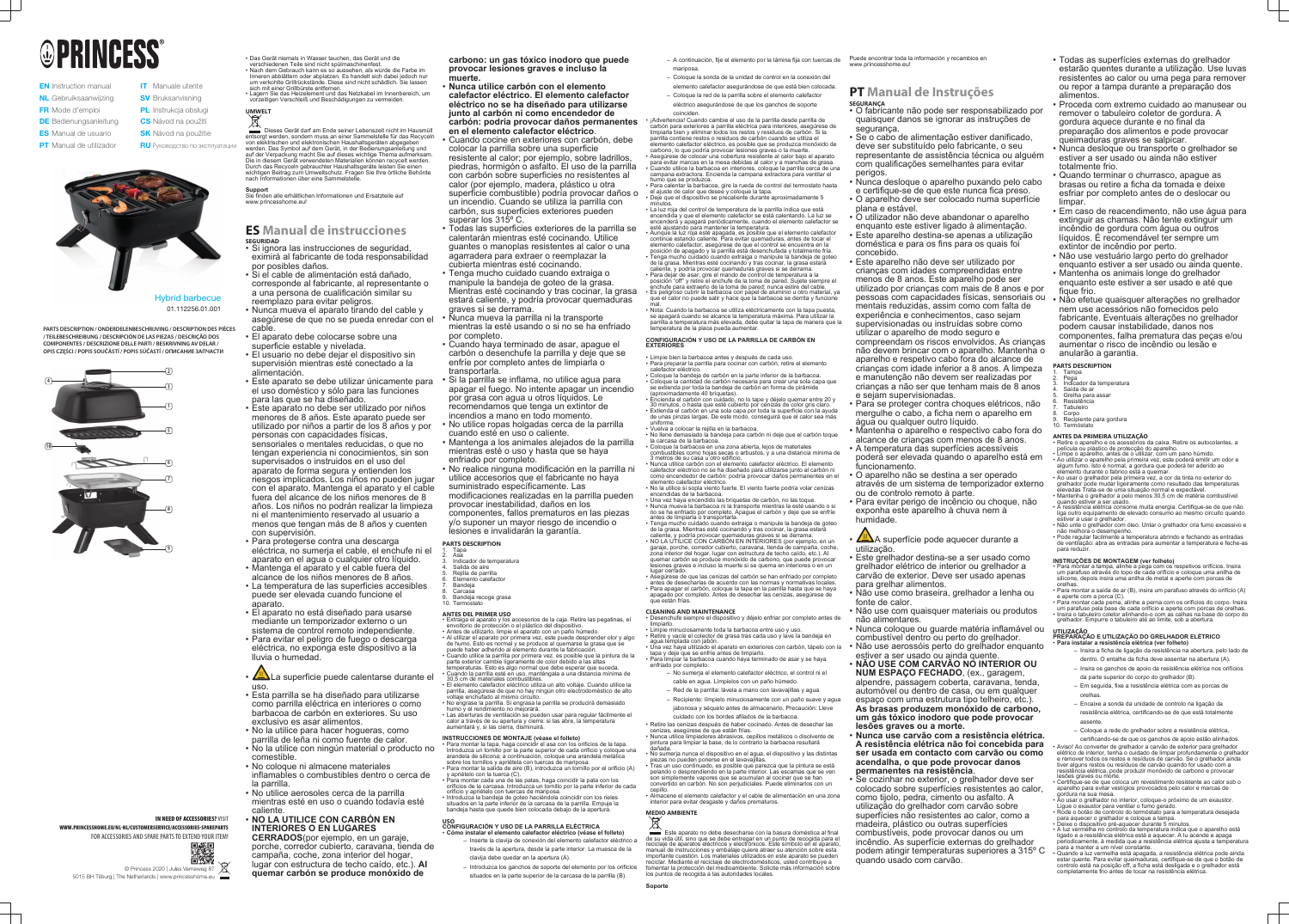# **OPRINCESS**

- **EN** Instruction manual NL Gebruiksaanwijzing FR Mode d'emploi **DE** Bedienungsanleitung **ES** Manual de usuario **PT** Manual de utilizador
- **IT** Manuale utente **SV** Bruksanvisning **CS** Návod na použití **PL** Instrukcja obsługi
- **SK** Návod na použitie **RU** Руководство по эксплуатации



Hybrid barbecue 01.112256.01.001



### IN NEED OF ACCESSORIES? VISIT

**PARTS DESCRIPTION / ONDERDELENBESCHRIJVING / DESCRIPTION DES PIÈCES / TEILEBESCHREIBUNG / DESCRIPCIÓN DE LAS PIEZAS / DESCRIÇÃO DOS COMPONENTES / DESCRIZIONE DELLE PARTI / BESKRIVNING AV DELAR / OPIS CZĘŚCI / POPIS SOUČÁSTÍ / POPIS SÚČASTÍ / ОПИСАНИЕ ЗАПЧАСТИ**

> © Princess 2020 | Jules Verneweg 87 5015 BH Tilburg | The Netherlands | www.princesshome.eu

## **UMWELT**  $\boxtimes$

WWW.PRINCESSHOME.EU/NL-NL/CUSTOMERSERVICE/ACCESSORIES-SPAREPARTS FOR ACCESSORIES AND SPARE PARTS TO EXTEND YOUR ITEM!



Dieses Gerät darf am Ende seiner Lebenszeit nicht im Hausmüll entsorgt werden, sondern muss an einer Sammelstelle für das Recycelr von elektrischen und elektronischen Haushaltsgeräten abgegeben werden. Das Symbol auf dem Gerät, in der Bedienungsanleitung und auf der Verpackung macht Sie auf dieses wichtige Thema aufmerksam. Die in diesem Gerät verwendeten Materialien können recycelt werden. Durch das Recyceln gebrauchter Haushaltsgeräte leisten Sie einen wichtigen Beitrag zum Umweltschutz. Fragen Sie Ihre örtliche Behörde nach Informationen über eine Sammelstelle.

- Das Gerät niemals in Wasser tauchen, das Gerät und die verschiedenen Teile sind nicht spülmaschinenfest.
- Nach dem Gebrauch kann es so aussehen, als würde die Farbe im Inneren abblättern oder abplatzen. Es handelt sich dabei jedoch nur um verkohlte Grillrückstände. Diese sind nicht schädlich. Sie lassen
- sich mit einer Grillbürste entfernen. • Lagern Sie das Heizelement und das Netzkabel im Innenbereich, um vorzeitigen Verschleiß und Beschädigungen zu vermeiden.

**Support** Sie finden alle erhältlichen Informationen und Ersatzteile auf www.princesshome.eu!

## **ES Manual de instrucciones SEGURIDAD**

- **Nunca utilice carbón con el elemento calefactor eléctrico. El elemento calefactor eléctrico no se ha diseñado para utilizarse junto al carbón ni como encendedor de carbón: podría provocar daños permanentes en el elemento calefactor eléctrico**.
- Cuando cocine en exteriores con carbón, debe colocar la parrilla sobre una superficie resistente al calor; por ejemplo, sobre ladrillos, piedras, hormigón o asfalto. El uso de la parrilla con carbón sobre superficies no resistentes al calor (por ejemplo, madera, plástico u otra superficie combustible) podría provocar daños o un incendio. Cuando se utiliza la parrilla con carbón, sus superficies exteriores pueden superar los 315º C.
- Todas las superficies exteriores de la parrilla se calentarán mientras esté cocinando. Utilice guantes o manoplas resistentes al calor o una agarradera para extraer o reemplazar la cubierta mientras esté cocinando.
- Tenga mucho cuidado cuando extraiga o manipule la bandeja de goteo de la grasa. Mientras esté cocinando y tras cocinar, la grasa estará caliente, y podría provocar quemaduras graves si se derrama.
- Nunca mueva la parrilla ni la transporte mientras la esté usando o si no se ha enfriado
- por completo. • Cuando haya terminado de asar, apague el carbón o desenchufe la parrilla y deje que se enfríe por completo antes de limpiarla o transportarla.
- Si la parrilla se inflama, no utilice agua para apagar el fuego. No intente apagar un incendio por grasa con agua u otros líquidos. Le recomendamos que tenga un extintor de incendios a mano en todo momento.
- No utilice ropas holgadas cerca de la parrilla cuando esté en uso o caliente.
- Mantenga a los animales alejados de la parrilla mientras esté o uso y hasta que se haya enfriado por completo.
- No realice ninguna modificación en la parrilla ni utilice accesorios que el fabricante no haya suministrado específicamente. Las modificaciones realizadas en la parrilla pueden provocar inestabilidad, daños en los componentes, fallos prematuros en las piezas y/o suponer un mayor riesgo de incendio o lesiones e invalidarán la garantía.
- **PARTS DESCRIPTION**
- 1. Tapa 2. Asa
- Indicador de temperatura Salida de aire
- Rejilla de parrilla
- 6. Elemento calefactor **Bandeia**
- Carcasa
- Bandeja recoge grasa Termostato
- Si ignora las instrucciones de seguridad, eximirá al fabricante de toda responsabilidad por posibles daños.
- Si el cable de alimentación está dañado, corresponde al fabricante, al representante o a una persona de cualificación similar su reemplazo para evitar peligros.
- Nunca mueva el aparato tirando del cable y asegúrese de que no se pueda enredar con el cable.
- El aparato debe colocarse sobre una superficie estable y nivelada.
- El usuario no debe dejar el dispositivo sin supervisión mientras esté conectado a la alimentación.
- Este aparato se debe utilizar únicamente para el uso doméstico y sólo para las funciones para las que se ha diseñado.
- Este aparato no debe ser utilizado por niños menores de 8 años. Este aparato puede ser utilizado por niños a partir de los 8 años y por personas con capacidades físicas, sensoriales o mentales reducidas, o que no tengan experiencia ni conocimientos, sin son supervisados o instruidos en el uso del aparato de forma segura y entienden los riesgos implicados. Los niños no pueden jugar con el aparato. Mantenga el aparato y el cable fuera del alcance de los niños menores de 8 años. Los niños no podrán realizar la limpieza ni el mantenimiento reservado al usuario a menos que tengan más de 8 años y cuenten con supervisión.
- Para protegerse contra una descarga eléctrica, no sumerja el cable, el enchufe ni el aparato en el agua o cualquier otro líquido.
- Mantenga el aparato y el cable fuera del alcance de los niños menores de 8 años.
- La temperatura de las superficies accesibles puede ser elevada cuando funcione el aparato.
- El aparato no está diseñado para usarse mediante un temporizador externo o un sistema de control remoto independiente.
- Para evitar el peligro de fuego o descarga eléctrica, no exponga este dispositivo a la lluvia o humedad.
- ∠≝∆La superficie puede calentarse durante el uso.
- Esta parrilla se ha diseñado para utilizarse como parrilla eléctrica en interiores o como barbacoa de carbón en exteriores. Su uso exclusivo es asar alimentos.
- No la utilice para hacer hogueras, como parrilla de leña ni como fuente de calor.
- No la utilice con ningún material o producto no comestible.
- No coloque ni almacene materiales inflamables o combustibles dentro o cerca de la parrilla.
- No utilice aerosoles cerca de la parrilla mientras esté en uso o cuando todavía esté caliente.

## • **NO LA UTILICE CON CARBÓN EN INTERIORES O EN LUGARES**

**CERRADOS**(por ejemplo, en un garaje, porche, corredor cubierto, caravana, tienda de campaña, coche, zona interior del hogar, lugar con estructura de techo caído, etc.). **Al quemar carbón se produce monóxido de**

**carbono: un gas tóxico inodoro que puede provocar lesiones graves e incluso la muerte.**

> • Nota: Cuando la barbacoa se utiliza eléctricamente con la tapa puesta, se apagará cuando se alcance la temperatura máxima. Para utilizar la parrilla a temperatura más elevada, debe quitar la tapa de manera que la temperatura de la placa pueda aumentar

## **ANTES DEL PRIMER USO**

- Extraiga el aparato y los accesorios de la caja. Retire las pegatinas, el envoltorio de protección o el plástico del dispositivo. • Antes de utilizarlo, limpie el aparato con un paño húmedo.
- Al utilizar el aparato por primera vez, este puede desprender olor y algo de humo. Esto es normal y se produce al quemarse la grasa que se puede haber adherido al elemento durante la fabricación.
- Cuando utilice la parrilla por primera vez, es posible que la pintura de la parte exterior cambie ligeramente de color debido a las altas temperaturas. Esto es algo normal que debe esperar que suceda. • Cuando la parrilla esté en uso, manténgala a una distancia mínima de
- 30,5 cm de materiales combustibles. • El elemento calefactor eléctrico utiliza un alto voltaje. Cuando utilice la parrilla, asegúrese de que no hay ningún otro electrodoméstico de alto
- voltaje enchufado al mismo circuito. • No engrase la parrilla. Si engrasa la parrilla se producirá demasiado humo y el rendimiento no mejorará.
- Las aberturas de ventilación se pueden usar para regular fácilmente el calor a través de su apertura y cierre: si las abre, la temperatura aumentará y, si las cierra, disminuirá.

## **INSTRUCCIONES DE MONTAJE (véase el folleto)**

**Este aparato no debe desecharse con la basura doméstica al final** de su vida útil, sino que se debe entregar en un punto de recogida para el reciclaje de aparatos eléctricos y electrónicos. Este símbolo en el aparato, manual de instrucciones y embalaje quiere atraer su atención sobre esta importante cuestión. Los materiales utilizados en este aparato se pueden reciclar. Mediante el reciclaje de electrodomésticos, usted contribuye a fomentar la protección del medioambiente. Solicite más información sobre los puntos de recogida a las autoridades locales.

- Para montar la tapa, haga coincidir el asa con los orificios de la tapa. Introduzca un tornillo por la parte superior de cada orificio y coloque una arandela de silicona; a continuación, coloque una arandela metálica sobre los tornillos y apriétela con tuercas de mariposa. • Para montar la salida de aire (B), introduzca un tornillo por el orificio (A)
- y apriételo con la tuerca (C). • Para montar cada una de las patas, haga coincidir la pata con los orificios de la carcasa. Introduzca un tornillo por la parte inferior de cada orificio y apriételo con tuercas de mariposa.
- Introduzca la bandeja de goteo haciéndola coincidir con los rieles situados en la parte inferior de la carcasa de la parrilla. Empuje la bandeja hasta que quede bien colocada debajo de la apertura.

## **USO CONFIGURACIÓN Y USO DE LA PARRILLA ELÉCTRICA**

- **Cómo instalar el elemento calefactor eléctrico (véase el folleto)**
	- Inserte la clavija de conexión del elemento calefactor eléctrico a través de la apertura, desde la parte interior. La muesca de la clavija debe quedar en la apertura (A).
	- Introduzca los ganchos de soporte del elemento por los orificios situados en la parte superior de la carcasa de la parrilla (B).
- A continuación, fije el elemento por la lámina fija con tuercas de mariposa.
- Coloque la sonda de la unidad de control en la conexión del elemento calefactor asegurándose de que está bien colocada.
- Coloque la red de la parrilla sobre el elemento calefactor eléctrico asegurándose de que los ganchos de soporte
- coinciden. • ¡Advertencia! Cuando cambie el uso de la parrilla desde parrilla de carbón para exteriores a parrilla eléctrica para interiores, asegúrese de

limpiarla bien y eliminar todos los restos y residuos de carbón. Si la parrilla contiene restos o residuos de carbón cuando se utiliza el elemento calefactor eléctrico, es posible que se produzca monóxido de carbono, lo que podría provocar lesiones graves o la muerte.

• Asegúrese de colocar una cobertura resistente al calor bajo el aparato para evitar marcas en la mesa debidas al calor y a manchas de grasa. • Cuando utilice la barbacoa en interiores, coloque la parrilla cerca de una campana extractora. Encienda la campana extractora para ventilar el humo que se produzca.

• Para calentar la barbacoa, gire la rueda de control del termostato hasta el ajuste de calor que desee y coloque la tapa. • Deje que el dispositivo se precaliente durante aproximadamente 5 minutos.

- 1. Tampa Pega
- Indicador da temperatura
- Saída de ar Grelha para assar
- Resistência
- 7. Tabuleiro Corpo
- Recipiente para gordura Termóstato

• La luz roja del control de temperatura de la parrilla indica que está encendida y que el elemento calefactor se está calentando. La luz se encenderá y apagará periódicamente, cuando el elemento calefactor se esté ajustando para mantener la temperatura. • Aunque la luz roja esté apagada, es posible que el elemento calefactor

continúe estando caliente. Para evitar quemaduras, antes de tocar el elemento calefactor, asegúrese de que el control se encuentra en la posición de apagado y la parrilla está desenchufada y totalmente fría. • Tenga mucho cuidado cuando extraiga o manipule la bandeja de goteo de la grasa. Mientras esté cocinando y tras cocinar, la grasa estará

caliente, y podría provocar quemaduras graves si se derrama. • Para dejar de asar, gire el mando de control de temperatura a la posición "off" y retire el enchufe de la toma de pared. Sujete siempre el enchufe para extraerlo de la toma de pared; nunca estire del cable. • Es peligroso cubrir la barbacoa con papel de aluminio u otro material, ya que el calor no puede salir y hace que la barbacoa se derrita y funcione

- Para montar a tampa, alinhe a pega com os respetivos orifícios. Insira um parafuso através do topo de cada orifício e coloque uma anilha de silicone, depois insira uma anilha de metal e aperte com porcas de orelhas.
- Para montar a saída de ar (B), insira um parafuso através do orifício (A) e aperte com a porca (C). • Para montar cada perna, alinhe a perna com os orifícios do corpo. Insira um parafuso pela base de cada orifício e aperte com porcas de orelhas.
- Insira o tabuleiro coletor alinhando-o com as calhas na base do corpo do grelhador. Empurre o tabuleiro até ao limite, sob a abertura.

mal.

#### **CONFIGURACIÓN Y USO DE LA PARRILLA DE CARBÓN EN EXTERIORES**

• Limpie bien la barbacoa antes y después de cada uso.

- Para preparar la parrilla para cocinar con carbón, retire el elemento calefactor eléctrico.
- Coloque la bandeja de carbón en la parte inferior de la barbacoa. • Coloque la cantidad de carbón necesaria para crear una sola capa que se extienda por toda la bandeja de carbón en forma de pirámide
- (aproximadamente 40 briquetas). • Encienda el carbón con cuidado, no lo tape y déjelo quemar entre 20 y 30 minutos, o hasta que esté cubierto por cenizas de color gris claro. • Extienda el carbón en una sola capa por toda la superficie con la ayuda
- de unas pinzas largas. De este modo, conseguirá que el calor sea más uniforme. • Vuelva a colocar la rejilla en la barbacoa.
- $\bullet$  No llene demasiado la bandeja para carbón ni deje que el carbón toque la carcasa de la barbacoa. • Coloque la barbacoa en una zona abierta, lejos de materiales
- combustibles como hojas secas o arbustos, y a una distancia mínima de 3 metros de su casa u otro edificio.
- Nunca utilice carbón con el elemento calefactor eléctrico. El elemento calefactor eléctrico no se ha diseñado para utilizarse junto al carbón ni como encendedor de carbón: podría provocar daños permanentes en el elemento calefactor eléctrico.
- No la utilice si sopla viento fuerte. El viento fuerte podría volar cenizas encendidas de la barbacoa.
- Una vez haya encendido las briquetas de carbón, no las toque. • Nunca mueva la barbacoa ni la transporte mientras la esté usando o si no se ha enfriado por completo. Apague el carbón y deje que se enfríe antes de limpiarla o transportarla.
- Tenga mucho cuidado cuando extraiga o manipule la bandeja de goteo de la grasa. Mientras esté cocinando y tras cocinar, la grasa estará
- caliente, y podría provocar quemaduras graves si se derrama. • NO LA UTILICE CON CARBÓN EN INTERIORES (por ejemplo, en un garaje, porche, corredor cubierto, caravana, tienda de campaña, coche, zona interior del hogar, lugar con estructura de techo caído, etc.). Al
- quemar carbón se produce monóxido de carbono, que puede provocar lesiones graves e incluso la muerte si se quema en interiores o en un lugar cerrado. • Asegúrese de que las cenizas del carbón se han enfriado por completo

antes de desecharlas de acuerdo con las normas y normativas locales. • Para apagar el carbón, coloque la tapa en la parrilla hasta que se haya apagado por completo. Antes de desechar las cenizas, asegúrese de que están frías.

## **CLEANING AND MAINTENANCE**

• Desenchufe siempre el dispositivo y déjelo enfriar por completo antes de limpiarlo. • Limpie minuciosamente toda la barbacoa entre uso y uso.

- Retire y vacíe el colector de grasa tras cada uso y lave la bandeja en agua templada con jabón.
- Una vez haya utilizado el aparato en exteriores con carbón, tápelo con la tapa y deje que se enfríe antes de limpiarlo.
- Para limpiar la barbacoa cuando haya terminado de asar y se haya enfriado por completo: – No sumerja el elemento calefactor eléctrico, el control ni el
	- cable en agua. Límpielos con un paño húmedo.
	- Red de la parrilla: lávela a mano con lavavajillas y agua. – Recipiente: límpielo minuciosamente con un paño suave y agua jabonosa y séquelo antes de almacenarlo. Precaución: Lleve
- cuidado con los bordes afilados de la barbacoa. • Retire las cenizas después de haber cocinado. Antes de desechar las cenizas, asegúrese de que están frías.
- Nunca utilice limpiadores abrasivos, cepillos metálicos o disolvente de pintura para limpiar la base, de lo contrario la barbacoa resultará
- No sumerja nunca el dispositivo en el agua, el dispositivo y las distintas piezas no pueden ponerse en el lavavajillas. • Tras un uso continuado, es posible que parezca que la pintura se está pelando o desprendiendo en la parte interior. Las escamas que se ven son simplemente vapores que se acumulan al cocinar que se han
- convertido en carbón. No son perjudiciales. Puede eliminarlos con un • Almacene el elemento calefactor y el cable de alimentación en una zona

dañada. cepillo.

interior para evitar desgaste y daños prematuros.

## **MEDIO AMBIENTE**

**Soporte**

#### Puede encontrar toda la información y recambios en www.princesshome.eu!

## **PT Manual de Instruções SEGURANÇA**

- O fabricante não pode ser responsabilizado por quaisquer danos se ignorar as instruções de segurança.
- Se o cabo de alimentação estiver danificado, deve ser substituído pelo fabricante, o seu representante de assistência técnica ou alguém com qualificações semelhantes para evitar perigos.
- Nunca desloque o aparelho puxando pelo cabo e certifique-se de que este nunca fica preso.
- O aparelho deve ser colocado numa superfície plana e estável.
- O utilizador não deve abandonar o aparelho enquanto este estiver ligado à alimentação.
- Este aparelho destina-se apenas a utilização doméstica e para os fins para os quais foi concebido.
- Este aparelho não deve ser utilizado por crianças com idades compreendidas entre menos de 8 anos. Este aparelho pode ser utilizado por crianças com mais de 8 anos e por pessoas com capacidades físicas, sensoriais ou • Não efetue quaisquer alterações no grelhador mentais reduzidas, assim como com falta de experiência e conhecimentos, caso sejam supervisionadas ou instruídas sobre como utilizar o aparelho de modo seguro e compreendam os riscos envolvidos. As crianças não devem brincar com o aparelho. Mantenha o aparelho e respetivo cabo fora do alcance de crianças com idade inferior a 8 anos. A limpeza e manutenção não devem ser realizadas por crianças a não ser que tenham mais de 8 anos e sejam supervisionadas.
- Para se proteger contra choques elétricos, não mergulhe o cabo, a ficha nem o aparelho em água ou qualquer outro líquido.
- Mantenha o aparelho e respectivo cabo fora do alcance de crianças com menos de 8 anos.
- A temperatura das superfícies acessíveis poderá ser elevada quando o aparelho está em
- funcionamento. • O aparelho não se destina a ser operado através de um sistema de temporizador externo
- ou de controlo remoto à parte. • Para evitar perigo de incêncio ou choque, não
- exponha este aparelho à chuva nem à humidade.
- $\sqrt{M}$ A superfície pode aquecer durante a utilização.
- Este grelhador destina-se a ser usado como grelhador elétrico de interior ou grelhador a carvão de exterior. Deve ser usado apenas para grelhar alimentos.
- Não use como braseira, grelhador a lenha ou
- fonte de calor. • Não use com quaisquer materiais ou produtos
- não alimentares. • Nunca coloque ou guarde matéria inflamável ou
- combustível dentro ou perto do grelhador. • Não use aerossóis perto do grelhador enquanto
- estiver a ser usado ou ainda quente. • **NÃO USE COM CARVÃO NO INTERIOR OU**
- **NUM ESPAÇO FECHADO**, (ex., garagem, alpendre, passagem coberta, caravana, tenda, automóvel ou dentro de casa, ou em qualquer espaço com uma estrutura tipo telheiro, etc.). **As brasas produzem monóxido de carbono, um gás tóxico inodoro que pode provocar lesões graves ou a morte.**
- **Nunca use carvão com a resistência elétrica. A resistência elétrica não foi concebida para ser usada em contacto com carvão ou como acendalha, o que pode provocar danos permanentes na resistência**.
- Se cozinhar no exterior, o grelhador deve ser colocado sobre superfícies resistentes ao calor, como tijolo, pedra, cimento ou asfalto. A utilização do grelhador com carvão sobre superfícies não resistentes ao calor, como a madeira, plástico ou outras superfícies combustíveis, pode provocar danos ou um incêndio. As superfície externas do grelhador podem atingir temperaturas superiores a 315º C quando usado com carvão.
- Todas as superfícies externas do grelhador estarão quentes durante a utilização. Use luvas resistentes ao calor ou uma pega para remover ou repor a tampa durante a preparação dos alimentos.
- Proceda com extremo cuidado ao manusear ou remover o tabuleiro coletor de gordura. A gordura aquece durante e no final da preparação dos alimentos e pode provocar queimaduras graves se salpicar.
- Nunca desloque ou transporte o grelhador se estiver a ser usado ou ainda não estiver totalmente frio.
- Quando terminar o churrasco, apague as brasas ou retire a ficha da tomada e deixe esfriar por completo antes de o deslocar ou limpar.
- Em caso de reacendimento, não use água para extinguir as chamas. Não tente extinguir um incêndio de gordura com água ou outros líquidos. É recomendável ter sempre um extintor de incêndio por perto.
- Não use vestuário largo perto do grelhador enquanto estiver a ser usado ou ainda quente. • Mantenha os animais longe do grelhador enquanto este estiver a ser usado e até que
- fique frio. nem use acessórios não fornecidos pelo fabricante. Eventuais alterações no grelhador podem causar instabilidade, danos nos componentes, falha prematura das peças e/ou aumentar o risco de incêndio ou lesão e anularão a garantia.

## **PARTS DESCRIPTION**

## **ANTES DA PRIMEIRA UTILIZAÇÃO**

- Retire o aparelho e os acessórios da caixa. Retire os autocolantes, a película ou plástico de protecção do aparelho.  $\cdot$  Limpe o aparelho, antes de o utilizar, com um pano húmido.
- Ao utilizar o aparelho pela primeira vez, este poderá emitir um odor e algum fumo. Isto é normal, a gordura que poderá ter aderido ao elemento durante o fabrico está a queimar.
- Ao usar o grelhador pela primeira vez, a cor da tinta no exterior do grelhador pode mudar ligeiramente como resultado das temperaturas elevadas Trata-se de uma situação normal e expectável. • Mantenha o grelhador a pelo menos 30,5 cm de matéria combustível
- quando estiver a ser usado. • A resistência elétrica consome muita energia. Certifique-se de que não liga outro equipamento de elevado consumo ao mesmo circuito quando
- estiver a usar o grelhador. • Não unte o grelhador com óleo. Untar o grelhador cria fumo excessivo e não melhora o desempenho.
- Pode regular facilmente a temperatura abrindo e fechando as entradas de ventilação: abra as entradas para aumentar a temperatura e feche-as para reduzir.

## **INSTRUÇÕES DE MONTAGEM (ver folheto)**

#### **UTILIZAÇÃO PREPARAÇÃO E UTILIZAÇÃO DO GRELHADOR ELÉTRICO** • **Para instalar a resistência elétrica (ver folheto)**

- Insira a ficha de ligação da resistência na abertura, pelo lado de dentro. O entalhe da ficha deve assentar na abertura (A).
- Insira os ganchos de apoio da resistência elétrica nos orifícios
- da parte superior do corpo do grelhador (B).
- Em seguida, fixe a resistência elétrica com as porcas de orelhas.
- Encaixe a sonda da unidade de controlo na ligação da resistência elétrica, certificando-se de que está totalmente
- assente.
- Coloque a rede do grelhador sobre a resistência elétrica,

certificando-se de que os ganchos de apoio estão alinhados. • Aviso! Ao converter de grelhador a carvão de exterior para grelhador elétrico de interior, tenha o cuidado de limpar profundamente o grelhador e remover todos os restos e resíduos de carvão. Se o grelhador ainda tiver alguns restos ou resíduos de carvão quando for usado com a resistência elétrica, pode produzir monóxido de carbono e provocar

lesões graves ou morte. • Certifique-se de que coloca um revestimento resistente ao calor sob o aparelho para evitar vestígios provocados pelo calor e marcas de gordura na sua mesa. • Ao usar o grelhador no interior, coloque-o próximo de um exaustor.

• Rode o botão de controlo do termóstato para a temperatura desejada

para aquecer o grelhador e coloque a tampa. • Deixe o dispositivo pré-aquecer durante 5 minutos.

• A luz vermelha no controlo da temperatura indica que o aparelho está ligado e a resistência elétrica está a aquecer. A lu acende e apaga periodicamente, à medida que a resistência elétrica ajusta a temperatura

para a manter a um nível constante.

• Quando a luz vermelha está apagada, a resistência elétrica pode ainda estar quente. Para evitar queimaduras, certifique-se de que o botão de controlo está na posição off, a ficha está desligada e o grelhador está

completamente frio antes de tocar na resistência elétrica.

Ligue o exaustor para ventilar o fumo gerado.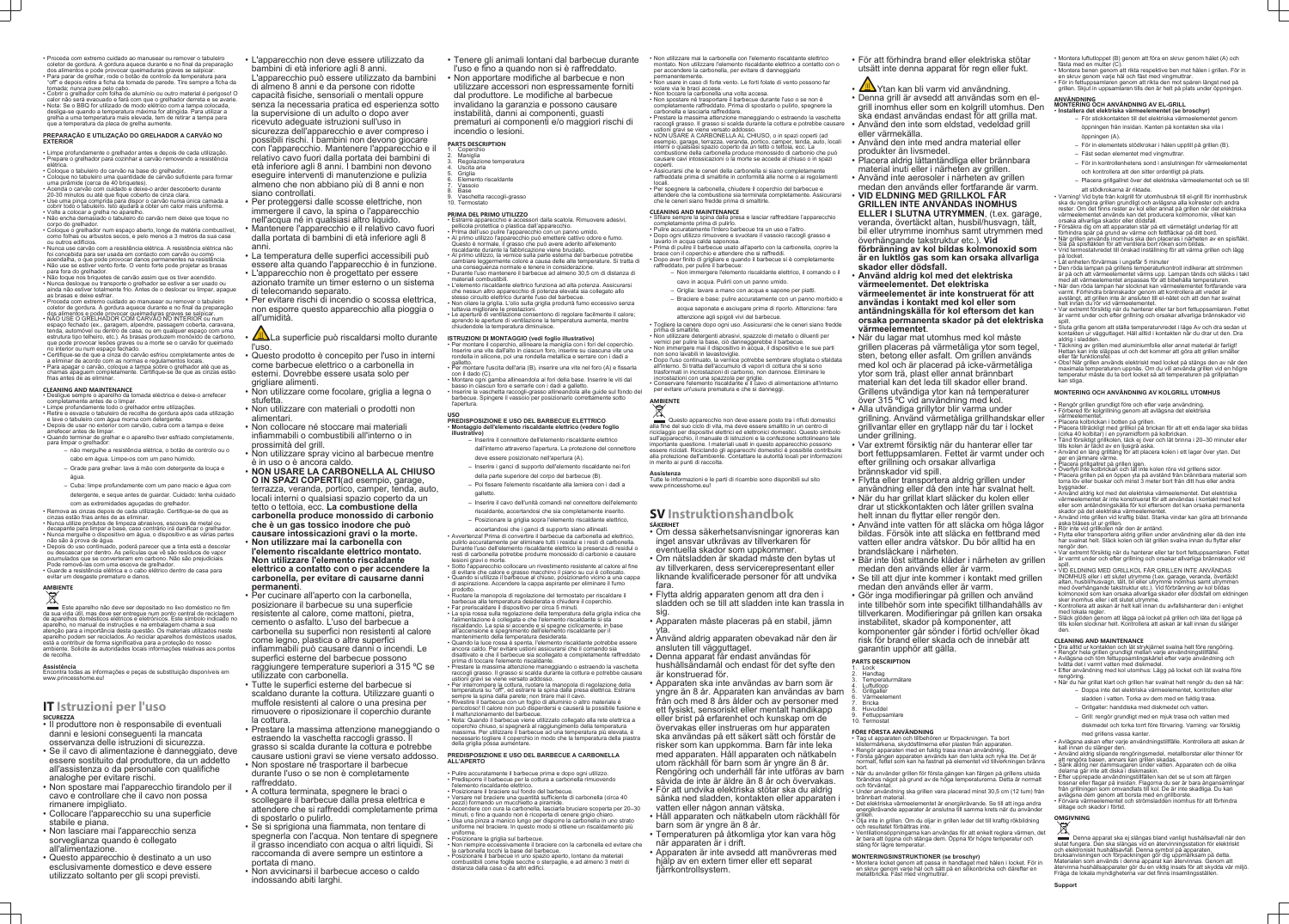- Proceda com extremo cuidado ao manusear ou remover o tabuleiro coletor de gordura. A gordura aquece durante e no final da preparação dos alimentos e pode provocar queimaduras graves se salpicar.
- Para parar de grelhar, rode o botão de controlo da temperatura para "off" e depois retire a ficha da tomada de parede. Tire sempre a ficha da tomada; nunca puxe pelo cabo.
- Cobrir o grelhador com folha de alumínio ou outro material é perigoso! O calor não será evacuado e fará com que o grelhador derreta e se avarie. • Nota: Se o BBQ for utilizado de modo elétrico com a tampa colocada, desliga-se quando a temperatura máxima for atingida. Para utilizar a grelha a uma temperatura mais elevada, tem de retirar a tampa para que a temperatura da placa de grelha aumente.

#### **PREPARAÇÃO E UTILIZAÇÃO DO GRELHADOR A CARVÃO NO EXTERIOR**

- Limpe profundamente o grelhador antes e depois de cada utilização. • Prepare o grelhador para cozinhar a carvão removendo a resistência
- elétrica. • Coloque o tabuleiro do carvão na base do grelhador.
- Coloque no tabuleiro uma quantidade de carvão suficiente para formar uma pirâmide (cerca de 40 briquetes). • Acenda o carvão com cuidado e deixe-o arder descoberto durante
- 20-30 minutos ou até que fique coberto de cinza clara.
- Use uma pinça comprida para dispor o carvão numa única camada a cobrir todo o tabuleiro. Isto ajudará a obter um calor mais uniforme.
- Volte a colocar a grelha no aparelho. • Não encha demasiado o tabuleiro do carvão nem deixe que toque no corpo do grelhador.
- Coloque o grelhador num espaço aberto, longe de matéria combustível, como folhas ou arbustos secos, e pelo menos a 3 metros da sua casa ou outros edifícios.
- Nunca use carvão com a resistência elétrica. A resistência elétrica não foi concebida para ser usada em contacto com carvão ou como acendalha, o que pode provocar danos permanentes na resistência. • Não use se estiver vento forte. O vento forte pode projetar as brasas
- para fora do grelhador. • Não toque nos briquetes de carvão assim que os tiver acendido.
- Nunca desloque ou transporte o grelhador se estiver a ser usado ou ainda não estiver totalmente frio. Antes de o deslocar ou limpar, apague as brasas e deixe esfriar.
- Proceda com extremo cuidado ao manusear ou remover o tabuleiro coletor de gordura. A gordura aquece durante e no final da preparação dos alimentos e pode provocar queimaduras graves se salpicar.
- NÃO USE O GRELHADOR COM CARVÃO NO INTERIOR ou num espaço fechado (ex., garagem, alpendre, passagem coberta, caravana, tenda, automóvel ou dentro de casa, ou em qualquer espaço com uma estrutura tipo telheiro, etc.). As brasas produzem monóxido de carbono, que pode provocar lesões graves ou a morte se o carvão for queimado no interior ou num espaço fechado.
- Certifique-se de que a cinza do carvão esfriou completamente antes de a eliminar de acordo com as normas e regulamentos locais. • Para apagar o carvão, coloque a tampa sobre o grelhador até que as
- chamas apaguem completamente. Certifique-se de que as cinzas estão frias antes de as eliminar.

**Este aparelho não deve ser depositado no lixo doméstico no fim** da sua vida útil, mas deve ser entregue num ponto central de reciclagem de aparelhos domésticos elétricos e eletrónicos. Este símbolo indicado no aparelho, no manual de instruções e na embalagem chama a sua atenção para a importância desta questão. Os materiais utilizados neste aparelho podem ser reciclados. Ao reciclar aparelhos domésticos usados, está a contribuir de forma significativa para a proteção do nosso ambiente. Solicite às autoridades locais informações relativas aos pontos de recolha.

#### **CLEANING AND MAINTENANCE** • Desligue sempre o aparelho da tomada eléctrica e deixe-o arrefecer

- completamente antes de o limpar.
- Limpe profundamente todo o grelhador entre utilizações. • Retire e esvazie o tabuleiro de recolha de gordura após cada utilização
- e lave o tabuleiro com água morna com detergente. • Depois de usar no exterior com carvão, cubra com a tampa e deixe arrefecer antes de limpar.
- Quando terminar de grelhar e o aparelho tiver esfriado completamente, para limpar o grelhador:

#### – não mergulhe a resistência elétrica, o botão de controlo ou o cabo em água. Limpe-os com um pano húmido.

- Grade para grelhar: lave à mão com detergente da louça e água.
- Cuba: limpe profundamente com um pano macio e água com detergente, e seque antes de guardar. Cuidado: tenha cuidado com as extremidades aguçadas do grelhador.
- Remova as cinzas depois de cada utilização. Certifique-se de que as
- cinzas estão frias antes de as eliminar. • Nunca utilize produtos de limpeza abrasivos, escovas de metal ou
- decapante para limpar a base, caso contrário irá danificar o grelhador. • Nunca mergulhe o dispositivo em água, o dispositivo e as várias partes
- não são à prova de água. • Depois do uso continuado, poderá parecer que a tinta está a descolar
- ou descascar por dentro. As películas que vê são resíduos de vapor acumulados que se converteram em carbono. Não são prejudiciais. Pode removê-las com uma escova de grelhador.
- Guarde a resistência elétrica e o cabo elétrico dentro de casa para evitar um desgaste prematuro e danos.

## **AMBIENTE**

#### **PARTS DESCRIPTION** Coperchio

- Maniglia
- Regolazione temperatura 4. Uscita aria
- **Griglia** Elemento riscaldante
- Vassoio **Base**
- Vaschetta raccogli-grasso **Termostato**

## **Assistência**

Encontra todas as informações e peças de substituição disponíveis em www.princesshome.eu!

## **IT Istruzioni per l'uso SICUREZZA**

- Il produttore non è responsabile di eventuali danni e lesioni conseguenti la mancata osservanza delle istruzioni di sicurezza.
- Se il cavo di alimentazione è danneggiato, deve essere sostituito dal produttore, da un addetto all'assistenza o da personale con qualifiche analoghe per evitare rischi.
- Non spostare mai l'apparecchio tirandolo per il cavo e controllare che il cavo non possa rimanere impigliato.
- Collocare l'apparecchio su una superficie stabile e piana.
- Non lasciare mai l'apparecchio senza sorveglianza quando è collegato all'alimentazione.
- Questo apparecchio è destinato a un uso esclusivamente domestico e deve essere utilizzato soltanto per gli scopi previsti.
- L'apparecchio non deve essere utilizzato da bambini di età inferiore agli 8 anni. L'apparecchio può essere utilizzato da bambini di almeno 8 anni e da persone con ridotte capacità fisiche, sensoriali o mentali oppure senza la necessaria pratica ed esperienza sotto la supervisione di un adulto o dopo aver ricevuto adeguate istruzioni sull'uso in sicurezza dell'apparecchio e aver compreso i possibili rischi. I bambini non devono giocare con l'apparecchio. Mantenere l'apparecchio e il relativo cavo fuori dalla portata dei bambini di età inferiore agli 8 anni. I bambini non devono eseguire interventi di manutenzione e pulizia almeno che non abbiano più di 8 anni e non siano controllati.
- Per proteggersi dalle scosse elettriche, non immergere il cavo, la spina o l'apparecchio nell'acqua né in qualsiasi altro liquido.
- Mantenere l'apparecchio e il relativo cavo fuori dalla portata di bambini di età inferiore agli 8 anni.
- La temperatura delle superfici accessibili può essere alta quando l'apparecchio è in funzione.
- L'apparecchio non è progettato per essere azionato tramite un timer esterno o un sistema di telecomando separato.
- Per evitare rischi di incendio o scossa elettrica, non esporre questo apparecchio alla pioggia o all'umidità.
- ∠<sup>III</sup>La superficie può riscaldarsi molto durante l'uso.
- Questo prodotto è concepito per l'uso in interni come barbecue elettrico o a carbonella in esterni. Dovrebbe essere usata solo per grigliare alimenti.
- Non utilizzare come focolare, griglia a legna o stufetta.
- Non utilizzare con materiali o prodotti non alimentari.
- Non collocare né stoccare mai materiali infiammabili o combustibili all'interno o in prossimità del grill.
- Non utilizzare spray vicino al barbecue mentre è in uso o è ancora caldo.
- **NON USARE LA CARBONELLA AL CHIUSO O IN SPAZI COPERTI**(ad esempio, garage, terrazza, veranda, portico, camper, tenda, auto, locali interni o qualsiasi spazio coperto da un tetto o tettoia, ecc. **La combustione della carbonella produce monossido di carbonio che è un gas tossico inodore che può causare intossicazioni gravi o la morte.**
- **Non utilizzare mai la carbonella con l'elemento riscaldante elettrico montato. Non utilizzare l'elemento riscaldante elettrico a contatto con o per accendere la carbonella, per evitare di causarne danni permanenti**.
- Per cucinare all'aperto con la carbonella, posizionare il barbecue su una superficie resistente al calore, come mattoni, pietra, cemento o asfalto. L'uso del barbecue a carbonella su superfici non resistenti al calore come legno, plastica o altre superfici infiammabili può causare danni o incendi. Le superfici esterne del barbecue possono raggiungere temperature superiori a 315 ºC se utilizzate con carbonella.
- Tutte le superfici esterne del barbecue si scaldano durante la cottura. Utilizzare guanti o muffole resistenti al calore o una presina per rimuovere o riposizionare il coperchio durante la cottura.
- Prestare la massima attenzione maneggiando o estraendo la vaschetta raccogli grasso. Il grasso si scalda durante la cottura e potrebbe
- causare ustioni gravi se viene versato addosso. • Non spostare né trasportare il barbecue
- durante l'uso o se non è completamente raffreddato.
- A cottura terminata, spegnere le braci o scollegare il barbecue dalla presa elettrica e attendere che si raffreddi completamente prima di spostarlo o pulirlo.
- Se si sprigiona una fiammata, non tentare di spegnerla con l'acqua. Non tentare di spegnere il grasso incendiato con acqua o altri liquidi. Si raccomanda di avere sempre un estintore a portata di mano.
- Non avvicinarsi il barbecue acceso o caldo indossando abiti larghi.

**Questo apparecchio non deve essere posto tra i rifiuti domestici** alla fine del suo ciclo di vita, ma deve essere smaltito in un centro di riciclaggio per dispositivi elettrici ed elettronici domestici. Questo simbolo sull'apparecchio, il manuale di istruzioni e la confezione sottolineano tale importante questione. I materiali usati in questo apparecchio possono essere riciclati. Riciclando gli apparecchi domestici è possibile contribuire alla protezione dell'ambiente. Contattare le autorità locali per informazioni in merito ai punti di raccolta.

- Tenere gli animali lontani dal barbecue durante l'uso e fino a quando non si è raffreddato.
- Non apportare modifiche al barbecue e non utilizzare accessori non espressamente forniti dal produttore. Le modifiche al barbecue invalidano la garanzia e possono causare instabilità, danni ai componenti, guasti prematuri ai componenti e/o maggiori rischi di incendio o lesioni.

## **PRIMA DEL PRIMO UTILIZZO**

- Estrarre apparecchio e accessori dalla scatola. Rimuovere adesivi, pellicola protettica o plastica dall'apparecchio.
- Prima dell'uso pulire l'apparecchio con un panno umido. • Al primo utilizzo l'apparecchio può emettere cattivo odore e fumo.
- Questo è normale, il grasso che può avere aderito all'elemento riscaldante durante la fabbricazione viene bruciato.
- Al primo utilizzo, la vernice sulla parte esterna del barbecue potrebbe cambiare leggermente colore a causa delle alte temperature. Si tratta di una conseguenza normale e tenere in considerazione. • Durante l'uso mantenere il barbecue ad almeno 30,5 cm di distanza di
- materiali combustibili. • L'elemento riscaldante elettrico funziona ad alta potenza. Assicurarsi
- che nessun altro apparecchio di potenza elevata sia collegato allo tesso circuito elettrico durante l'uso del barbecue
- Non oliare la griglia. L'olio sulla griglia produrrà fumo eccessivo senza tuttavia migliorare le prestazioni.
- Le aperture di ventilazione consentono di regolare facilmente il calore; aprendo le aperture di ventilazione la temperatura aumenta, mentre chiudendole la temperatura diminuisce.

## **ISTRUZIONI DI MONTAGGIO (vedi foglio illustrativo)**

- Per montare il coperchio, allineare la maniglia con i fori del coperchio. Inserire una vite dall'alto in ciascun foro, inserire su ciascuna vite una rondella in silicone, poi una rondella metallica e serrare con i dadi a galletto.
- Per montare l'uscita dell'aria (B), inserire una vite nel foro (A) e fissarla con il dado (C). • Montare ogni gamba allineandola ai fori della base. Inserire le viti dal
- basso in ciascun foro e serrarle con i dadi a galletto. • Inserire la vaschetta raccogli-grasso allineandola alle guide sul fondo del barbecue. Spingere il vassoio per posizionarlo correttamente sotto l'apertura.

#### **PARTS DESCRIPTION** l ock

- Handtag
- **Temperaturmätare** Luftutlopp
- Grillgaller
- 6. Värmeelement 7. Bricka
- **Huvuddel**
- Fettuppsamlare 10. Termostat

#### **USO PREDISPOSIZIONE E USO DEL BARBECUE ELETTRICO** • **Montaggio dell'elemento riscaldante elettrico (vedere foglio illustrativo)**

- Inserire il connettore dell'elemento riscaldante elettrico dall'interno attraverso l'apertura. La protezione del connettore deve essere posizionato nell'apertura (A).
- Inserire i ganci di supporto dell'elemento riscaldante nei fori
- della parte superiore del corpo del barbecue (B). – Poi fissare l'elemento riscaldante alla lamiera con i dadi a
- galletto
- Inserire il cavo dell'unità comandi nel connettore dell'elemento riscaldante, accertandosi che sia completamente inserito. – Posizionare la griglia sopra l'elemento riscaldante elettrico,

accertandosi che i ganci di supporto siano allineati. • Avvertenza! Prima di convertire il barbecue da carbonella ad elettrico, pulirlo accuratamente per eliminare tutti i residui e i resti di carbonella. Durante l'uso dell'elemento riscaldante elettrico la presenza di residui o resti di carbonella potrebbe produrre monossido di carbonio e causare

lesioni gravi o morte. • Sotto l'apparecchio collocare un rivestimento resistente al calore al fine di evitare che calore e grasso macchino il piano su cui è collocato. • Quando si utilizza il barbecue al chiuso, posizionarlo vicino a una cappa

- di aspirazione. Accendere la cappa aspirante per eliminare il fumo prodotto. • Ruotare la manopola di regolazione del termostato per riscaldare il barbecue alla temperatura desiderata e chiudere il coperchio.
- Far preriscaldare il dispositivo per circa 5 minuti. • La spia rossa sulla regolazione della temperatura della griglia indica che l'alimentazione è collegata e che l'elemento riscaldante si sta
- riscaldando. La spia si accende e si spegne ciclicamente, in base all'accensione e spegnimento dell'elemento riscaldante per il mantenimento della temperatura desiderata.
- Quando la luce rossa è spenta, l'elemento riscaldante potrebbe essere ancora caldo. Per evitare ustioni assicurarsi che il comando sia disattivato e che il barbecue sia scollegato e completamente raffreddato prima di toccare l'elemento riscaldante.
- Prestare la massima attenzione maneggiando o estraendo la vaschetta raccogli grasso. Il grasso si scalda durante la cottura e potrebbe causare
- ustioni gravi se viene versato addosso. • Per interrompere la cottura, ruotare la manopola di regolazione della temperatura su "off", ed estrarre la spina dalla presa elettrica. Estrarre sempre la spina dalla parete; non tirare mai il cavo.

• Rivestire il barbecue con un foglio di alluminio o altro materiale è pericoloso! Il calore non può disperdersi e causerà la possibile fusione e

il malfunzionamento del barbecue.

• Nota: Quando il barbecue viene utilizzato collegato alla rete elettrica a coperchio chiuso, si spegnerà al raggiungimento della temperatura massima. Per utilizzare il barbecue ad una temperatura più elevata, è necessario togliere il coperchio in modo che la temperatura della piastra • VID ELDNING MED GRILLKOL FÅR GRILLEN INTE ANVÄNDAS INOMHUS eller i ett slutet utrymme (t.ex. garage, veranda, övertäckt altan, husbil/husvagn, tält, bil eller utrymme inomhus samt utrymmen med överhängande takstruktur etc.). Vid förbränning av kol bildas kolmonoxid som kan orsaka allvarliga skador eller dödsfall om eldningen

della griglia possa aumentare.

**PREDISPOSIZIONE E USO DEL BARBECUE A CARBONELLA**

**ALL'APERTO**

• Släck glöden genom att lägga på locket på grillen och låta det ligga på tills kolen slocknar helt. Kontrollera att askan är kall innan du slänge

• Pulire accuratamente il barbecue prima e dopo ogni utilizzo. • Predisporre il barbecue per la cottura a carbonella rimuovendo

l'elemento riscaldante elettrico.

• Dra alltid ur kontakten och låt strykjärnet svalna helt före rengöring. • Rengör hela grillen grundligt mellan varje användningstillfälle. • Avlägsna och töm fettuppsamlingskärlet efter varie användning och

• Posizionare il braciere sul fondo del barbecue.

• Versare nel braciere una quantità sufficiente di carbonella (circa 40

pezzi) formando un mucchietto a piramide.

la carbonella tocchi la base del barbecue

• Accendere con cura la carbonella, lasciarla bruciare scoperta per 20–30 minuti, o fino a quando non è ricoperta di cenere grigio chiaro. • Usa una pinza a manico lungo per disporre la carbonella in uno strato uniforme nel braciere. In questo modo si ottiene un riscaldamento più

uniforme.

• Posizionare la griglia sul barbecue. • Non riempire eccessivamente il braciere con la carbonella ed evitare che

• Posizionare il barbecue in uno spazio aperto, lontano da materiali combustibili come foglie secche o sterpaglie, e ad almeno 3 metri di

Denna apparat ska ej slängas bland vanligt hushållsavfall när den slutat fungera. Den ska slängas vid en återvinningsstation för elektriskt

och elektroniskt hushållsavfall. Denna symbol på apparaten, bruksanvisningen och förpackningen gör dig uppmärksam på detta. Materialen som används i denna apparat kan återvinnas. Genom att återvinna hushållsapparater gör du en viktig insats för att skydda vår miljö.

distanza dalla casa o da altri edifici.

• Non utilizzare mai la carbonella con l'elemento riscaldante elettrico montato. Non utilizzare l'elemento riscaldante elettrico a contatto con o per accendere la carbonella, per evitare di danneggiarlo

- permanentemente.  $\cdot$  Non usare in caso di forte vento. Le forti folate di vento possono far volare via le braci accese.
- Non toccare la carbonella una volta accesa.
- Non spostare né trasportare il barbecue durante l'uso o se non è completamente raffreddato. Prima di spostarlo o pulirlo, spegnere la
- carbonella e lasciarla raffreddare. • Prestare la massima attenzione maneggiando o estraendo la vaschetta raccogli grasso. Il grasso si scalda durante la cottura e potrebbe causare ustioni gravi se viene versato addosso.
- NON USARE A CARBONELLA AL CHIUSO, o in spazi coperti (ad esempio, garage, terrazza, veranda, portico, camper, tenda, auto, locali interni o qualsiasi spazio coperto da un tetto o tettoia, ecc. La
- combustione della carbonella produce monossido di carbonio che può causare cavi intossicazioni o la morte se accede al chiuso o in spazi coperti.
- Assicurarsi che le ceneri della carbonella si siano completamente raffreddate prima di smaltirle in conformità alle norme o ai regolamenti locali.
- Per spegnere la carbonella, chiudere il coperchio del barbecue e attendere che la combustione sia terminata completamente. Assicurarsi che le ceneri siano fredde prima di smaltirle.

### **CLEANING AND MAINTENANCE**

- Sfilare sempre la spina dalla presa e lasciar raffreddare l'apparecchio completamente prima di pulirlo. • Pulire accuratamente l'intero barbecue tra un uso e l'altro.
- Dopo ogni utilizzo rimuovere e svuotare il vassoio raccogli grasso e lavarlo in acqua calda saponosa. • Prima di pulire il barbecue usato all'aperto con la carbonella, coprire la
- brace con il coperchio e attendere che si raffreddi. • Dopo aver finito di grigliare e quando il barbecue si è completamente raffreddato, per pulire il barbecue:
	- Non immergere l'elemento riscaldante elettrico, il comando o il cavo in acqua. Pulirli con un panno umido.
	- Griglia: lavare a mano con acqua e sapone per piatti.
	- Braciere e base: pulire accuratamente con un panno morbido e acqua saponata e asciugare prima di riporlo. Attenzione: fare
- attenzione agli spigoli vivi del barbecue. • Togliere la cenere dopo ogni uso. Assicurarsi che le ceneri siano fredde prima di smaltirle. • Non utilizzare detergenti abrasivi, spazzole di metallo o diluenti per
- vernici per pulire la base, ciò danneggerebbe il barbecue. • Non immergere mai il dispositivo in acqua, il dispositivo e le sue parti
- non sono lavabili in lavastoviglie. • Dopo l'uso continuato, la vernice potrebbe sembrare sfogliata o sfaldata all'interno. Si tratta dell'accumulo di vapori di cottura che si sono trasformati in incrostazioni di carbonio, non dannose. Eliminare le incrostazioni con una spazzola per griglie.
- Conservare l'elemento riscaldante e il cavo di alimentazione all'interno per evitare un'usura prematura e che si danneggi.

## **AMBIENTE**

#### **Assistenza** Tutte le informazioni e le parti di ricambio sono disponibili sul sito

www.princesshome.eu

## **SV Instruktionshandbok**

- **SÄKERHET**
- Om dessa säkerhetsanvisningar ignoreras kan inget ansvar utkrävas av tillverkaren för eventuella skador som uppkommer.
- Om nätsladden är skadad måste den bytas ut av tillverkaren, dess servicerepresentant eller liknande kvalificerade personer för att undvika fara.
- Flytta aldrig apparaten genom att dra den i sladden och se till att sladden inte kan trassla in sig.
- Apparaten måste placeras på en stabil, jämn yta.
- Använd aldrig apparaten obevakad när den är ansluten till vägguttaget.
- Denna apparat får endast användas för hushållsändamål och endast för det syfte den
- är konstruerad för.
- Apparaten ska inte användas av barn som är yngre än 8 år. Apparaten kan användas av barn från och med 8 års ålder och av personer med
- ett fysiskt, sensoriskt eller mentalt handikapp eller brist på erfarenhet och kunskap om de övervakas eller instrueras om hur apparaten ska användas på ett säkert sätt och förstår de risker som kan uppkomma. Barn får inte leka
- med apparaten. Håll apparaten och nätkabeln utom räckhåll för barn som är yngre än 8 år. Rengöring och underhåll får inte utföras av barn såvida de inte är äldre än 8 år och övervakas.
- För att undvika elektriska stötar ska du aldrig sänka ned sladden, kontakten eller apparaten i vatten eller någon annan vätska.
- Håll apparaten och nätkabeln utom räckhåll för barn som är yngre än 8 år. • Temperaturen på åtkomliga ytor kan vara hög
- när apparaten är i drift.
- Apparaten är inte avsedd att manövreras med hjälp av en extern timer eller ett separat fjärrkontrollsystem.
- För att förhindra brand eller elektriska stötar utsätt inte denna apparat för regn eller fukt.
- $\sqrt{M}$ Ytan kan bli varm vid användning.
- Denna grill är avsedd att användas som en elgrill inomhus eller som en kolgrill utomhus. Den ska endast användas endast för att grilla mat.
- Använd den inte som eldstad, vedeldad grill eller värmekälla.
- Använd den inte med andra material eller produkter än livsmedel.
- Placera aldrig lättantändliga eller brännbara material inuti eller i närheten av grillen.
- Använd inte aerosoler i närheten av grillen medan den används eller fortfarande är varm.
- **VID ELDNING MED GRILLKOL FÅR GRILLEN INTE ANVÄNDAS INOMHUS ELLER I SLUTNA UTRYMMEN**, (t.ex. garage, veranda, övertäckt altan, husbil/husvagn, tält,
- bil eller utrymme inomhus samt utrymmen med överhängande takstruktur etc.). **Vid förbränning av kol bildas kolmonoxid som är en luktlös gas som kan orsaka allvarliga skador eller dödsfall.**
- **Använd aldrig kol med det elektriska värmeelementet. Det elektriska värmeelementet är inte konstruerat för att användas i kontakt med kol eller som antändningskälla för kol eftersom det kan orsaka permanenta skador på det elektriska värmeelementet**.
- När du lagar mat utomhus med kol måste grillen placeras på värmetåliga ytor som tegel, sten, betong eller asfalt. Om grillen används med kol och är placerad på icke-värmetåliga ytor som trä, plast eller annat brännbart material kan det leda till skador eller brand. Grillens utvändiga ytor kan nå temperaturer över 315 ºC vid användning med kol.
- Alla utvändiga grillytor blir varma under grillning. Använd värmetåliga grillhandskar eller grillvantar eller en grytlapp när du tar i locket under grillning.
- Var extremt försiktig när du hanterar eller tar bort fettuppsamlaren. Fettet är varmt under och efter grillning och orsakar allvarliga brännskador vid spill.
- Flytta eller transportera aldrig grillen under användning eller då den inte har svalnat helt.
- När du har grillat klart släcker du kolen eller drar ut stickkontakten och låter grillen svalna helt innan du flyttar eller rengör den.
- Använd inte vatten för att släcka om höga lågor bildas. Försök inte att släcka en fettbrand med vatten eller andra vätskor. Du bör alltid ha en brandsläckare i närheten.
- Bär inte löst sittande kläder i närheten av grillen medan den används eller är varm.
- Se till att djur inte kommer i kontakt med grillen medan den används eller är varm.
- Gör inga modifieringar på grillen och använd inte tillbehör som inte specifikt tillhandahålls av tillverkaren. Modifieringar på grillen kan orsaka instabilitet, skador på komponenter, att komponenter går sönder i förtid och/eller ökad risk för brand eller skada och de innebär att garantin upphör att gälla.

## **FÖRE FÖRSTA ANVÄNDNING**

- Tag ut apparaten och tillbehören ur förpackningen. Ta bort klistermärkena, skyddsfilmerna eller plasten från apparaten.
- Rengör apparaten med en fuktig trasa innan användning. • Första gången apparaten används kan den lukta och ryka lite. Det är normalt, fettet som kan ha fastnat på elementet vid tillverkningen bränns
- bort. • När du använder grillen för första gången kan färgen på grillens utsida förändras något på grund av de höga temperaturerna. Detta är normalt
- och förväntat. • Under användning ska grillen vara placerad minst 30,5 cm (12 tum) från
- brännbart mate • Det elektriska värmeelementet är energikrävande. Se till att inga andra energikrävande apparater är anslutna till samma krets när du använder
- grillen. • Olja inte in grillen. Om du oljar in grillen leder det till kraftig rökbildning
- och resultatet förbättras inte. • Ventilationsöppningarna kan användas för att enkelt reglera värmen, det är bara att öppna och stänga dem. Öppna för högre temperatur och stäng för lägre temperatur.

## **MONTERINGSINSTRUKTIONER (se broschyr)**

• Montera locket genom att passa in handtaget med hålen i locket. För in en skruv genom varje hål och sätt på en silikonbricka och därefter en metallbricka. Fäst med vingmuttrar.

- Montera luftutloppet (B) genom att föra en skruv genom hålet (A) och fästa med en mutter (C).
- Montera benen genom att rikta respektive ben mot hålen i grillen. För in en skruv genom varje hål och fäst med vingmuttrar.
- För in fettuppsamlaren genom att rikta den mot spåren längst ned på grillen. Skjut in uppsamlaren tills den är helt på plats under öppningen.

## **ANVÄNDNING MONTERING OCH ANVÄNDNING AV EL-GRILL**

- **Installera det elektriska värmeelementet (se broschyr)** – För stickkontakten till det elektriska värmeelementet genom öppningen från insidan. Kanten på kontakten ska vila i
	- öppningen (A).
	- För in elementets stödkrokar i hålen upptill på grillen (B). – Fäst sedan elementet med vingmuttrar.
	- För in kontrollenhetens sond i anslutningen för värmeelementet
	- och kontrollera att den sitter ordentligt på plats. – Placera grillgallret över det elektriska värmeelementet och se till
	- att stödkrokarna är riktade.

• Varning! Vid byte från kolgrill för utomhusbruk till el-grill för inomhusbruk ska du rengöra grillen grundligt och avlägsna alla kolrester och andra rester. Om det finns rester av kol eller annat på grillen när det elektriska värmeelementet används kan det producera kolmonomix, vilket kan orsaka allvarliga skador eller dödsfall. • Försäkra dig om att apparaten står på ett värmetåligt underlag för att

förhindra spår på grund av värme och fettfläckar på ditt bord. • När grillen används inomhus ska den placeras i närheten av en spisfläkt. Slå på spisfläkten för att ventilera bort röken som bildas • Vrid termostatvredet till önskad inställning för att värma grillen och lägg

- på locket. • Låt enheten förvärmas i ungefär 5 minuter
- Den röda lampan på grillens temperaturkontroll indikerar att strömmen är på och att värmeelementet värms upp. Lampan tänds och släcks i takt med att värmeelementet anpassas för att bibehålla temperaturen.
- När den röda lampan har slocknat kan värmeelementet fortfarande vara varmt. Förhindra brännskador genom att kontrollera att vredet är avstängt, att grillen inte är ansluten till el-nätet och att den har svalnat helt innan du rör vid värmeelementet.
- Var extremt försiktig när du hanterar eller tar bort fettuppsamlaren. Fettet är varmt under och efter grillning och orsakar allvarliga brännskador vid spill.
- Sluta grilla genom att ställa temperaturvredet i läge Av och dra sedan ut kontakten ur vägguttaget. Håll alltid i kontakten när du drar ut den. Dra aldrig i sladden.
- Täckning av grillen med aluminiumfolie eller annat material är farligt! Hettan kan inte släppas ut och det kommer att göra att grillen smälter eller får funktionsfel.
- Obs! När grillen används elektriskt med locket på stängs den av när den maximala temperaturen uppnås. Om du vill använda grillen vid en högre temperatur måste du ta bort locket så att temperaturen på grillplattan kan stiga.

## **MONTERING OCH ANVÄNDNING AV KOLGRILL UTOMHUS**

- Rengör grillen grundligt före och efter varje användning. • Förbered för kolgrillning genom att avlägsna det elektriska
- värmeelementet.
- Placera kolbrickan i botten på grillen. • Placera tillräckligt med grillkol på brickan för att ett enda lager ska bildas (cirka 40 kolbitar) i en pyramidform på kolbrickan. • Tänd försiktigt grillkolen, täck ej över och låt brinna i 20–30 minuter eller
- tills kolen är täckt av en ljusgrå aska. • Använd en lång grilltång för att placera kolen i ett lager över ytan. Det ger en jämnare värme.

• Placera grillgallret på grillen igen.

• Överfyll inte kolbrickan och låt inte kolen röra vid grillens sidor. • Placera grillen på en öppen yta på avstånd från brännbara material som torra löv eller buskar och minst 3 meter bort från ditt hus eller andra

• Använd aldrig kol med det elektriska värmeelementet. Det elektriska värmeelementet är inte konstruerat för att användas i kontakt med kol eller som antändningskälla för kol eftersom det kan orsaka permanenta

• Använd inte grillen vid kraftig blåst. Starka vindar kan göra att brinnande

aska blåses ut ur grillen.

skador på det elektriska värmeelementet

• Rör inte vid grillkolen när den är antänd.

sker inomhus eller i ett slutet utrymme

• Flytta eller transportera aldrig grillen under användning eller då den inte har svalnat helt. Släck kolen och låt grillen svalna innan du flyttar eller

rengör den.

• Var extremt försiktig när du hanterar eller tar bort fettuppsamlaren. Fettet är varmt under och efter grillning och orsakar allvarliga brännskador vid

spill.

• Kontrollera att askan är helt kall innan du avfallshanterar den i enlighet

med lokala regler.

den.

rengöring

**CLEANING AND MAINTENANCE**

byggnader.

tvätta det i varmt vatten med diskmedel.

med grillens vassa kanter

• Efter användning med kol utomhus: Lägg på locket och låt svalna före

• När du har grillat klart och grillen har svalnat helt rengör du den så här: – Doppa inte det elektriska värmeelementet, kontrollen eller sladden i vatten. Torka av dem med en fuktig trasa. – Grillgaller: handdiska med diskmedel och vatten. – Grill: rengör grundligt med en mjuk trasa och vatten med diskmedel och torka torrt före förvaring. Varning: var försiktig

• Avlägsna askan efter varje användningstillfälle. Kontrollera att askan är

kall innan du slänger den.

• Använd aldrig slipande rengöringsmedel, metallborstar eller thinner för

att rengöra basen, annars kan grillen skadas.

• Sänk aldrig ner dammsugaren under vatten. Apparaten och de olika

delarna går inte att diska i diskmaskin.

• Efter upprepade användningstillfällen kan det se ut som att färgen lossnar eller flagar på insidan. Flagorna du ser är bara ångansamlingar från grillningen som omvandlats till kol. De är inte skadliga. Du kan

avlägsna dem genom att borsta med en grillborste.

• Förvara värmeelementet och strömsladden inomhus för att förhindra

slitage och skador i förtid.

**OMGIVNING**

Fråga de lokala myndigheterna var det finns insamlingsställen.

**Support**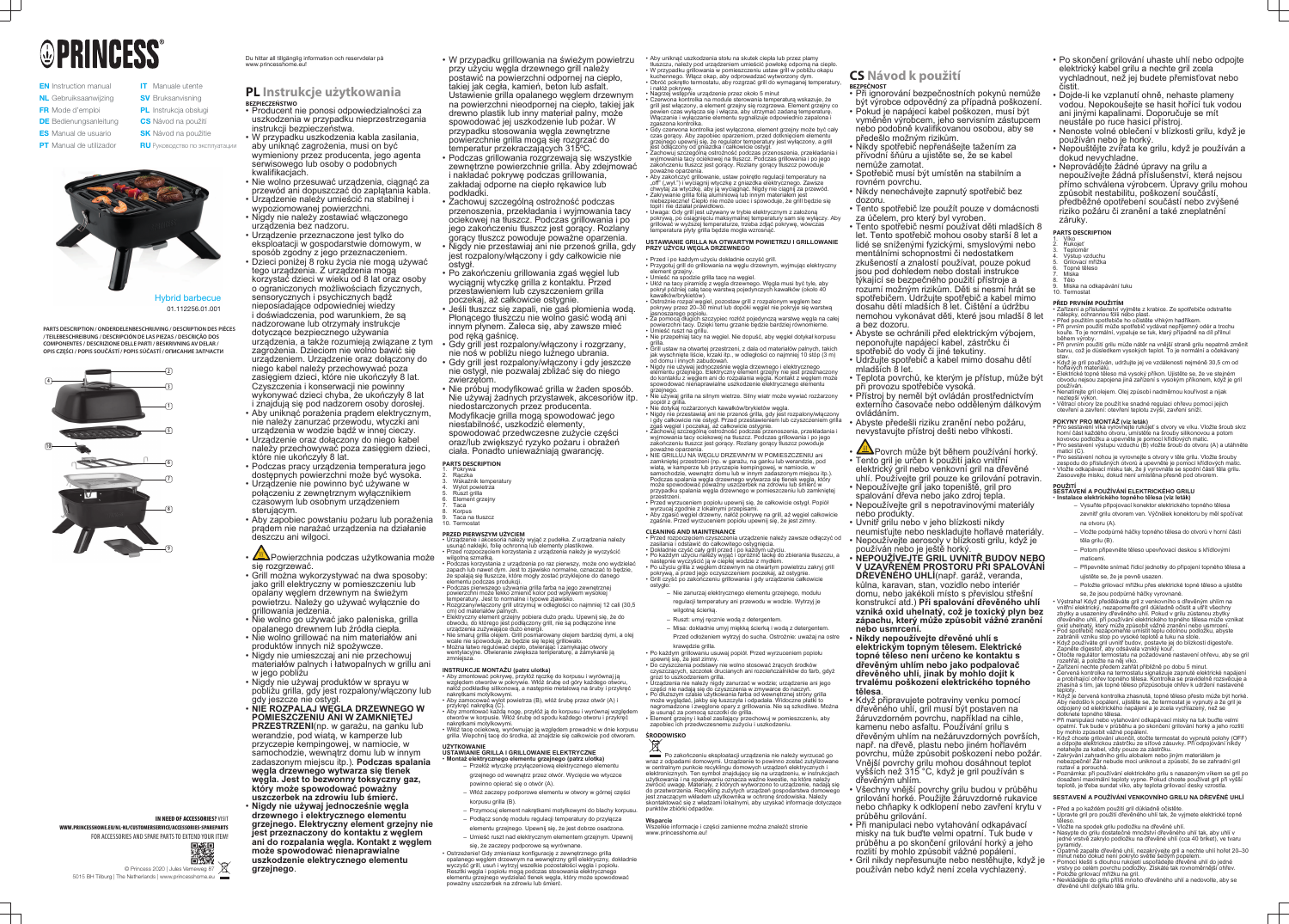# **OPRINCESS®**

- **EN** Instruction manual NL Gebruiksaanwijzing FR Mode d'emploi **DE** Bedienungsanleitung **ES** Manual de usuario **PT** Manual de utilizador **IT** Manuale utente
	- **SV** Bruksanvisning **PL** Instrukcja obsługi
	- **CS** Návod na použití
	- **SK** Návod na použitie **RU** Руководство по эксплуатации



Hybrid barbecue 01.112256.01.001



**IN NEED OF ACCESSORIES? VISIT** 

Du hittar all tillgänglig information och reservdelar på www.princesshome.eu

**PARTS DESCRIPTION / ONDERDELENBESCHRIJVING / DESCRIPTION DES PIÈCES / TEILEBESCHREIBUNG / DESCRIPCIÓN DE LAS PIEZAS / DESCRIÇÃO DOS COMPONENTES / DESCRIZIONE DELLE PARTI / BESKRIVNING AV DELAR / OPIS CZĘŚCI / POPIS SOUČÁSTÍ / POPIS SÚČASTÍ / ОПИСАНИЕ ЗАПЧАСТИ**

> © Princess 2020 | Jules Verneweg 87 5015 BH Tilburg | The Netherlands | www.princesshome.eu

WWW.PRINCESSHOME.EU/NL-NL/CUSTOMERSERVICE/ACCESSORIES-SPAREPARTS FOR ACCESSORIES AND SPARE PARTS TO EXTEND YOUR ITEM!



## **PL Instrukcje użytkowania BEZPIECZEŃSTWO**

- W przypadku grillowania na świeżym powietrzu przy użyciu węgla drzewnego grill należy postawić na powierzchni odpornej na ciepło, takiej jak cegła, kamień, beton lub asfalt. Ustawienie grilla opalanego węglem drzewnym na powierzchni nieodpornej na ciepło, takiej jak drewno plastik lub inny materiał palny, może spowodować jej uszkodzenie lub pożar. W przypadku stosowania węgla zewnętrzne powierzchnie grilla mogą się rozgrzać do temperatur przekraczających 315ºC.
- Podczas grillowania rozgrzewają się wszystkie zewnętrzne powierzchnie grilla. Aby zdejmować i nakładać pokrywę podczas grillowania, zakładaj odporne na ciepło rękawice lub podkładki.
- Zachowuj szczególną ostrożność podczas przenoszenia, przekładania i wyjmowania tacy ociekowej na tłuszcz. Podczas grillowania i po jego zakończeniu tłuszcz jest gorący. Rozlany gorący tłuszcz powoduje poważne oparzenia.
- Nigdy nie przestawiaj ani nie przenoś grilla, gdy jest rozpalony/włączony i gdy całkowicie nie ostygł.
- Po zakończeniu grillowania zgaś węgiel lub wyciągnij wtyczkę grilla z kontaktu. Przed przestawieniem lub czyszczeniem grilla poczekaj, aż całkowicie ostygnie.
- Jeśli tłuszcz się zapali, nie gaś płomienia wodą. Płonącego tłuszczu nie wolno gasić wodą ani innym płynem. Zaleca się, aby zawsze mieć pod ręką gaśnicę.
- Gdy grill jest rozpalony/włączony i rozgrzany, nie noś w pobliżu niego luźnego ubrania.
- Gdy grill jest rozpalony/włączony i gdy jeszcze nie ostygł, nie pozwalaj zbliżać się do niego zwierzętom.
- Nie próbuj modyfikować grilla w żaden sposób. Nie używaj żadnych przystawek, akcesoriów itp. niedostarczonych przez producenta. Modyfikacje grilla mogą spowodować jego niestabilność, uszkodzić elementy, spowodować przedwczesne zużycie części oraz/lub zwiększyć ryzyko pożaru i obrażeń ciała. Ponadto unieważniają gwarancję.
- **PARTS DESCRIPTION**
- 1. Pokrywa 2. Rączka
- Wskaźnik temperatury
- Wylot powietrza 5. Ruszt grilla
- Element grzejny
- Taca 8. Korpus
- Taca na tłuszcz Termostat
- **PRZED PIERWSZYM UŻYCIEM**
- Urządzenie i akcesoria należy wyjąć z pudełka. Z urządzenia należy usunąć naklejki, folię ochronną lub elementy plastikowe. • Przed rozpoczęciem korzystania z urządzenia należy je wyczyścić wilgotną szmatką.
- Podczas korzystania z urządzenia po raz pierwszy, może ono wydzielać zapach lub nawet dym. Jest to zjawisko normalne, oznaczać to będzie, że spalają się tłuszcze, które mogły zostać przyklejone do danego elementu podczas produkcji.
- Podczas pierwszego używania grilla farba na jego zewnętrznej powierzchni może lekko zmienić kolor pod wpływem wysokiej
- nperatury. Jest to normalne i typowe zjawisko. • Rozgrzany/włączony grill utrzymuj w odległości co najmniej 12 cali (30,5 cm) od materiałów palnych.
- Elektryczny element grzejny pobiera dużo prądu. Upewnij się, że do obwodu, do którego jest podłączony grill, nie są podłączone inne urządzenia zużywające dużo energii.
- Nie smaruj grilla olejem. Grill posmarowany olejem bardziej dymi, a olej wcale nie spowoduje, że bedzie się lepiej grillowało.
- Można łatwo regulować ciepło, otwierając i zamykając otwory
- wentylacyjne. Otwieranie zwiększa temperaturę, a zamykanie ją zmniejsza
- Producent nie ponosi odpowiedzialności za uszkodzenia w przypadku nieprzestrzegania instrukcji bezpieczeństwa.
- W przypadku uszkodzenia kabla zasilania, aby uniknąć zagrożenia, musi on być wymieniony przez producenta, jego agenta serwisowego lub osoby o podobnych kwalifikacjach.
- Nie wolno przesuwać urządzenia, ciągnąć za przewód ani dopuszczać do zaplątania kabla.
- Urządzenie należy umieścić na stabilnej i wypoziomowanej powierzchni.
- Nigdy nie należy zostawiać włączonego urządzenia bez nadzoru.
- Urządzenie przeznaczone jest tylko do eksploatacji w gospodarstwie domowym, w sposób zgodny z jego przeznaczeniem.
- Dzieci poniżej 8 roku życia nie mogą używać tego urządzenia. Z urządzenia mogą korzystać dzieci w wieku od 8 lat oraz osoby o ograniczonych możliwościach fizycznych, sensorycznych i psychicznych bądź nieposiadające odpowiedniej wiedzy i doświadczenia, pod warunkiem, że są nadzorowane lub otrzymały instrukcje dotyczące bezpiecznego używania urządzenia, a także rozumieją związane z tym zagrożenia. Dzieciom nie wolno bawić się urządzeniem. Urządzenie oraz dołączony do niego kabel należy przechowywać poza zasięgiem dzieci, które nie ukończyły 8 lat. Czyszczenia i konserwacji nie powinny wykonywać dzieci chyba, że ukończyły 8 lat i znajdują się pod nadzorem osoby dorosłej.
- Aby uniknąć porażenia prądem elektrycznym, nie należy zanurzać przewodu, wtyczki ani urządzenia w wodzie bądź w innej cieczy.
- Urządzenie oraz dołączony do niego kabel należy przechowywać poza zasięgiem dzieci, które nie ukończyły 8 lat.
- Podczas pracy urządzenia temperatura jego dostępnych powierzchni może być wysoka.
- Urządzenie nie powinno być używane w połączeniu z zewnętrznym wyłącznikiem czasowym lub osobnym urządzeniem sterującym.
- Aby zapobiec powstaniu pożaru lub porażenia prądem nie narażać urządzenia na działanie deszczu ani wilgoci.
- <u>Z<sup>iii</sup>N</u>Powierzchnia podczas użytkowania może się rozgrzewać.
- Grill można wykorzystywać na dwa sposoby: jako grill elektryczny w pomieszczeniu lub opalany węglem drzewnym na świeżym powietrzu. Należy go używać wyłącznie do grillowania jedzenia.
- Nie wolno go używać jako paleniska, grilla opalanego drewnem lub źródła ciepła.
- Nie wolno grillować na nim materiałów ani produktów innych niż spożywcze.
- Nigdy nie umieszczaj ani nie przechowuj materiałów palnych i łatwopalnych w grillu ani w jego pobliżu
- Nigdy nie używaj produktów w sprayu w pobliżu grilla, gdy jest rozpalony/włączony lub gdy jeszcze nie ostygł.
- **NIE ROZPALAJ WĘGLA DRZEWNEGO W POMIESZCZENIU ANI W ZAMKNIĘTEJ PRZESTRZENI**(np. w garażu, na ganku lub werandzie, pod wiatą, w kamperze lub przyczepie kempingowej, w namiocie, w samochodzie, wewnątrz domu lub w innym zadaszonym miejscu itp.). **Podczas spalania węgla drzewnego wytwarza się tlenek węgla. Jest to bezwonny toksyczny gaz, który może spowodować poważny uszczerbek na zdrowiu lub śmierć.**
- **Nigdy nie używaj jednocześnie węgla drzewnego i elektrycznego elementu grzejnego. Elektryczny element grzejny nie jest przeznaczony do kontaktu z węglem ani do rozpalania węgla. Kontakt z węglem może spowodować nienaprawialne uszkodzenie elektrycznego elementu grzejnego**.

## **INSTRUKCJE MONTAŻU (patrz ulotka)**

• Aby zmontować pokrywę, przyłóż rączkę do korpusu i wyrównaj ją względem otworów w pokrywie. Włóż śrubę od góry każdego otworu, nałóż podkładkę silikonową, a następnie metalową na śruby i przykręć nakrętkami motylkowymi. • Aby zamocować wylot powietrza (B), włóż śrubę przez otwór (A) i

- **Po zakończeniu eksploatacji urządzenia nie należy wyrzucać go** wraz z odpadami domowymi. Urządzenie to powinno zostać zutylizowane w centralnym punkcie recyklingu domowych urządzeń elektrycznych i elektronicznych. Ten symbol znajdujący się na urządzeniu, w instrukcjach użytkowania i na opakowaniu oznacza ważne kwestie, na które należy zwrócić uwagę. Materiały, z których wytworzono to urządzenie, nadają się do przetworzenia. Recykling zużytych urządzeń gospodarstwa domowego jest znaczącym wkładem użytkownika w ochronę środowiska. Należy skontaktować się z władzami lokalnymi, aby uzyskać informacje dotyczące punktów zbiórki odpadów.
- **Wsparcie** Wszelkie informacje i części zamienne można znaleźć stronie www.princesshome.eu!
- przykręć nakrętką (C). • Aby zmontować każdą nogę, przyłóż ją do korpusu i wyrównaj względem
- otworów w korpusie. Włóż śrubę od spodu każdego otworu i przykręć nakrętkami motylkowymi.
- Włóż tacę ociekową, wyrównując ją względem prowadnic w dnie korpusu grilla. Wepchnij tacę do środka, aż znajdzie się całkowicie pod otworem.

#### **UŻYTKOWANIE USTAWIANIE GRILLA I GRILLOWANIE ELEKTRYCZNE** • **Montaż elektrycznego elementu grzejnego (patrz ulotka)**

- Przełóż wtyczkę przyłączeniową elektrycznego elementu grzejnego od wewnątrz przez otwór. Wycięcie we wtyczce powinno opierać się o otwór (A).
- Włóż zaczepy podporowe elementu w otwory w górnej części korpusu grilla (B).
- Przymocuj element nakrętkami motylkowymi do blachy korpusu.
- Podłącz sondę modułu regulacji temperatury do przyłącza elementu grzejnego. Upewnij się, że jest dobrze osadzona.
- Umieść ruszt nad elektrycznym elementem grzejnym. Upewnij się, że zaczepy podporowe są wyrównane.

• Ostrzeżenie! Gdy zmieniasz konfigurację z zewnętrznego grilla opalanego węglem drzewnym na wewnętrzny grill elektryczny, dokładnie wyczyść grill, usuń i wytrzyj wszelkie pozostałości węgla i popiołu. Resztki węgla i popiołu mogą podczas stosowania elektrycznego elementu grzejnego wydzielać tlenek węgla, który może spowodować poważny uszczerbek na zdrowiu lub śmierć.

• Aby uniknąć uszkodzenia stołu na skutek ciepła lub przez plamy tłuszczu, należy pod urządzeniem umieścić powłokę odporną na ciepło. • W przypadku grillowania w pomieszczeniu ustaw grill w pobliżu okapu kuchennego. Włącz okap, aby odprowadzać wytworzony dym. • Obróć pokrętło termostatu, aby rozgrzać grill do wymaganej temperatury,

i nałóż pokrywę. • Nagrzej wstępnie urządzenie przez około 5 minut

> řízení nechte předem zahřát přibližně po dobu 5 minut • Červená kontrolka na termostatu signalizuje zapnuté elektrické napájení

a probíhající ohřev topného tělesa. Kontrolka se pravidelně rozsvěcuje a zhasíná s tím, jak topné těleso přizpůsobuje ohřev k udržení nastave

grilla.

- Czerwona kontrolka na module sterowania temperaturą wskazuje, że grill jest włączony, a element grzejny się rozgrzewa. Element grzejny co pewien czas wyłącza się i włącza, aby utrzymać zadaną temperaturę. Włączanie i wyłączanie elementu sygnalizuje odpowiednio zapalona i zgaszona kontrolka.
- Gdy czerwona kontrolka jest wyłączona, element grzejny może być cały czas gorący. Aby zapobiec oparzeniom, przed dotknięciem elementu grzejnego upewnij się, że regulator temperatury jest wyłączony, a grill jest odłączony od gniazdka i całkowicie ostygł.
- Zachowuj szczególną ostrożność podczas przenoszenia, przekładania i wyjmowania tacy ociekowej na tłuszcz. Podczas grillowania i po jego zakończeniu tłuszcz jest gorący. Rozlany gorący tłuszcz powoduje poważne oparzenia.
- $\bm{\cdot}$  Aby zakończyć grillowanie, ustaw pokrętło regulacji temperatury na "off" ("wył.") i wyciągnij wtyczkę z gniazdka elektrycznego. Zawsze chwytaj za wtyczkę, aby ją wyciągnąć. Nigdy nie ciągnij za przewód. • Zakrywanie grilla folią aluminiową lub innym materiałem jest niebezpieczne! Ciepło nie może uciec i spowoduje, że grill będzie się topił i nie działał prawidłowo.
- Uwaga: Gdy grill jest używany w trybie elektrycznym z założoną pokrywą, po osiągnięciu maksymalnej temperatury sam się wyłączy. Aby grillować w wyższej temperaturze, trzeba zdjąć pokrywę, wówczas temperatura płyty grilla będzie mogła wzrosnąć.
- **USTAWIANIE GRILLA NA OTWARTYM POWIETRZU I GRILLOWANIE PRZY UŻYCIU WĘGLA DRZEWNEGO**
- Przed i po każdym użyciu dokładnie oczyść grill.
- Przygotuj grill do grillowania na węglu drzewnym, wyjmując elektryczny element grzejny.
- Umieść na spodzie grilla tacę na węgiel. • Ułóż na tacy piramidę z węgla drzewnego. Węgla musi być tyle, aby pokrył później całą tacę warstwą pojedynczych kawałków (około 40 kawałków/brykietów).
- Ostrożnie rozpal węgiel, pozostaw grill z rozpalonym węglem bez pokrywy przez 20–30 minut lub dopóki węgiel nie pokryje się warstwą jasnoszarego popiołu.
- Za pomocą długich szczypiec rozłóż pojedynczą warstwę węgla na całej powierzchni tacy. Dzięki temu grzanie będzie bardziej równomierne. • Umieść ruszt na grillu.
- Nie przepełniaj tacy na węgiel. Nie dopuść, aby węgiel dotykał korpusu
- Grill ustaw na otwartej przestrzeni, z dala od materiałów palnych, takich jak wyschnięte liście, krzaki itp., w odległości co najmniej 10 stóp (3 m) od domu i innych zabudowań.
- Nigdy nie używaj jednocześnie węgla drzewnego i elektrycznego elementu grzejnego. Elektryczny element grzejny nie jest przeznaczony do kontaktu z węglem ani do rozpalania węgla. Kontakt z węglem może spowodować nienaprawialne uszkodzenie elektrycznego elementu grzejnego.
- Nie używaj grilla na silnym wietrze. Silny wiatr może wywiać rozżarzony popiół z grilla.
- Nie dotykaj rozżarzonych kawałków/brykietów węgla. • Nigdy nie przestawiaj ani nie przenoś grilla, gdy jest rozpalony/włączony i gdy całkowicie nie ostygł. Przed przestawieniem lub czyszczeniem grilla
- zgaś węgiel i poczekaj, aż całkowicie ostygnie. • Zachowuj szczególną ostrożność podczas przenoszenia, przekładania i wyjmowania tacy ociekowej na tłuszcz. Podczas grillowania i po jego zakończeniu tłuszcz jest gorący. Rozlany gorący tłuszcz powoduje
- poważne oparzenia. • NIE GRILLUJ NA WĘGLU DRZEWNYM W POMIESZCZENIU ani zamkniętej przestrzeni (np. w garażu, na ganku lub werandzie, pod wiatą, w kamperze lub przyczepie kempingowej, w namiocie, w samochodzie, wewnątrz domu lub w innym zadaszonym miejscu itp.). Podczas spalania węgla drzewnego wytwarza się tlenek węgla, który może spowodować poważny uszczerbek na zdrowiu lub śmierć w
- przypadku spalania węgla drzewnego w pomieszczeniu lub zamkniętej przestrzeni. • Przed wyrzuceniem popiołu upewnij się, że całkowicie ostygł. Popiół wyrzucaj zgodnie z lokalnymi przepisami.
- Aby zgasić węgiel drzewny, nałóż pokrywę na grill, aż węgiel całkowicie zgaśnie. Przed wyrzuceniem popiołu upewnij się, że jest zimny.
- **CLEANING AND MAINTENANCE**
- Przed rozpoczęciem czyszczenia urządzenie należy zawsze odłączyć od zasilania i odstawić do całkowitego ostygnięcia. • Dokładnie czyść cały grill przed i po każdym użyciu.
- Po każdym użyciu należy wyjąć i opróżnić tackę do zbierania tłuszczu, a następnie wyczyścić ją w ciepłej wodzie z mydłem. • Po użyciu grilla z węglem drzewnym na otwartym powietrzu zakryj grill
- pokrywą, a przed jego oczyszczeniem poczekaj, aż ostygnie. • Grill czyść po zakończeniu grillowania i gdy urządzenie całkowicie
	- Nie zanurzaj elektrycznego elementu grzejnego, modułu regulacji temperatury ani przewodu w wodzie. Wytrzyj je wilgotną ścierką.
	- Ruszt: umyj ręcznie wodą z detergentem.
	- Misa: dokładnie umyj miękką ścierką i wodą z detergentem.
- Przed odłożeniem wytrzyj do sucha. Ostrożnie: uważaj na ostre krawędzie grilla. • Po każdym grillowaniu usuwaj popiół. Przed wyrzuceniem popiołu
- upewnij się, że jest zimny. r zimny.<br>odstawy nie wolno stosować żracych środków
- czyszczących, szczotek drucianych ani rozcieńczalników do farb, gdyż grozi to uszkodzeniem grilla. • Urządzenia nie należy nigdy zanurzać w wodzie; urządzenie ani jego
- części nie nadają się do czyszczenia w zmywarce do naczyń. • Po dłuższym czasie użytkowania farba od wewnętrznej strony grilla może wyglądać, jakby się łuszczyła i odpadała. Widoczne płatki to nagromadzone i zwęglone opary z grillowania. Nie są szkodliwe. Można
- je usunąć za pomocą szczotki do grilla. Element grzejny i kabel zasilający przechowuj w pomieszczeniu, aby zapobiec ich przedwczesnemu zużyciu i uszkodzeniu.

ostygło:



## **CS Návod k použití**

- **BEZPEČNOST** • Při ignorování bezpečnostních pokynů nemůže být výrobce odpovědný za případná poškození.
- Pokud je napájecí kabel poškozen, musí být vyměněn výrobcem, jeho servisním zástupcem nebo podobně kvalifikovanou osobou, aby se předešlo možným rizikům.
- Nikdy spotřebič nepřenášejte tažením za přívodní šňůru a ujistěte se, že se kabel
- nemůže zamotat. • Spotřebič musí být umístěn na stabilním a rovném povrchu.
- Nikdy nenechávejte zapnutý spotřebič bez
- dozoru. • Tento spotřebič lze použít pouze v domácnosti
- za účelem, pro který byl vyroben.
- Tento spotřebič nesmí používat děti mladších 8 let. Tento spotřebič mohou osoby starší 8 let a lidé se sníženými fyzickými, smyslovými nebo mentálními schopnostmi či nedostatkem zkušeností a znalostí používat, pouze pokud jsou pod dohledem nebo dostali instrukce týkající se bezpečného použití přístroje a rozumí možným rizikům. Děti si nesmí hrát se spotřebičem. Udržujte spotřebič a kabel mimo dosahu dětí mladších 8 let. Čištění a údržbu nemohou vykonávat děti, které jsou mladší 8 let a bez dozoru.
- Abyste se ochránili před elektrickým výbojem, neponořujte napájecí kabel, zástrčku či spotřebič do vody či jiné tekutiny.
- Udržujte spotřebič a kabel mimo dosahu dětí mladších 8 let.
- Teplota povrchů, ke kterým je přístup, může být při provozu spotřebiče vysoká.
- Přístroj by neměl být ovládán prostřednictvím externího časovače nebo odděleným dálkovým ovládáním.
- Abyste předešli riziku zranění nebo požáru, nevystavujte přístroj dešti nebo vlhkosti.
- **Em Povrch může být během používání horký** • Tento gril je určen k použití jako vnitřní elektrický gril nebo venkovní gril na dřevěné
- uhlí. Používejte gril pouze ke grilování potravin. • Nepoužívejte gril jako topeniště, gril pro
- spalování dřeva nebo jako zdroj tepla. • Nepoužívejte gril s nepotravinovými materiály
- 
- nebo produkty. • Uvnitř grilu nebo v jeho blízkosti nikdy
- neumisťujte nebo neskladujte hořlavé materiály. • Nepoužívejte aerosoly v blízkosti grilu, když je
- používán nebo je ještě horký. • **NEPOUŽÍVEJTE GRIL UVNITŘ BUDOV NEBO V UZAVŘENÉM PROSTORU PŘI SPALOVÁNÍ**
- **DŘEVĚNÉHO UHLÍ**(např. garáž, veranda, kůlna, karavan, stan, vozidlo nebo interiér domu, nebo jakékoli místo s převislou střešní konstrukcí atd.) **Při spalování dřevěného uhlí vzniká oxid uhelnatý, což je toxický plyn bez zápachu, který může způsobit vážné zranění nebo usmrcení.**
- **Nikdy nepoužívejte dřevěné uhlí s elektrickým topným tělesem. Elektrické topné těleso není určeno ke kontaktu s dřevěným uhlím nebo jako podpalovač dřevěného uhlí, jinak by mohlo dojít k trvalému poškození elektrického topného tělesa**.
- Když připravujete potraviny venku pomocí dřevěného uhlí, gril musí být postaven na žáruvzdorném povrchu, například na cihle, kamenu nebo asfaltu. Používání grilu s dřevěným uhlím na nežáruvzdorných površích, např. na dřevě, plastu nebo jiném hořlavém povrchu, může způsobit poškození nebo požár. Vnější povrchy grilu mohou dosáhnout teplot vyšších než 315 °C, když je gril používán s dřevěným uhlím.
- Všechny vnější povrchy grilu budou v průběhu grilování horké. Použijte žáruvzdorné rukavice nebo chňapky k odklopení nebo zavření krytu v průběhu grilování.
- Při manipulaci nebo vytahování odkapávací misky na tuk buďte velmi opatrní. Tuk bude v průběhu a po skončení grilování horký a jeho rozlití by mohlo způsobit vážné popálení.
- Gril nikdy nepřesunujte nebo nestěhujte, když je používán nebo když není zcela vychlazený.
- Po skončení grilování uhaste uhlí nebo odpojte elektrický kabel grilu a nechte gril zcela vychladnout, než jej budete přemisťovat nebo čistit.
- Dojde-li ke vzplanutí ohně, nehaste plameny vodou. Nepokoušejte se hasit hořící tuk vodou ani jinými kapalinami. Doporučuje se mít neustále po ruce hasicí přístroj.
- Nenoste volné oblečení v blízkosti grilu, když je používán nebo je horký.
- Nepouštějte zvířata ke grilu, když je používán a dokud nevychladne.
- Neprovádějte žádné úpravy na grilu a nepoužívejte žádná příslušenství, která nejsou přímo schválena výrobcem. Úpravy grilu mohou způsobit nestabilitu, poškození součástí, předběžné opotřebení součástí nebo zvýšené riziko požáru či zranění a také zneplatnění záruky.

**PARTS DESCRIPTION**

- 1. Víko 2. Rukojeť
- Teploměr 4. Výstup vzduchu
- Grilovací mřížka
- 6. Topné těleso 7. Miska
- Tělc
- 9. Miska na odkapávání tuku **Termostat**
- **PŘED PRVNÍM POUŽITÍM**
- Zařízení a příslušenství vyjměte z krabice. Ze spotřebiče odstraňte nálepky, ochrannou fólii nebo plast.
- Před použitím spotřebiče ho očistěte vlhkým hadříkem. • Při prvním použití může spotřebič vydávat nepříjemný odér a trochu kouře. To je normální, vypaluje se tuk, který případně na díl přilnul
- během výroby. • Při prvním použití grilu může nátěr na vnější straně grilu nepatrně změnit barvu, což je důsledkem vysokých teplot. To je normální a očekávaný
- stav. • Když je gril používán, udržujte jej ve vzdálenosti nejméně 30,5 cm od hořlavých materiálů.
- Elektrické topné těleso má vysoký příkon. Ujistěte se, že ve stejném obvodu nejsou zapojena jiná zařízení s vysokým příkonem, když je gril používán.
- Nenatírejte gril olejem. Olej způsobí nadměrnou kouřivost a nijak nezlepší výkon.
- Větrací otvory lze použít ke snadné regulaci ohřevu pomocí jejich otevření a zavření: otevření teplotu zvýší, zavření sníží.
- 
- **POKYNY PRO MONTÁŽ (viz leták)** Pro sestavení víka vyrovnejte rukojeť s otvory ve víku. Vložte šroub skrz horní část každého otvoru, umístěte na šrouby silikonovou a potom kovovou podložku a upevněte je pomocí křídlových matic. • Pro sestavení výstupu vzduchu (B) vložte šroub do otvoru (A) a utáhněte
- maticí (C). • Pro sestavení nohou je vyrovnejte s otvory v těle grilu. Vložte šrouby zespodu do příslušných otvorů a upevněte je pomocí křídlových matic.
- Vložte odkapávací misku tak, že ji vyrovnáte se spodní částí těla grilu. Zasouvejte misku, dokud není umístěna přesně pod otvorem.

## **POUŽITÍ SESTAVENÍ A POUŽÍVÁNÍ ELEKTRICKÉHO GRILU**

- **Instalace elektrického topného tělesa (viz leták)** – Vysuňte připojovací konektor elektrického topného tělesa zevnitř grilu otvorem ven. Výčnělek konektoru by měl spočívat
	- na otvoru (A). – Vložte podpůrné háčky topného tělesa do otvorů v horní části
	- těla grilu (B).
	- Potom připevněte těleso upevňovací deskou s křídlovými maticemi.
	- Připevněte snímač řídicí jednotky do připojení topného tělesa a ujistěte se, že je pevně usazen.
	- Položte grilovací mřížku přes elektrické topné těleso a ujistěte se, že jsou podpůrné háčky vyrovnané.

• Výstraha! Když předěláváte gril z venkovního s dřevěným uhlím na vnitřní elektrický, nezapomeňte gril důkladně očistit a utřít všechny zbytky a usazeniny dřevěného uhlí. Pokud v grilu zůstanou zbytky

- dřevěného uhlí, při používání elektrického topného tělesa může vznikat oxid uhelnatý, který může způsobit vážné zranění nebo usmrcení. • Pod spotřebič nezapomeňte umístit teplu odolnou podložku, abyste
- zabránili vzniku stop po vysoké teplotě a tuku na stole. • Když používáte gril uvnitř budov, postavte jej do blízkosti digestoře. Zapněte digestoř, aby odsávala vzniklý kouř.
- Otočte regulátor termostatu na požadované nastavení ohřevu, aby se gril rozehřál, a položte na něj víko.

teploty.

• Když je červená kontrolka zhasnutá, topné těleso přesto může být horké. Aby nedošlo k popálení, ujistěte se, že termostat je vypnutý a že gril je odpojený od elektrického napájení a je zcela vychlazený, než se

dotknete topného tělesa.

• Při manipulaci nebo vytahování odkapávací misky na tuk buďte velmi opatrní. Tuk bude v průběhu a po skončení grilování horký a jeho rozlití

• Když chcete grilování ukončit, otočte termostat do vypnuté polohy (OFF) a odpojte elektrickou zástrčku ze síťové zásuvky. Při odpojování nikdy

netahejte za kabel, vždy pouze za zástrčku.

• Zakrývání zahradního grilu alobalem nebo jiným materiálem je nebezpečné! Žár nebude moci uniknout a způsobí, že se zahradní gril

roztaví a porouchá.

by mohlo způsobit vážné popálen

• Poznámka: při používání elektrického grilu s nasazeným víkem se gril po dosažení maximální teploty vypne. Pokud chcete používat gril při vyšší teplotě, je třeba sundat víko, aby teplota grilovací desky vzrostla. **SESTAVENÍ A POUŽÍVÁNÍ VENKOVNÍHO GRILU NA DŘEVĚNÉ UHLÍ**

• Před a po každém použití gril důkladně očistěte.

• Upravte gril pro použití dřevěného uhlí tak, že vyjmete elektrické topné

těleso.

• Vložte na spodek grilu podložku na dřevěné uhlí.

• Nasypte do grilu dostatečné množství dřevěného uhlí tak, aby uhlí v jedné vrstvě zakrylo podložku na dřevěné uhlí (cca 40 briket), ve tvaru

pyramidy.

• Opatrně zapalte dřevěné uhlí, nezakrývejte gril a nechte uhlí hořet 20–30 minut nebo dokud není pokryto světle šedým popelem. • Pomocí kleští s dlouhou rukojetí uspořádejte dřevěné uhlí do jedné vrstvy po celém povrchu podložky. Získáte tak rovnoměrnější ohřev. • Položte grilovací mřížku na gril. • Nevkládejte do grilu příliš mnoho dřevěného uhlí a nedovolte, aby se

dřevěné uhlí dotýkalo těla grilu.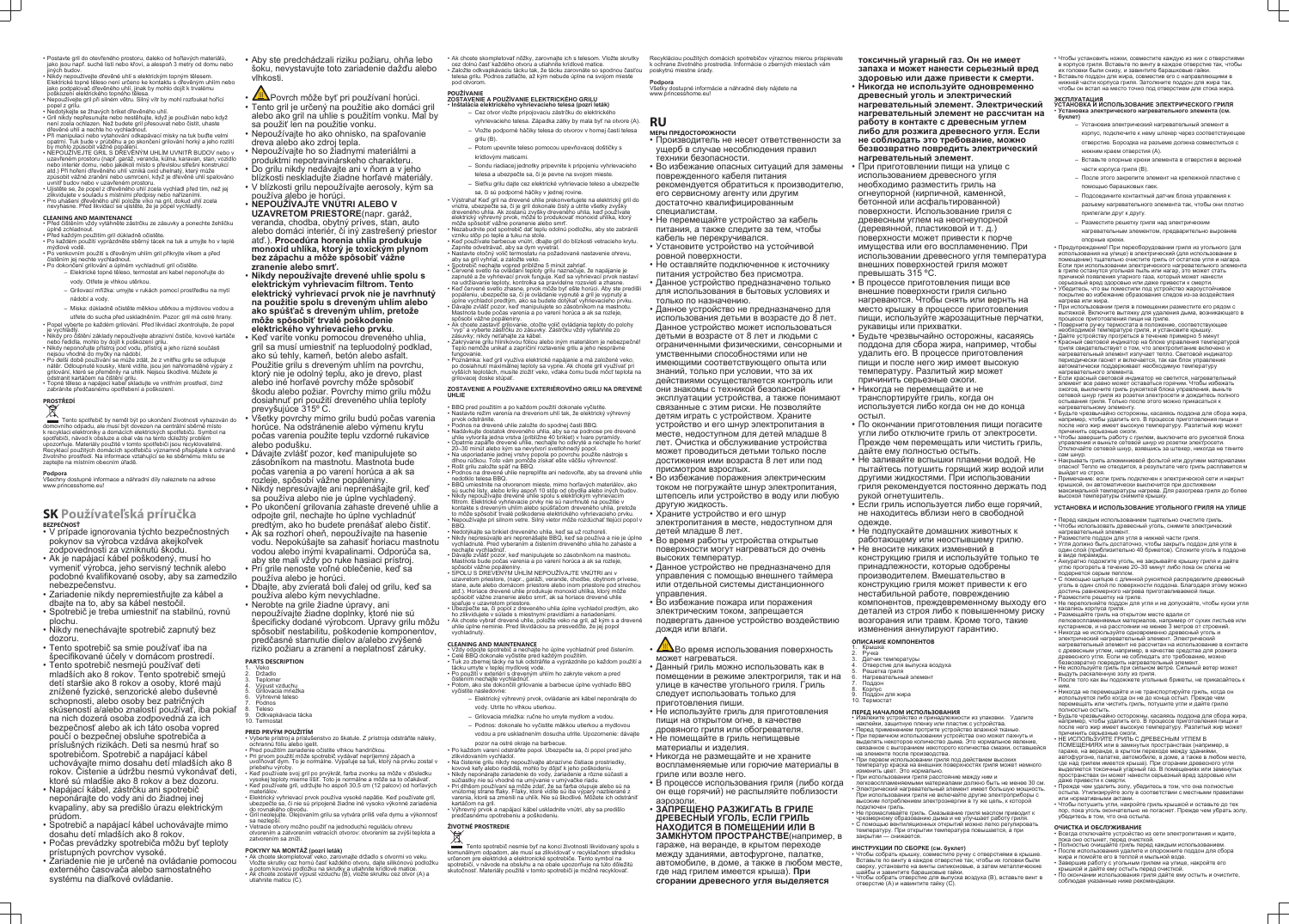- Postavte gril do otevřeného prostoru, daleko od hořlavých materiálů, jako jsou např. suché listí nebo křoví, a alespoň 3 metry od domu nebo iných budov
- Nikdy nepoužívejte dřevěné uhlí s elektrickým topným tělesem. Elektrické topné těleso není určeno ke kontaktu s dřevěným uhlím nebo jako podpalovač dřevěného uhlí, jinak by mohlo dojít k trvalému poškození elektrického topného tělesa.
- Nepoužívejte gril při silném větru. Silný vítr by mohl rozfoukat hořící popel z grilu.
- Nedotýkejte se žhavých briket dřevěného uhlí. • Gril nikdy nepřesunujte nebo nestěhujte, když je používán nebo když není zcela ochlazen. Než budete gril přesouvat nebo čistit, uhaste dřevěné uhlí a nechte ho vychladnout.
- Při manipulaci nebo vytahování odkapávací misky na tuk buďte velmi opatrní. Tuk bude v průběhu a po skončení grilování horký a jeho rozlití by mohlo způsobit vážné popá
- NEPOUŽÍVEJTE GRIL S DŘEVĚNÝM UHLÍM UVNITŘ BUDOV nebo v uzavřeném prostoru (např. garáž, veranda, kůlna, karavan, stan, vozidlo nebo interiér domu, nebo jakékoli místo s převislou střešní konstrukcí atd.) Při hoření dřevěného uhlí vzniká oxid uhelnatý, který může způsobit vážné zranění nebo usmrcení, když je dřevěné uhlí spalováno
- uvnitř budov nebo v uzavřeném prostoru. • Ujistěte se, že popel z dřevěného uhlí zcela vychladl před tím, než jej zlikvidujete v souladu s místními předpisy nebo nařízeními.
- Pro uhašení dřevěného uhlí položte víko na gril, dokud uhlí zcela nevyhasne. Před likvidací se ujistěte, že je popel vychladlý.
- **CLEANING AND MAINTENANCE**
- Před čištěním vždy vytáhněte zástrčku ze zásuvky a ponechte žehličku úplně zchladnout. • Před každým použitím gril důkladně očistěte.
- Po každém použití vyprázdněte sběrný tácek na tuk a umyjte ho v teplé mýdlové vodě.  $\cdot$  Po venkovním použití s dřevěným uhlím gril přikryjte víkem a před
- čistěním jej nechte vychladnout.
- Po dokončení grilování a úplném vychladnutí gril očistěte.
	- Elektrické topné těleso, termostat ani kabel neponořujte do vody. Otřete je vlhkou utěrkou.
	- Grilovací mřížka: umyjte v rukách pomocí prostředku na mytí nádobí a vody.
	- Miska: důkladně očistěte měkkou utěrkou a mýdlovou vodou a
- utřete do sucha před uskladněním. Pozor: gril má ostré hrany.
- Popel vyberte po každém grilování. Před likvidací zkontrolujte, že popel je vychladlý. • Nikdy pro čištění základy nepoužívejte abrazivní čističe, kovové kartáče
- nebo ředidla, mohlo by dojít k poškození grilu.
- Nikdy neponořujte přístroj pod vodu, přístroj a jeho různé součásti
- nejsou vhodné do myčky na nádobí. • Po delší době používání se může zdát, že z vnitřku grilu se odlupuje nátěr. Odloupnuté kousky, které vidíte, jsou jen nahromaděné výpary z grilování, které se přeměnily na uhlík. Nejsou škodlivé. Můžete je
- odstranit kartáčem na čištění grilu. • Topné těleso a napájecí kabel skladujte ve vnitřním prostředí, čímž zabráníte předčasnému opotřebení a poškození.

Tento spotřebič by neměl být po ukončení životnosti vyhazován do domovního odpadu, ale musí být dovezen na centrální sběrné místo k recyklaci elektroniky a domácích elektrických spotřebičů. Symbol na spotřebiči, návod k obsluze a obal vás na tento důležitý problém upozorňuje. Materiály použité v tomto spotřebiči jsou recyklovatelné. Recyklací použitých domácích spotřebičů významně přispějete k ochraně životního prostředí. Na informace vztahující se ke sběrnému místu se zeptejte na místním obecním úřadě.

## **PROSTŘEDÍ**

## **Podpora**

Všechny dostupné informace a náhradní díly naleznete na adrese www.princesshome.eu!

## **SK Používateľská príručka BEZPEČNOSŤ**

- Veko **Držadlo**
- **Teplomer**
- 4. Výpust vzduchu 5. Grilovacia mriežka
- 6. Výhrevné teleso
- 7. Podnos 8. Teleso
- Odkvapkávacia tácka 10. Termostat
- V prípade ignorovania týchto bezpečnostných pokynov sa výrobca vzdáva akejkoľvek zodpovednosti za vzniknutú škodu.
- Ak je napájací kábel poškodený, musí ho vymeniť výrobca, jeho servisný technik alebo podobné kvalifikované osoby, aby sa zamedzilo nebezpečenstvu.
- Zariadenie nikdy nepremiestňujte za kábel a dbajte na to, aby sa kábel nestočil.
- Spotrebič je treba umiestniť na stabilnú, rovnú plochu.
- Nikdy nenechávajte spotrebič zapnutý bez dozoru.
- Tento spotrebič sa smie používať iba na špecifikované účely v domácom prostredí.
- Tento spotrebič nesmejú používať deti mladších ako 8 rokov. Tento spotrebič smejú detí staršie ako 8 rokov a osoby, ktoré majú znížené fyzické, senzorické alebo duševné schopnosti, alebo osoby bez patričných skúseností a/alebo znalostí používať, iba pokiaľ na nich dozerá osoba zodpovedná za ich bezpečnosť alebo ak ich táto osoba vopred poučí o bezpečnej obsluhe spotrebiča a príslušných rizikách. Deti sa nesmú hrať so spotrebičom. Spotrebič a napájací kábel uchovávajte mimo dosahu detí mladších ako 8 rokov. Čistenie a údržbu nesmú vykonávať deti, ktoré sú mladšie ako 8 rokov a bez dozoru.
- Napájací kábel, zástrčku ani spotrebič neponárajte do vody ani do žiadnej inej kvapaliny, aby sa predišlo úrazu elektrickým prúdom.
- Spotrebič a napájací kábel uchovávajte mimo dosahu detí mladších ako 8 rokov.
- Počas prevádzky spotrebiča môžu byť teploty prístupných povrchov vysoké.
- Zariadenie nie je určené na ovládanie pomocou externého časovača alebo samostatného systému na diaľkové ovládanie.
- Aby ste predchádzali riziku požiaru, ohňa lebo šoku, nevystavujte toto zariadenie dažďu alebo vlhkosti.
- **ALA** Povrch môže byť pri používaní horúci.
- Tento gril je určený na použitie ako domáci gril alebo ako gril na uhlie s použitím vonku. Mal by sa použiť len na použitie vonku.
- Nepoužívajte ho ako ohnisko, na spaľovanie dreva alebo ako zdroj tepla.
- Nepoužívajte ho so žiadnymi materiálmi a produktmi nepotravinárskeho charakteru.
- Do grilu nikdy nedávajte ani v ňom a v jeho blízkosti neskladujte žiadne horľavé materiály. • V blízkosti grilu nepoužívajte aerosoly, kým sa
- používa alebo je horúci. • **NEPOUŽÍVAJTE VNÚTRI ALEBO V UZAVRETOM PRIESTORE**(napr. garáž,
- veranda, chodba, obytný príves, stan, auto alebo domáci interiér, či iný zastrešený priestor atď.). **Procedúra horenia uhlia produkuje monoxid uhlíka, ktorý je toxickým plynom bez zápachu a môže spôsobiť vážne zranenie alebo smrť.**
- **Nikdy nepoužívajte drevené uhlie spolu s elektrickým vyhrievacím filtrom. Tento elektrický vyhrievací prvok nie je navrhnutý na použitie spolu s dreveným uhlím alebo ako spúšťač s dreveným uhlím, pretože môže spôsobiť trvalé poškodenie elektrického vyhrievacieho prvku**.
- Keď varíte vonku pomocou dreveného uhlia, gril sa musí umiestniť na tepluodolný podklad, ako sú tehly, kameň, betón alebo asfalt. Použitie grilu s dreveným uhlím na povrchu, ktorý nie je odolný teplu, ako je drevo, plast alebo iné horľavé povrchy môže spôsobiť škodu alebo požiar. Povrchy mimo grilu môžu dosiahnuť pri použití dreveného uhlia teploty prevyšujúce 315º C.
- Všetky povrchy mimo grilu budú počas varenia horúce. Na odstránenie alebo výmenu krytu počas varenia použite teplu vzdorné rukavice alebo podušku.
- Dávajte zvlášť pozor, keď manipulujete so zásobníkom na mastnotu. Mastnota bude počas varenia a po varení horúca a ak sa rozleje, spôsobí vážne popáleniny.
- Nikdy nepresúvajte ani neprenášajte gril, keď sa používa alebo nie je úplne vychladený.
- Po ukončení grilovania zahaste drevené uhlie a odpojte gril, nechajte ho úplne vychladnúť predtým, ako ho budete prenášať alebo čistiť.
- Ak sa rozhorí oheň, nepoužívajte na hasenie vodu. Nepokúšajte sa zahasiť horiacu mastnotu vodou alebo inými kvapalinami. Odporúča sa, aby ste mali vždy po ruke hasiaci prístroj.
- Pri grile nenoste voľné oblečenie, keď sa používa alebo je horúci.
- Dbajte, aby zvieratá boli ďalej od grilu, keď sa používa alebo kým nevychladne.
- Nerobte na grile žiadne úpravy, ani nepoužívajte žiadne doplnky, ktoré nie sú špecificky dodané výrobcom. Úpravy grilu môžu spôsobiť nestabilitu, poškodenie komponentov, predčasné starnutie dielov a/alebo zvýšené riziko požiaru a zranení a neplatnosť záruky.

filtrom. Elektrické vyhrievacie prvky nie sú navrhnuté na použitie v kontakte s dreveným uhlím alebo spúšťačom dreveného uhlia, pretože to môže spôsobiť trvalé poškodenie elektrického vyhrievacieho prvku. • Nepoužívajte pri silnom vetre. Silný vietor môže rozdúchať tlejúci popol v

## **PARTS DESCRIPTION**

 $\bullet$  Na čistenie grilú nikdy nepoužívajte abrazívne čistiace prostriedky, kovové kefy alebo riedidlá, mohlo by dôjsť k jeho poškodeniu. • Nikdy neponárajte zariadenie do vody, zariadenie a rôzne súčasti a súčiastky nie sú vhodné na umývanie v umývačke riadu. • Pri dlhšom používaní sa môže zdať, že sa farba olupuje alebo sú na vnútornej strane fľaky. Fľaky, ktoré vidíte sú iba výpary nazbierané z varenia, ktoré sa zmenili na uhlík. Nie sú škodlivé. Môžete ich odstrániť

 $\cdot$  Výhrevný prvok a napájací kábel uskladnite vnútri, aby sa predišlo

## **PRED PRVÝM POUŽITÍM**

Tento spotrebič nesmie byť na konci životnosti likvidovaný spolu s komunálnym odpadom, ale musí sa zlikvidovať v recyklačnom stredisku určenom pre elektrické a elektronické spotrebiče. Tento symbol na spotrebiči, v návode na obsluhu a na obale upozorňuje na túto dôležitú skutočnosť. Materiály použité v tomto spotrebiči je možné recyklovať.

- Vyberte prístroj a príslušenstvo zo škatule. Z prístroja odstráňte náleky, ochrannú fóliu alebo igelit. • Pred použitím zariadenie očistite vlhkou handričkou.
- Pri prvom použití môže spotrebič vydávať nepríjemný zápach a uvoľňovať dym. To je normálne. Vypaľuje sa tuk, ktorý na prvku zostal v
- priebehu výroby. • Keď používate svoj gril po prvýkrát, farba zvonku sa môže v dôsledku vysokej teploty mierne líšiť. Toto je normálne a môže sa to očakávať.
- Keď používate gril, udržujte ho aspoň 30,5 cm (12 palcov) od horľavých materiálov. • Elektrický vyhrievací prvok používa vysoké napätie. Keď používate gril,
- ubezpečte sa, či nie sú pripojené žiadne iné vysoko výkonné zariadenia do rovnakého obvodu. • Gril neolejujte. Olejovaním grilu sa vytvára príliš veľa dymu a výkonnosť
- sa nezlepší. • Vetracie otvory možno použiť na jednoduchú reguláciu ohrevu
- otvorením a zatvorením vetracích otvorov: otvorením sa zvýši teplota a zatvorením sa zníži.

## **POKYNY NA MONTÁŽ (pozri leták)**

- Ak chcete skompletovať veko, zarovnajte držadlo s otvormi vo veku. Vložte skrutky cez hornú časť každého otvoru, dajte silikónovú podložku
- a potom kovovú podložku na skrutky a utiahnite krídlové matice. • Ak chcete zostaviť výpust vzduchu (B), vložte skrutku cez otvor (A) a utiahnite maticu (C).

**49 Хетания в поверхность** может нагреваться.

• Ak chcete skompletovať nôžky, zarovnajte ich s telesom. Vložte skrutky cez dolnú časť každého otvoru a utiahnite krídlové matice. • Založte odkvapkávaciu tácku tak, že tácku zarovnáte so spodnou časťou telesa grilu. Podnos zatlačte, až kým nebude úplne na svojom mieste pod otvorom.

#### **POUŽÍVANIE ZOSTAVENIE A POUŽÍVANIE ELEKTRICKÉHO GRILU**

- **Inštalácia elektrického vyhrievacieho telesa (pozri leták)**
	- Cez otvor vložte pripojovaciu zástrčku do elektrického vyhrievacieho telesa. Západka zátky by mala byť na otvore (A).
	- Vložte podporné háčiky telesa do otvorov v hornej časti telesa grilu (B).
	- Potom upevnite teleso pomocou upevňovacej doštičky s krídlovými maticami.
	- Sondu riadiacej jednotky pripevnite k pripojeniu vyhrievacieho
	- telesa a ubezpečte sa, či je pevne na svojom mieste. – Sieťku grilu dajte cez elektrické vyhrievacie teleso a ubezpečte
- sa, či sú podporné háčiky v jednej rovine. • Výstraha! Keď gril na drevené uhlie prekonvertujete na elektrický gril do

vnútra, ubezpečte sa, či je gril dokonale čistý a utrite všetky zvyšky dreveného uhlia. Ak zostanú zvyšky dreveného uhlia, keď používate elektrický výhrevný prvok, môže to produkovať monoxid uhlíka, ktorý môže spôsobiť vážne poranenie alebo smrť. • Nezabudnite pod spotrebič dať teplu odolnú podložku, aby ste zabránili

- vzniku stôp po teple a tuku na stole. • Keď používate barbecue vnútri, dbajte gril do blízkosti vetracieho krytu.
- Zapnite odvetrávač, aby sa dym vyvetral. • Nastavte otočný volič termostatu na požadované nastavenie ohrevu,
- aby sa gril vyhrial, a založte veko. • Spotrebič nechajte vopred približne 5 minút zahriať.
- $\cdot$  Červené svetlo na ovládaní teploty grilu naznačuje, že napájanie je zapnuté a že vyhrievací prvok funguje. Keď sa vyhrievací prvok nastav na udržiavanie teploty, kontrolka sa pravidelne rozsvieti a zhasne. • Keď červené svetlo zhasne, prvok môže byť ešte horúci. Aby ste predišli
- popáleniu, ubezpečte sa, či je ovládanie vypnuté a gril je vypnutý a úplne vychladol predtým, ako sa budete dotýkať vyhrievacieho prvku. • Dávajte zvlášť pozor, keď manipulujete so zásobníkom na mastnotu. Mastnota bude počas varenia a po varení horúca a ak sa rozleje, spôsobí vážne popáleniny.
- Ak chcete zastaviť grilovanie, otočte volič ovládania teploty do polohy "vyp" a vyberte zástrčku zo zásuvky. Zástrčku vždy vytiahnite zo zásuvky; nikdy neťahajte za kábel.
- $\bullet$  Zakrývanie grilu hliníkovou fóliou alebo iným materiálom je nebezpečné! Teplo nemôže unikať a zapríčiní roztavenie grilu a jeho nesprávne fungovanie.
- Poznámka: keď gril využíva elektrické napájanie a má založené veko, po dosiahnutí maximálnej teploty sa vypne. Ak chcete gril využívať pri vyšších teplotách, musíte zložiť veko, vďaka čomu bude môcť teplota na grilovacej doske stúpať.

### **ZOSTAVENIE A POUŽÍVANIE EXTERIÉROVÉHO GRILU NA DREVENÉ UHLIE**

- BBQ pred použitím a po každom použití dokonale vyčistite. • Nastavte režim varenia na drevenom uhlí tak, že elektrický výhrevný
- prvok odstránite.
- Podnos na drevené uhlie založte do spodnej časti BBQ. • Nadávkujte dostatok dreveného uhlia, aby sa na podnose pre drevené
- uhlie vytvorila jedna vrstva (približne 40 brikiet) v tvare pyramídy.  $\cdot$  Opatrne zapáľte drevené uhlie, nechaite ho odkryté a nechaite ho horie 20–30 minút alebo kým sa nevytvorí svetlohnedý popol.
- Na usporiadanie jednej vrstvy popola po povrchu použite nástroje s dlhou rúčkou. Toto vám pomôže získať ešte väčšiu výhrevnosť.
- Rošt grilu založte späť na BBQ. • Podnos na drevené uhlie nepreplňte ani nedovoľte, aby sa drevené uhlie nedotklo telesa BBQ.
- BBQ umiestnite na otvorenom mieste, mimo horľavých materiálov, ako sú suché listy, alebo kríky aspoň 10 stôp od obydlia alebo iných budov. • Nikdy nepoužívajte drevené uhlie spolu s elektrickým vyhrievacím

BBQ.

• Nedotýkajte sa brikiet dreveného uhlia, keď sa už rozhoreli.

• Nikdy nepresúvajte ani neprenášajte BBQ, keď sa používa a nie je úplne vychladnuté. Pred vyberaním a čistením dreveného uhlia ho zahaste a

nechajte vychladnúť.

• Dávajte zvlášť pozor, keď manipulujete so zásobníkom na mastnotu. Mastnota bude počas varenia a po varení horúca a ak sa rozleje,

spôsobí vážne popáleniny.

• SPOLU S DREVENÝM UHLÍM NEPOUŽÍVAJTE VNÚTRI ani v uzavretom priestore, (napr., garáži, verande, chodbe, obytnom prívese stane, aute alebo domácom priestore alebo inom priestore pod strechou atď.). Horiace drevené uhlie produkuje monoxid uhlíka, ktorý môže spôsobiť vážne zranenie alebo smrť, ak sa horiace drevené uhlie

spaľuje v uzavretom priestore.

• Ubezpečte sa, či popol z dreveného uhlia úplne vychladol predtým, ako ho zlikvidujete v súlade s miestnymi pravidlami a nariadeniami. • Ak chcete vybrať drevené uhlie, položte veko na gril, až kým s a drevené uhlie úplne neminie. Pred likvidáciou sa presvedčte, že jej popol

vychladnutý.

**CLEANING AND MAINTENANCE**

• Vždy odpojte spotrebič a nechajte ho úplne vychladnúť pred čistením.

• Celé BBQ dokonale vyčistite pred každým použitím.

• Tuk zo zbernej tácky na tuk odstráňte a vyprázdnite po každom použití a

tácku umyte v teplej mydlovej vode.

• Po použití v exteriéri s dreveným uhlím ho zakryte vekom a pred

čistením nechajte vychladnúť.

• Potom, ako ste dokončili grilovanie a barbecue úplne vychladlo BBQ

vyčistite nasledovne:

– Elektrický výhrevný prvok, ovládanie ani kábel neponárajte do

vody. Utrite ho vlhkou utierkou.

– Grilovacia mriežka: ručne ho umyte mydlom a vodou. – Podnos: dokonale ho vyčistite mäkkou utierkou a mydlovou vodou a pre uskladnením dosucha utrite. Upozornenie: dávajte

pozor na ostré okraje na barbecue.

• Po každom varení odstráňte popol. Ubezpečte sa, či popol pred jeho

zlikvidovaním vychladol.

kartáčom na gri

predčasnému opotrebeniu a poškodeniu.

**ŽIVOTNÉ PROSTREDIE**

Recykláciou použitých domácich spotrebičov výraznou mierou prispievate k ochrane životného prostredia. Informácie o zberných miestach vám poskytnú miestne úrady.

**Podpora**

Všetky dostupné informácie a náhradné diely nájdete na www.princesshome.eu!

**RU**

## **МЕРЫ ПРЕДОСТОРОЖНОСТИ**

- Производитель не несет ответственности за ущерб в случае несоблюдения правил техники безопасности.
- Во избежание опасных ситуаций для замены поврежденного кабеля питания
- рекомендуется обратиться к производителю, его сервисному агенту или другим
- достаточно квалифицированным специалистам.
- Не перемещайте устройство за кабель питания, а также следите за тем, чтобы кабель не перекручивался.
- Установите устройство на устойчивой ровной поверхности.
- Не оставляйте подключенное к источнику питания устройство без присмотра.
- Данное устройство предназначено только для использования в бытовых условиях и только по назначению.
- Данное устройство не предназначено для использования детьми в возрасте до 8 лет. Данное устройство может использоваться детьми в возрасте от 8 лет и людьми с ограниченными физическими, сенсорными и умственными способностями или не имеющими соответствующего опыта или знаний, только при условии, что за их действиями осуществляется контроль или они знакомы с техникой безопасной эксплуатации устройства, а также понимают связанные с этим риски. Не позволяйте детям играть с устройством. Храните устройство и его шнур электропитания в
- месте, недоступном для детей младше 8 лет. Очистка и обслуживание устройства может проводиться детьми только после достижения ими возраста 8 лет или под присмотром взрослых.
- Во избежание поражения электрическим током не погружайте шнур электропитания, штепсель или устройство в воду или любую другую жидкость.
- Храните устройство и его шнур
- электропитания в месте, недоступном для детей младше 8 лет.
- Во время работы устройства открытые поверхности могут нагреваться до очень высоких температур.
- Данное устройство не предназначено для управления с помощью внешнего таймера или отдельной системы дистанционного управления.
- Во избежание пожара или поражения электрическим током, запрещается подвергать данное устройство воздействию дождя или влаги.

- Данный гриль можно использовать как в помещении в режиме электрогриля, так и на улице в качестве угольного гриля. Гриль следует использовать только для приготовления пиши.
- Не используйте гриль для приготовления пищи на открытом огне, в качестве
- дровяного гриля или обогревателя. • Не помещайте в гриль непищевые материалы и изделия.
- Никогда не размещайте и не храните воспламеняемые или горючие материалы в гриле или возле него.
- В процессе использования гриля (либо когда он еще горячий) не распыляйте поблизости аэрозоли.

## • **ЗАПРЕЩЕНО РАЗЖИГАТЬ В ГРИЛЕ ДРЕВЕСНЫЙ УГОЛЬ, ЕСЛИ ГРИЛЬ НАХОДИТСЯ В ПОМЕЩЕНИИ ИЛИ В ЗАМКНУТОМ ПРОСТРАНСТВЕ**(например, в гараже, на веранде, в крытом переходе между зданиями, автофургоне, палатке, автомобиле, в доме, а также в любом месте, где над грилем имеется крыша). **При сгорании древесного угля выделяется**

**токсичный угарный газ. Он не имеет запаха и может нанести серьезный вред здоровью или даже привести к смерти.**

- **Никогда не используйте одновременно древесный уголь и электрический нагревательный элемент. Электрический нагревательный элемент не рассчитан на работу в контакте с древесным углем либо для розжига древесного угля. Если не соблюдать это требование, можно безвозвратно повредить электрический нагревательный элемент**.
- При приготовлении пищи на улице с использованием древесного угля необходимо разместить гриль на огнеупорной (кирпичной, каменной, бетонной или асфальтированной) поверхности. Использование гриля с древесным углем на неогнеупорной (деревянной, пластиковой и т. д.) поверхности может привести к порче имущества или его воспламенению. При использовании древесного угля температура внешних поверхностей гриля может превышать 315 ºC.
- В процессе приготовления пищи все внешние поверхности гриля сильно нагреваются. Чтобы снять или вернть на место крышку в процессе приготовления пищи, используйте жарозащитные перчатки, рукавицы или прихватки.
- Будьте чрезвычайно осторожны, касаяясь поддона для сбора жира, например, чтобы удалить его. В процессе приготовления пищи и после него жир имеет высокую температуру. Разлитый жир может причинить серьезные ожоги.
- Никогда не перемещайте и не транспортируйте гриль, когда он используется либо когда он не до конца
- остыл. • По окончании приготовления пищи погасите угли либо отключите гриль от электросети. Прежде чем перемещать или чистить гриль,
- дайте ему полностью остыть. • Не заливайте вспышки пламени водой. Не пытайтесь потушить горящий жир водой или другими жидкостями. При использовании гриля рекомендуется постоянно держать под рукой огнетушитель.
- Если гриль используется либо еще горячий, не находитесь вблизи него в свободной одежде.
- Не подпускайте домашних животных к работающему или неостывшему грилю.
- Не вносите никаких изменений в конструкцию гриля и используйте только те
- принадлежности, которые одобрены производителем. Вмешательство в конструкцию гриля может привести к его нестабильной работе, повреждению компонентов, преждевременному выходу его деталей из строя либо к повышенному риску возгорания или травм. Кроме того, такие изменения аннулируют гарантию.

## **ОПИСАНИЕ КОМПОНЕНТОВ**

- 1. Крышка Ручка
- Да́тчик температуры ие для выпуска воздуха
- Решетка гриля
- Нагревательный элемен
- 7. Поддон Корпус
- 9. Поддон для жира 10. Термостат
- 
- **ПЕРЕД НАЧАЛОМ ИСПОЛЬЗОВАНИЯ** • Извлеките устройство и принадлежности из упаковки. Удалите наклейки, защитную пленку или пластик с устройства.
- Перед применением протрите устройство влажной тканью. • При первичном использовании устройства оно может пахнуть и
- выделять некоторое количество дыма. Это нормальное явление, связанное с выгоранием некоторого количества смазки, оставшейся на элементе после производства.
- При первом использовании гриля под действием высоких температур краска на внешних поверхностях гриля может немного изменить цвет. Это нормально.
- При использовании гриля расстояние между ним и легковоспламеняемыми материалами должно быть не менее 30 см.
- Электрический нагревательный элемент имеет большую мощность. При использовании гриля не включайте другие электроприборы с высоким потреблением электроэнергии в ту же цепь, к которой подключен гриль.
- Не промасливайте гриль. Смазывание гриля маслом приводит к чрезмерному образованию дыма и не улучшает работу гриля. • С помощью вентиляционных открытий можно легко регулировать температуру. При открытии температура повышается, а при закрытии — снижается.

## **ИНСТРУКЦИИ ПО СБОРКЕ (см. буклет)**

- Чтобы собрать крышку, совместите ручку с отверстиями в крышке. Вставьте по винту в каждое отверстие так, чтобы их головки были сверху, установите на винты силиконовые, а затем металлические шайбы и завинтите барашковые гайки.
- Чтобы собрать отверстие для выпуска воздуха (B), вставьте винт в отверстие (A) и навинтите гайку (C).
- Чтобы установить ножки, совместите каждую из них с отверстиями в корпусе гриля. Вставьте по винту в каждое отверстие так, чтобы их головки были снизу, и завинтите барашковые гайки. • Вставьте поддон для жира, совместив его с направляющими в
- нижней части корпуса гриля. Затолкните поддон для жира так, чтобы он встал на место точно под отверстием для стока жира.

#### **ЭКСПЛУАТАЦИЯ УСТАНОВКА И ИСПОЛЬЗОВАНИЕ ЭЛЕКТРИЧЕСКОГО ГРИЛЯ** • **Установка электрического нагревательного элемента (см. буклет)**

- Установив электрический нагревательный элемент в корпус, подключите к нему штекер через соответствующее отверстие. Бороздка на разъеме должна совместиться с нижним краем отверстия (A).
- Вставьте опорные крюки элемента в отверстия в верхней части корпуса гриля (B).
- После этого закрепите элемент на крепежной пластине с помощью барашковых гаек.
- Подсоедините контактный датчик блока управления к разъему нагревательного элемента так, чтобы они плотно
- прилегали друг к другу.
- Разместите решетку гриля над электрическим
- нагревательным элементом, предварительно выровняв опорные крюки.

• Предупреждение! При переоборудовании гриля из угольного (для использования на улице) в электрический (для использовании в помещении) тщательно очистите гриль от остатков угля и нагара. Если при использовании электрического нагревательного элемента в гриле останутся угольная пыль или нагар, это может стать причиной появления угарного газа, который может нанести

- серьезный вред здоровью или даже привести к смерти. • Убедитесь, что вы поместили под устройство жароустойчивое покрытие во избежание образования следов из-за воздействия
- нагрева или жира.
- При использовании гриля в помещении разместите его рядом с вытяжкой. Включите вытяжку для удаления дыма, возникающего в процессе приготовления пищи на гриле.
- Поверните ручку термостата в положение, соответствующее необходимой температуре гриля, и установите крышку. • Дайте устройству прогреться в течение примерно 5 минут • Красный световой индикатор на блоке управления температурой гриля свидетельствует о том, что электропитание включено и нагревательный элемент излучает тепло. Световой индикатор периодически гаснет и включается, так как блок управления автоматически поддерживает необходимую температуру нагревательного элемента.
- Если красный световой индикатор не светится, нагревательный элемент все равно может оставаться горячим. Чтобы избежать ожогов, выключите гриль рукояткой блока управления, выньте сетевой шнур гриля из розетки электросети и дождитесь полного остывания гриля. Только после этого можно прикасаться к нагревательному элементу.
- Будьте чрезвычайно осторожны, касаяясь поддона для сбора жира, например, чтобы удалить его. В процессе приготовления пищи и после него жир имеет высокую температуру. Разлитый жир может причинить серьезные ожоги.
- Чтобы завершить работу с грилем, выключите его рукояткой блока управления и выньте сетевой шнур из розетки электросети. Отключайте сетевой шнур, взявшись за штекер, никогда не тяните
- сам шнур. • Накрывать гриль алюминиевой фольгой или другими материалами опасно! Тепло не отводится, в результате чего гриль расплавится м выйдет из строя.
- Примечание: если гриль подключен к электрической сети и накрыт крышкой, он автоматически выключится при достижении максимальной температуры нагрева. Для разогрева гриля до более высокой температуры снимите крышку.

### **УСТАНОВКА И ИСПОЛЬЗОВАНИЕ УГОЛЬНОГО ГРИЛЯ НА УЛИЦЕ**

- Перед каждым использованием тщательно очистите гриль.
- Чтобы использовать древесный уголь, снимите электрический нагревательный элемент.
- Разместите поддон для угля в нижней части гриля.
- Угля должно быть достаточно, чтобы закрыть поддон для угля в один слой (приблизительно 40 брикетов). Сложите уголь в поддоне в виде пирамиды.
- Аккуратно подожгите уголь, не закрывайте крышку гриля и дайте углю прогореть в течение 20–30 минут либо пока он слегка не подернется серым пеплом.
- С помощью щипцов с длинной рукояткой распределите древесный уголь в один слой по поверхности поддона. Благодаря этому можно достичь равномерного нагрева приготавливаемой пищи.
- Разместите решетку на гриле. • Не переполняйте поддон для угля и не допускайте, чтобы куски угля касались корпуса гриля.
- Размещайте гриль на открытом месте вдали от легковоспламеняемых материалов, например от сухих листьев или кустарников, и на расстоянии не менее 3 метров от строений. • Никогда не используйте одновременно древесный уголь и
- электрический нагревательный элемент. Электрический нагревательный элемент не рассчитан на использование в контакте
- с древесным углем, например, в качестве средства для розжига древесного угля. Если не соблюдать это требование, можно безвозвратно повредить нагревательный элемент
- Не используйте гриль при сильном ветре. Сильный ветер может выдуть раскаленную золу из гриля.
- После того как вы подожжете угольные брикеты, не прикасайтесь к ним.
- Никогда не перемещайте и не транспортируйте гриль, когда он используется либо когда он не до конца остыл. Прежде чем перемещать или чистить гриль, потушите угли и дайте грилю полностью остыть.
- Будьте чрезвычайно осторожны, касаяясь поддона для сбора жира, например, чтобы удалить его. В процессе приготовления пищи и после него жир имеет высокую температуру. Разлитый жир может причинить серьезные ожоги.
- НЕ ИСПОЛЬЗУЙТЕ ГРИЛЬ С ДРЕВЕСНЫМ УГЛЕМ В
- ПОМЕЩЕНИЯХ или в замкнутых пространствах (например, в гараже, на веранде, в крытом переходе между зданиями, автофургоне, палатке, автомобиле, в доме, а также в любом месте, где над грилем имеется крыша). При сгорании древесного угля выделяется токсичный угарный газ. В помещениях или замкнутых пространствах он может нанести серьезный вред здоровью или даже привести к смерти.
- Прежде чем удалить золу, убедитесь в том, что она полностью остыла. Утилизируйте золу в соответствии с местными правилами или нормативными актами.
- Чтобы потушить угли, накройте гриль крышкой и оставьте до тех пор, пока уголь окончательно не погаснет. Прежде чем убрать золу, убедитесь в том, что она остыла.

## **ОЧИСТКА И ОБСЛУЖИВАНИЕ**

- Всегда отключайте устройство из сети электропитания и ждите, пока оно остынет, перед очисткой. • Полностью очишайте гриль перед каждым использованием
- После использования удалите и опорожните поддон для сбора жира и помойте его в теплой и мыльной воде.
- Завершив работу с угольным грилем на улице, накройте его крышкой и дайте ему остыть перед очисткой. • По окончании использования гриля дайте ему остыть и очистите,

соблюдая указанные ниже рекомендации.